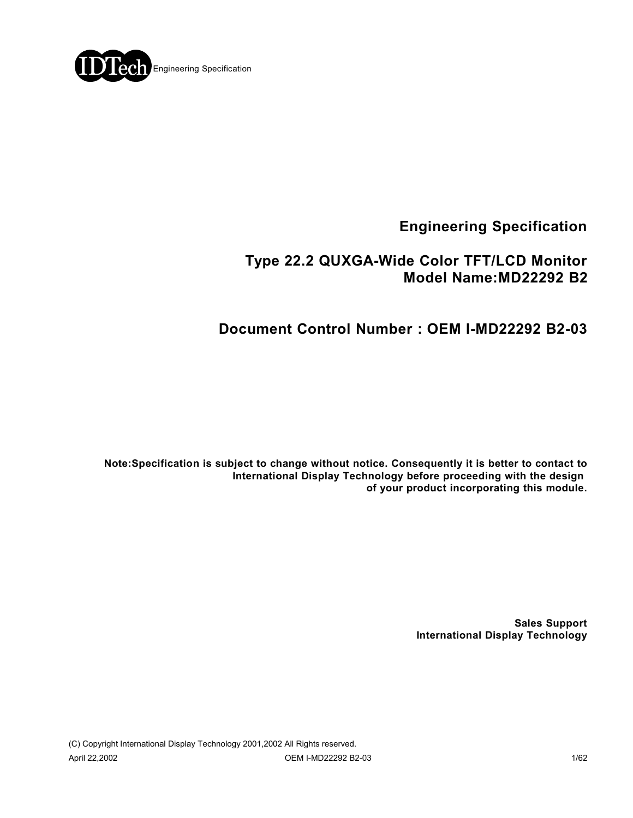

# **Engineering Specification**

## **Type 22.2 QUXGA-Wide Color TFT/LCD Monitor Model Name:MD22292 B2**

# **Document Control Number : OEM I-MD22292 B2-03**

**Note:Specification is subject to change without notice. Consequently it is better to contact to International Display Technology before proceeding with the design of your product incorporating this module.**

> **Sales Support International Display Technology**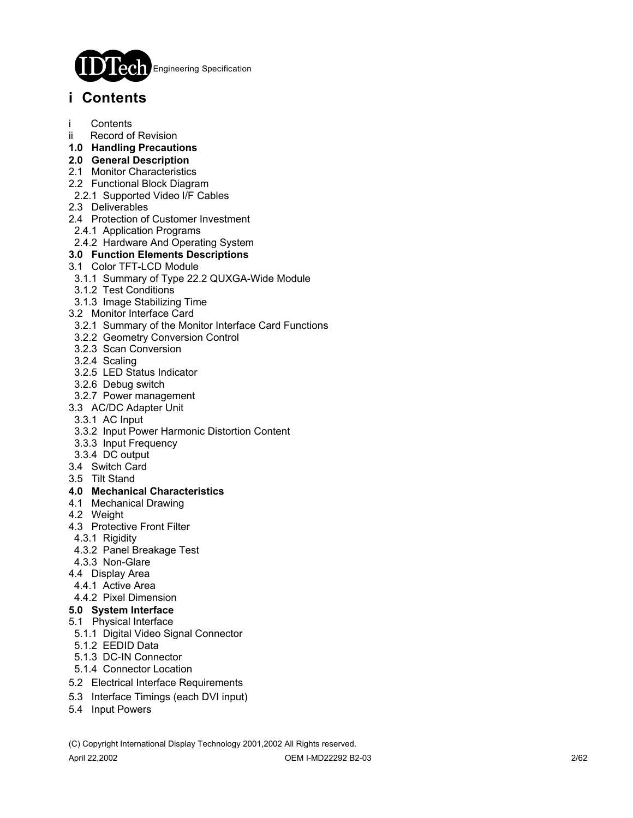

# **i Contents**

- **Contents**
- ii Record of Revision
- **1.0 Handling Precautions**
- **2.0 General Description**
- 2.1 Monitor Characteristics
- 2.2 Functional Block Diagram
- 2.2.1 Supported Video I/F Cables
- 2.3 Deliverables
- 2.4 Protection of Customer Investment
- 2.4.1 Application Programs
- 2.4.2 Hardware And Operating System

#### **3.0 Function Elements Descriptions**

- 3.1 Color TFT-LCD Module
- 3.1.1 Summary of Type 22.2 QUXGA-Wide Module
- 3.1.2 Test Conditions
- 3.1.3 Image Stabilizing Time
- 3.2 Monitor Interface Card
- 3.2.1 Summary of the Monitor Interface Card Functions
- 3.2.2 Geometry Conversion Control
- 3.2.3 Scan Conversion
- 3.2.4 Scaling
- 3.2.5 LED Status Indicator
- 3.2.6 Debug switch
- 3.2.7 Power management
- 3.3 AC/DC Adapter Unit
- 3.3.1 AC Input
- 3.3.2 Input Power Harmonic Distortion Content
- 3.3.3 Input Frequency
- 3.3.4 DC output
- 3.4 Switch Card
- 3.5 Tilt Stand

#### **4.0 Mechanical Characteristics**

- 4.1 Mechanical Drawing
- 4.2 Weight
- 4.3 Protective Front Filter
- 4.3.1 Rigidity
- 4.3.2 Panel Breakage Test
- 4.3.3 Non-Glare
- 4.4 Display Area
- 4.4.1 Active Area

### 4.4.2 Pixel Dimension

- **5.0 System Interface**
- 5.1 Physical Interface
- 5.1.1 Digital Video Signal Connector
- 5.1.2 EEDID Data
- 5.1.3 DC-IN Connector
- 5.1.4 Connector Location
- 5.2 Electrical Interface Requirements
- 5.3 Interface Timings (each DVI input)
- 5.4 Input Powers

(C) Copyright International Display Technology 2001,2002 All Rights reserved.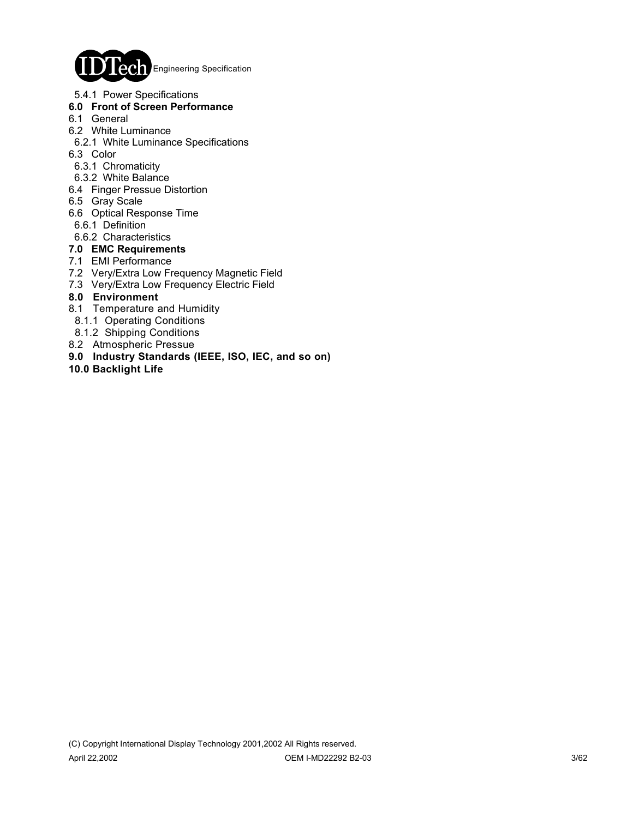

5.4.1 Power Specifications

#### **6.0 Front of Screen Performance**

- 6.1 General
- 6.2 White Luminance
- 6.2.1 White Luminance Specifications
- 6.3 Color
- 6.3.1 Chromaticity
- 6.3.2 White Balance
- 6.4 Finger Pressue Distortion
- 6.5 Gray Scale
- 6.6 Optical Response Time
- 6.6.1 Definition
- 6.6.2 Characteristics

#### **7.0 EMC Requirements**

- 7.1 EMI Performance
- 7.2 Very/Extra Low Frequency Magnetic Field
- 7.3 Very/Extra Low Frequency Electric Field

#### **8.0 Environment**

- 8.1 Temperature and Humidity
- 8.1.1 Operating Conditions
- 8.1.2 Shipping Conditions
- 8.2 Atmospheric Pressue
- **9.0 Industry Standards (IEEE, ISO, IEC, and so on)**
- **10.0 Backlight Life**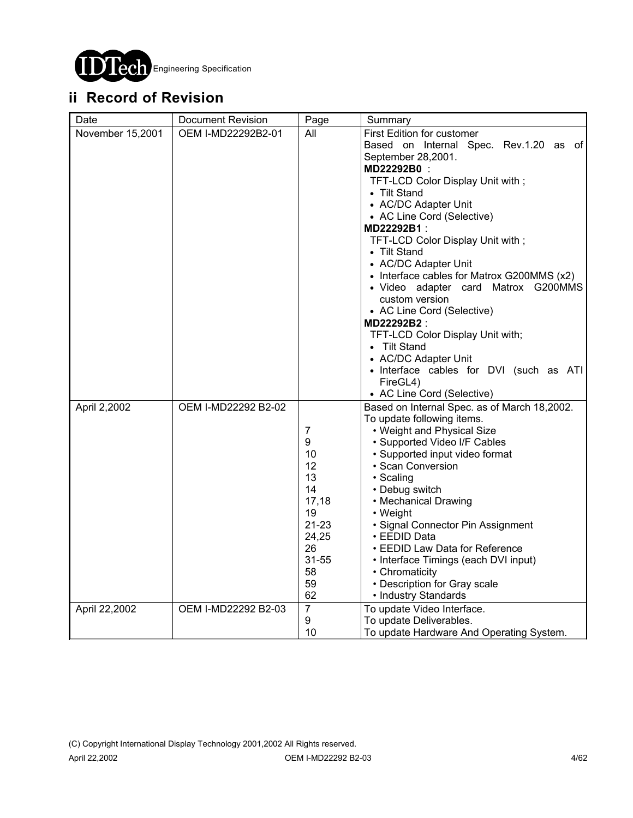

# **ii Record of Revision**

| Date             | <b>Document Revision</b> | Page                                                                                                                  | Summary                                                                                                                                                                                                                                                                                                                                                                                                                                                                                                                                                                                                                                  |
|------------------|--------------------------|-----------------------------------------------------------------------------------------------------------------------|------------------------------------------------------------------------------------------------------------------------------------------------------------------------------------------------------------------------------------------------------------------------------------------------------------------------------------------------------------------------------------------------------------------------------------------------------------------------------------------------------------------------------------------------------------------------------------------------------------------------------------------|
| November 15,2001 | OEM I-MD22292B2-01       | All                                                                                                                   | <b>First Edition for customer</b><br>Based on Internal Spec. Rev.1.20 as of<br>September 28,2001.<br>MD22292B0:<br>TFT-LCD Color Display Unit with;<br>• Tilt Stand<br>• AC/DC Adapter Unit<br>• AC Line Cord (Selective)<br>MD22292B1:<br>TFT-LCD Color Display Unit with;<br>• Tilt Stand<br>• AC/DC Adapter Unit<br>• Interface cables for Matrox G200MMS (x2)<br>· Video adapter card Matrox G200MMS<br>custom version<br>• AC Line Cord (Selective)<br>MD22292B2 :<br>TFT-LCD Color Display Unit with;<br>• Tilt Stand<br>• AC/DC Adapter Unit<br>• Interface cables for DVI (such as ATI<br>FireGL4)<br>• AC Line Cord (Selective) |
| April 2,2002     | OEM I-MD22292 B2-02      | $\overline{7}$<br>9<br>10<br>12<br>13<br>14<br>17,18<br>19<br>$21 - 23$<br>24,25<br>26<br>$31 - 55$<br>58<br>59<br>62 | Based on Internal Spec. as of March 18,2002.<br>To update following items.<br>• Weight and Physical Size<br>• Supported Video I/F Cables<br>· Supported input video format<br>· Scan Conversion<br>· Scaling<br>• Debug switch<br>• Mechanical Drawing<br>• Weight<br>· Signal Connector Pin Assignment<br>• EEDID Data<br>• EEDID Law Data for Reference<br>• Interface Timings (each DVI input)<br>• Chromaticity<br>• Description for Gray scale<br>• Industry Standards                                                                                                                                                              |
| April 22,2002    | OEM I-MD22292 B2-03      | $\overline{7}$<br>9<br>10                                                                                             | To update Video Interface.<br>To update Deliverables.<br>To update Hardware And Operating System.                                                                                                                                                                                                                                                                                                                                                                                                                                                                                                                                        |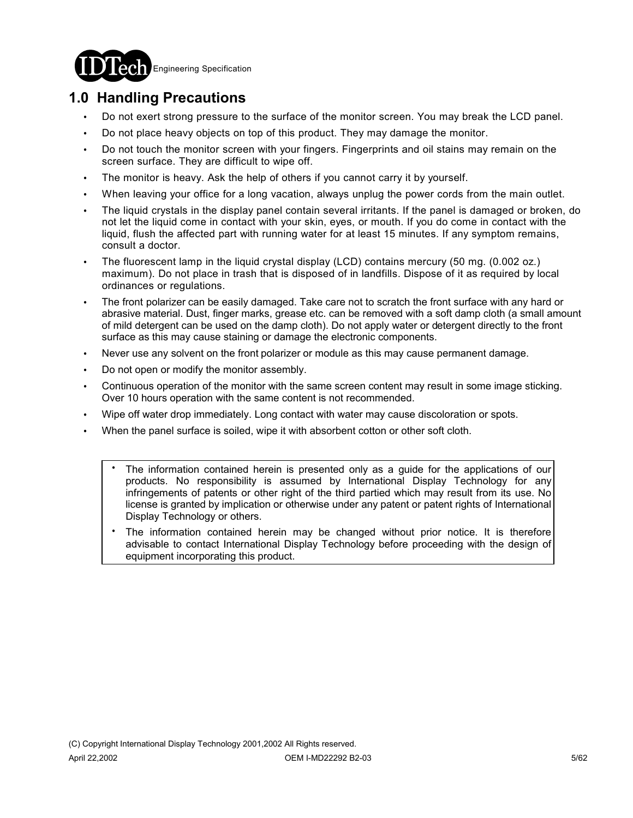

# **1.0 Handling Precautions**

- ! Do not exert strong pressure to the surface of the monitor screen. You may break the LCD panel.
- ! Do not place heavy objects on top of this product. They may damage the monitor.
- ! Do not touch the monitor screen with your fingers. Fingerprints and oil stains may remain on the screen surface. They are difficult to wipe off.
- The monitor is heavy. Ask the help of others if you cannot carry it by yourself.
- When leaving your office for a long vacation, always unplug the power cords from the main outlet.
- ! The liquid crystals in the display panel contain several irritants. If the panel is damaged or broken, do not let the liquid come in contact with your skin, eyes, or mouth. If you do come in contact with the liquid, flush the affected part with running water for at least 15 minutes. If any symptom remains, consult a doctor.
- ! The fluorescent lamp in the liquid crystal display (LCD) contains mercury (50 mg. (0.002 oz.) maximum). Do not place in trash that is disposed of in landfills. Dispose of it as required by local ordinances or regulations.
- The front polarizer can be easily damaged. Take care not to scratch the front surface with any hard or abrasive material. Dust, finger marks, grease etc. can be removed with a soft damp cloth (a small amount of mild detergent can be used on the damp cloth). Do not apply water or detergent directly to the front surface as this may cause staining or damage the electronic components.
- Never use any solvent on the front polarizer or module as this may cause permanent damage.
- ! Do not open or modify the monitor assembly.
- Continuous operation of the monitor with the same screen content may result in some image sticking. Over 10 hours operation with the same content is not recommended.
- Wipe off water drop immediately. Long contact with water may cause discoloration or spots.
- When the panel surface is soiled, wipe it with absorbent cotton or other soft cloth.
	- The information contained herein is presented only as a guide for the applications of our products. No responsibility is assumed by International Display Technology for any infringements of patents or other right of the third partied which may result from its use. No license is granted by implication or otherwise under any patent or patent rights of International Display Technology or others. .
	- The information contained herein may be changed without prior notice. It is therefore advisable to contact International Display Technology before proceeding with the design of equipment incorporating this product. .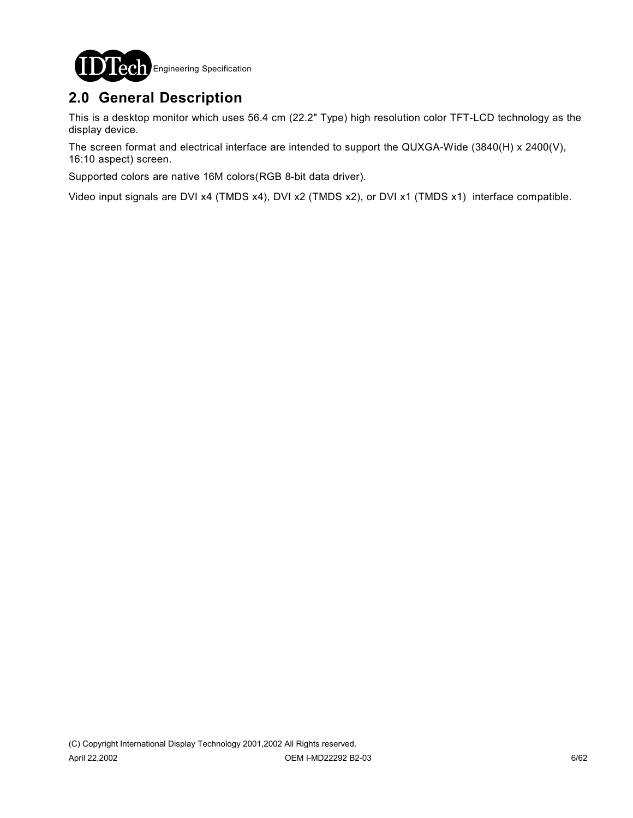

# **2.0 General Description**

This is a desktop monitor which uses 56.4 cm (22.2" Type) high resolution color TFT-LCD technology as the display device.

The screen format and electrical interface are intended to support the QUXGA-Wide (3840(H) x 2400(V), 16:10 aspect) screen.

Supported colors are native 16M colors(RGB 8-bit data driver).

Video input signals are DVI x4 (TMDS x4), DVI x2 (TMDS x2), or DVI x1 (TMDS x1) interface compatible.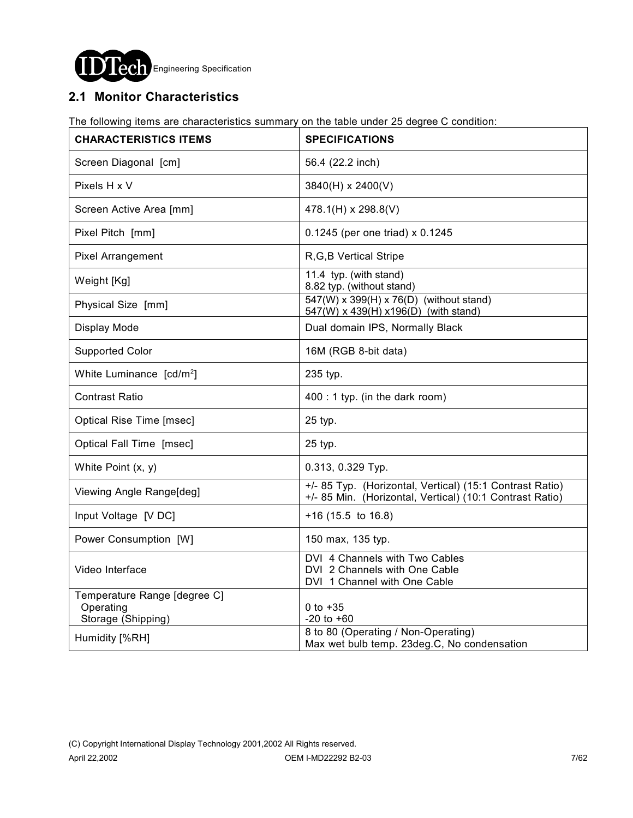

### **2.1 Monitor Characteristics**

The following items are characteristics summary on the table under 25 degree C condition:

| <b>CHARACTERISTICS ITEMS</b>                                    | <b>SPECIFICATIONS</b>                                                                                                |
|-----------------------------------------------------------------|----------------------------------------------------------------------------------------------------------------------|
| Screen Diagonal [cm]                                            | 56.4 (22.2 inch)                                                                                                     |
| Pixels H x V                                                    | 3840(H) x 2400(V)                                                                                                    |
| Screen Active Area [mm]                                         | 478.1(H) x 298.8(V)                                                                                                  |
| Pixel Pitch [mm]                                                | 0.1245 (per one triad) x 0.1245                                                                                      |
| <b>Pixel Arrangement</b>                                        | R, G, B Vertical Stripe                                                                                              |
| Weight [Kg]                                                     | 11.4 typ. (with stand)<br>8.82 typ. (without stand)                                                                  |
| Physical Size [mm]                                              | 547(W) x 399(H) x 76(D) (without stand)<br>547(W) x 439(H) x 196(D) (with stand)                                     |
| Display Mode                                                    | Dual domain IPS, Normally Black                                                                                      |
| <b>Supported Color</b>                                          | 16M (RGB 8-bit data)                                                                                                 |
| White Luminance $[cd/m^2]$                                      | 235 typ.                                                                                                             |
| <b>Contrast Ratio</b>                                           | 400 : 1 typ. (in the dark room)                                                                                      |
| Optical Rise Time [msec]                                        | 25 typ.                                                                                                              |
| Optical Fall Time [msec]                                        | 25 typ.                                                                                                              |
| White Point (x, y)                                              | 0.313, 0.329 Typ.                                                                                                    |
| Viewing Angle Range[deg]                                        | +/- 85 Typ. (Horizontal, Vertical) (15:1 Contrast Ratio)<br>+/- 85 Min. (Horizontal, Vertical) (10:1 Contrast Ratio) |
| Input Voltage [V DC]                                            | $+16$ (15.5 to 16.8)                                                                                                 |
| Power Consumption [W]                                           | 150 max, 135 typ.                                                                                                    |
| Video Interface                                                 | DVI 4 Channels with Two Cables<br>DVI 2 Channels with One Cable<br>DVI 1 Channel with One Cable                      |
| Temperature Range [degree C]<br>Operating<br>Storage (Shipping) | 0 to $+35$<br>$-20$ to $+60$                                                                                         |
| Humidity [%RH]                                                  | 8 to 80 (Operating / Non-Operating)<br>Max wet bulb temp. 23deg.C, No condensation                                   |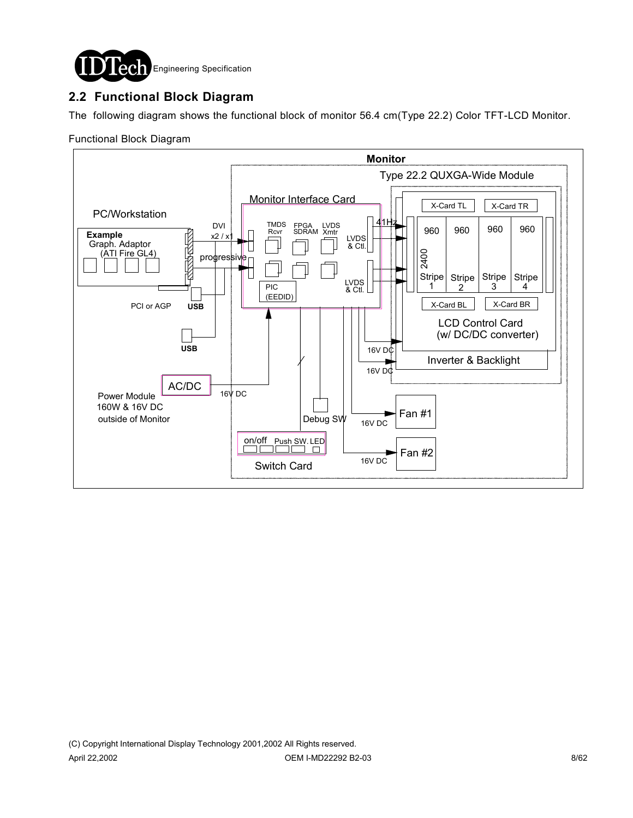

### **2.2 Functional Block Diagram**

The following diagram shows the functional block of monitor 56.4 cm(Type 22.2) Color TFT-LCD Monitor.

#### Functional Block Diagram

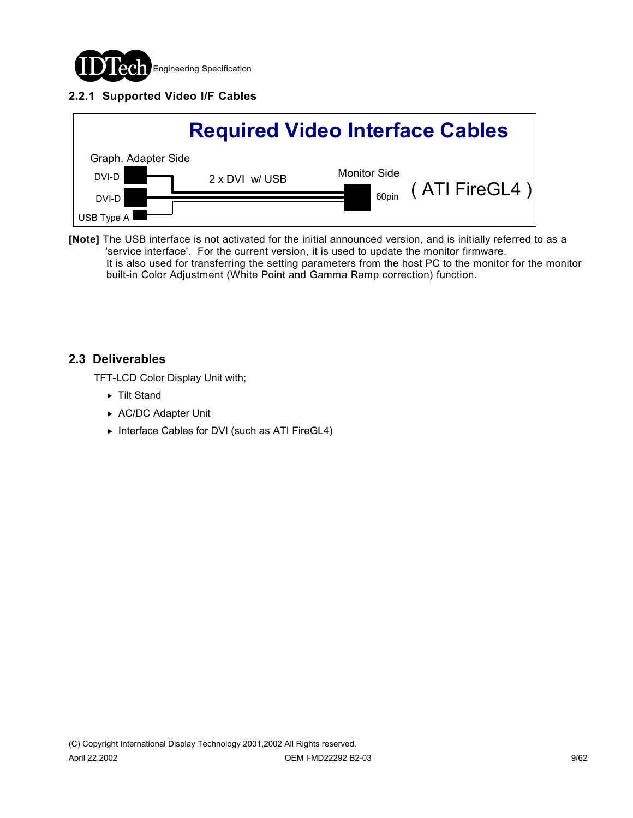

### **2.2.1 Supported Video I/F Cables**



**[Note]** The USB interface is not activated for the initial announced version, and is initially referred to as a 'service interface'. For the current version, it is used to update the monitor firmware. It is also used for transferring the setting parameters from the host PC to the monitor for the monitor built-in Color Adjustment (White Point and Gamma Ramp correction) function.

### **2.3 Deliverables**

TFT-LCD Color Display Unit with;

- ▶ Tilt Stand
- ▶ AC/DC Adapter Unit
- ▶ Interface Cables for DVI (such as ATI FireGL4)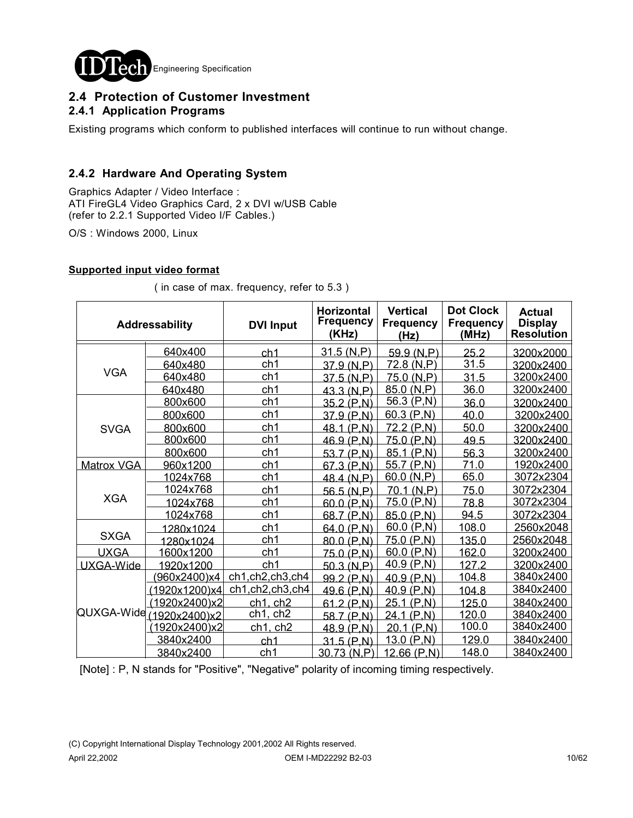

### **2.4 Protection of Customer Investment 2.4.1 Application Programs**

Existing programs which conform to published interfaces will continue to run without change.

### **2.4.2 Hardware And Operating System**

Graphics Adapter / Video Interface : ATI FireGL4 Video Graphics Card, 2 x DVI w/USB Cable (refer to 2.2.1 Supported Video I/F Cables.)

O/S : Windows 2000, Linux

#### **Supported input video format**

|                          | Addressability | <b>DVI Input</b> | <b>Horizontal</b><br><b>Frequency</b><br>(KHz) | <b>Vertical</b><br><b>Frequency</b><br>(Hz) | <b>Dot Clock</b><br><b>Frequency</b><br>(MHz) | <b>Actual</b><br><b>Display</b><br><b>Resolution</b> |
|--------------------------|----------------|------------------|------------------------------------------------|---------------------------------------------|-----------------------------------------------|------------------------------------------------------|
|                          | 640x400        | ch <sub>1</sub>  | 31.5 (N,P)                                     | 59.9(N,P)                                   | 25.2                                          | 3200x2000                                            |
|                          | 640x480        | ch <sub>1</sub>  | 37.9 (N,P)                                     | 72.8 (N,P)                                  | 31.5                                          | 3200x2400                                            |
| <b>VGA</b>               | 640x480        | ch1              | 37.5 (N,P)                                     | 75.0 (N.P)                                  | 31.5                                          | 3200x2400                                            |
|                          | 640x480        | ch <sub>1</sub>  | 43.3 (N,P)                                     | 85.0(N,P)                                   | 36.0                                          | 3200x2400                                            |
|                          | 800x600        | ch1              | 35.2 (P,N)                                     | 56.3(P,N)                                   | 36.0                                          | 3200x2400                                            |
|                          | 800x600        | ch1              | 37.9(P,N)                                      | 60.3(P,N)                                   | 40.0                                          | 3200x2400                                            |
| <b>SVGA</b>              | 800x600        | ch <sub>1</sub>  | 48.1 (P,N)                                     | 72.2 (P,N)                                  | 50.0                                          | 3200x2400                                            |
|                          | 800x600        | ch1              | 46.9(P,N)                                      | 75.0 (P,N)                                  | 49.5                                          | 3200x2400                                            |
|                          | 800x600        | ch1              | 53.7 (P,N)                                     | 85.1 (P,N)                                  | 56.3                                          | 3200x2400                                            |
| <b>Matrox VGA</b>        | 960x1200       | ch <sub>1</sub>  | 67.3 (P,N)                                     | 55.7(P,N)                                   | 71.0                                          | 1920x2400                                            |
|                          | 1024x768       | ch1              | 48.4 (N,P)                                     | 60.0 (N, P)                                 | 65.0                                          | 3072x2304                                            |
|                          | 1024x768       | ch <sub>1</sub>  | 56.5 (N.P)                                     | 70.1 (N.P)                                  | 75.0                                          | 3072x2304                                            |
| <b>XGA</b>               | 1024x768       | ch <sub>1</sub>  | 60.0 (P,N)                                     | 75.0(P,N)                                   | 78.8                                          | 3072x2304                                            |
|                          | 1024x768       | ch <sub>1</sub>  | 68.7 (P,N)                                     | 85.0 (P,N)                                  | 94.5                                          | 3072x2304                                            |
|                          | 1280x1024      | ch <sub>1</sub>  | 64.0 (P,N)                                     | 60.0(P,N)                                   | 108.0                                         | 2560x2048                                            |
| <b>SXGA</b>              | 1280x1024      | ch <sub>1</sub>  | 80.0 (P,N)                                     | 75.0(P,N)                                   | 135.0                                         | 2560x2048                                            |
| <b>UXGA</b>              | 1600x1200      | ch1              | 75.0 (P,N)                                     | 60.0(P,N)                                   | 162.0                                         | 3200x2400                                            |
| UXGA-Wide                | 1920x1200      | ch <sub>1</sub>  | 50.3 (N,P)                                     | 40.9 $(P,N)$                                | 127.2                                         | 3200x2400                                            |
|                          | 960x2400)x4    | ch1,ch2,ch3,ch4  | 99.2 (P,N)                                     | 40.9(P,N)                                   | 104.8                                         | 3840x2400                                            |
| QUXGA-Wide (1920x2400)x2 | (1920x1200)x4  | ch1,ch2,ch3,ch4  | 49.6(P,N)                                      | 40.9(P,N)                                   | 104.8                                         | 3840x2400                                            |
|                          | (1920x2400)x2  | $ch1$ , $ch2$    | 61.2 (P,N)                                     | 25.1 (P,N)                                  | 125.0                                         | 3840x2400                                            |
|                          |                | ch1, ch2         | 58.7(P,N)                                      | 24.1 (P,N)                                  | 120.0                                         | 3840x2400                                            |
|                          | (1920x2400)x2  | $ch1$ , $ch2$    | 48.9 (P,N)                                     | 20.1 (P,N)                                  | 100.0                                         | 3840x2400                                            |
|                          | 3840x2400      | ch <sub>1</sub>  | $31.5$ (P,N)                                   | 13.0(P,N)                                   | 129.0                                         | 3840x2400                                            |
|                          | 3840x2400      | ch1              | 30.73 (N,P)                                    | $12.66$ (P,N)                               | 148.0                                         | 3840x2400                                            |

( in case of max. frequency, refer to 5.3 )

[Note] : P, N stands for "Positive", "Negative" polarity of incoming timing respectively.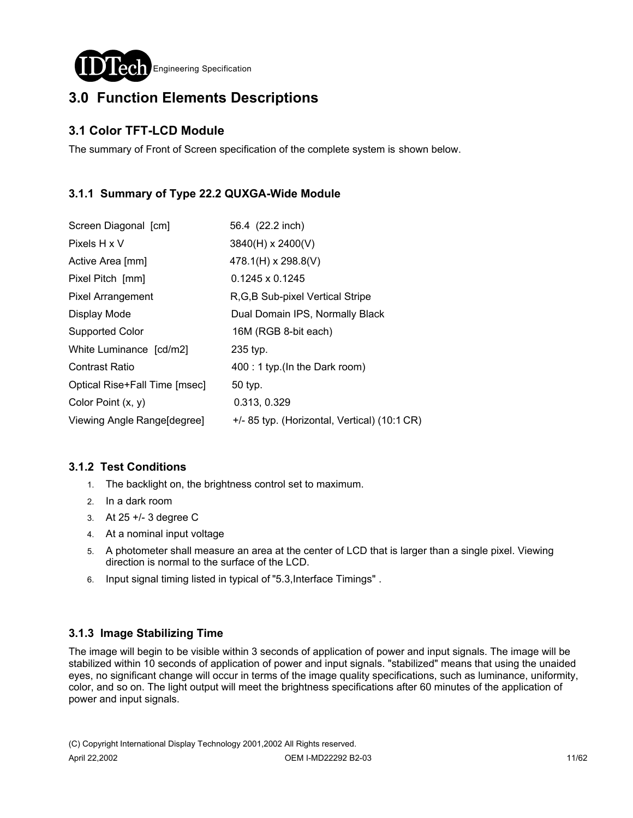

# **3.0 Function Elements Descriptions**

### **3.1 Color TFT-LCD Module**

The summary of Front of Screen specification of the complete system is shown below.

### **3.1.1 Summary of Type 22.2 QUXGA-Wide Module**

| Screen Diagonal [cm]          | 56.4 (22.2 inch)                             |
|-------------------------------|----------------------------------------------|
| Pixels H x V                  | 3840(H) x 2400(V)                            |
| Active Area [mm]              | 478.1(H) x 298.8(V)                          |
| Pixel Pitch [mm]              | $0.1245 \times 0.1245$                       |
| <b>Pixel Arrangement</b>      | R, G, B Sub-pixel Vertical Stripe            |
| Display Mode                  | Dual Domain IPS, Normally Black              |
| Supported Color               | 16M (RGB 8-bit each)                         |
| White Luminance [cd/m2]       | 235 typ.                                     |
| <b>Contrast Ratio</b>         | 400 : 1 typ.(In the Dark room)               |
| Optical Rise+Fall Time [msec] | 50 typ.                                      |
| Color Point $(x, y)$          | 0.313, 0.329                                 |
| Viewing Angle Range[degree]   | +/- 85 typ. (Horizontal, Vertical) (10:1 CR) |

### **3.1.2 Test Conditions**

- 1. The backlight on, the brightness control set to maximum.
- 2. In a dark room
- 3. At 25 +/- 3 degree C
- 4. At a nominal input voltage
- 5. A photometer shall measure an area at the center of LCD that is larger than a single pixel. Viewing direction is normal to the surface of the LCD.
- 6. Input signal timing listed in typical of "5.3,Interface Timings" .

### **3.1.3 Image Stabilizing Time**

The image will begin to be visible within 3 seconds of application of power and input signals. The image will be stabilized within 10 seconds of application of power and input signals. "stabilized" means that using the unaided eyes, no significant change will occur in terms of the image quality specifications, such as luminance, uniformity, color, and so on. The light output will meet the brightness specifications after 60 minutes of the application of power and input signals.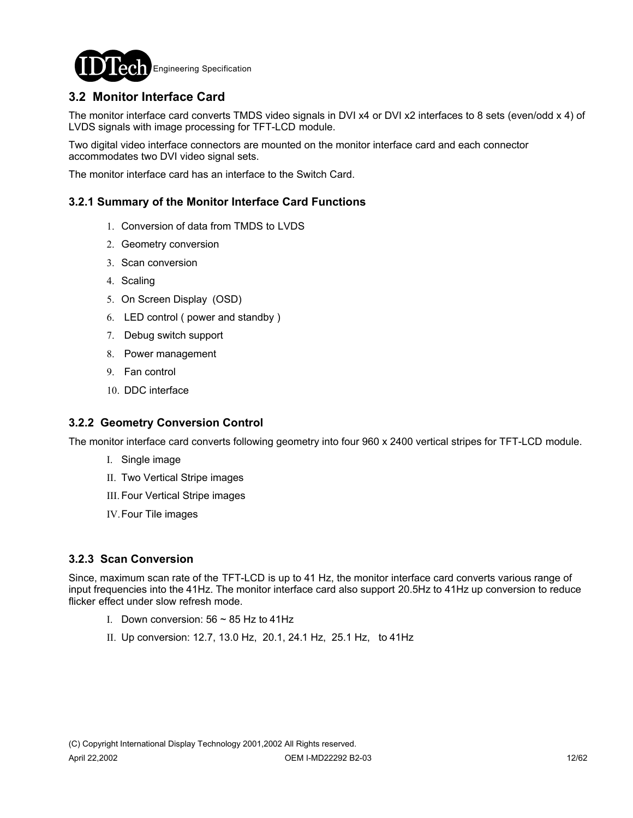

### **3.2 Monitor Interface Card**

The monitor interface card converts TMDS video signals in DVI x4 or DVI x2 interfaces to 8 sets (even/odd x 4) of LVDS signals with image processing for TFT-LCD module.

Two digital video interface connectors are mounted on the monitor interface card and each connector accommodates two DVI video signal sets.

The monitor interface card has an interface to the Switch Card.

#### **3.2.1 Summary of the Monitor Interface Card Functions**

- 1. Conversion of data from TMDS to LVDS
- 2. Geometry conversion
- 3. Scan conversion
- 4. Scaling
- 5. On Screen Display (OSD)
- 6. LED control ( power and standby )
- 7. Debug switch support
- 8. Power management
- 9. Fan control
- 10. DDC interface

#### **3.2.2 Geometry Conversion Control**

The monitor interface card converts following geometry into four 960 x 2400 vertical stripes for TFT-LCD module.

- I. Single image
- II. Two Vertical Stripe images
- III. Four Vertical Stripe images
- IV.Four Tile images

#### **3.2.3 Scan Conversion**

Since, maximum scan rate of the TFT-LCD is up to 41 Hz, the monitor interface card converts various range of input frequencies into the 41Hz. The monitor interface card also support 20.5Hz to 41Hz up conversion to reduce flicker effect under slow refresh mode.

- I. Down conversion:  $56 \sim 85$  Hz to 41Hz
- II. Up conversion: 12.7, 13.0 Hz, 20.1, 24.1 Hz, 25.1 Hz, to 41Hz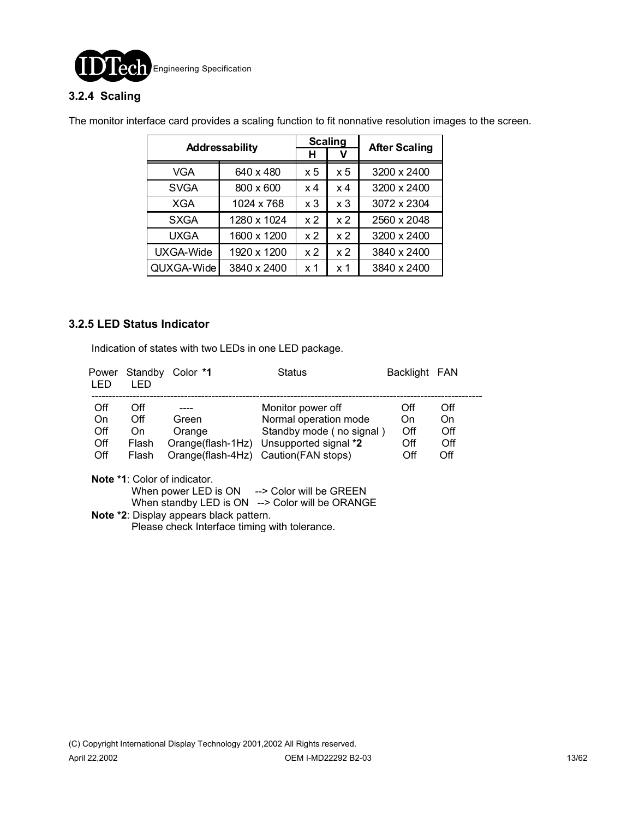

### **3.2.4 Scaling**

|                  | <b>Scaling</b> |                | <b>After Scaling</b> |             |
|------------------|----------------|----------------|----------------------|-------------|
|                  | Addressability |                |                      |             |
| VGA              | 640 x 480      | $\times 5$     | x 5                  | 3200 x 2400 |
| <b>SVGA</b>      | 800 x 600      | x 4            | $\times 4$           | 3200 x 2400 |
| XGA              | 1024 x 768     | x <sub>3</sub> | x <sub>3</sub>       | 3072 x 2304 |
| <b>SXGA</b>      | 1280 x 1024    | x <sub>2</sub> | x <sub>2</sub>       | 2560 x 2048 |
| <b>UXGA</b>      | 1600 x 1200    | x <sub>2</sub> | x <sub>2</sub>       | 3200 x 2400 |
| <b>UXGA-Wide</b> | 1920 x 1200    | x <sub>2</sub> | x <sub>2</sub>       | 3840 x 2400 |
| QUXGA-Wide       | 3840 x 2400    | x 1            | x 1                  | 3840 x 2400 |

The monitor interface card provides a scaling function to fit nonnative resolution images to the screen.

#### **3.2.5 LED Status Indicator**

Indication of states with two LEDs in one LED package.

| Power<br>I FD | Standby<br>I FD | Color *1 | <b>Status</b>                           | Backlight FAN |     |
|---------------|-----------------|----------|-----------------------------------------|---------------|-----|
| Off           | Off             |          | Monitor power off                       | Off           | Off |
| On            | Off             | Green    | Normal operation mode                   | On            | On  |
| Off           | On.             | Orange   | Standby mode (no signal)                | Off           | Off |
| Off           | Flash           |          | Orange(flash-1Hz) Unsupported signal *2 | Off           | Off |
| Off           | Flash           |          | Orange(flash-4Hz) Caution(FAN stops)    | Off           | Off |

**Note \*1**: Color of indicator.

When power LED is ON --> Color will be GREEN

When standby LED is ON --> Color will be ORANGE

 **Note \*2**: Display appears black pattern. Please check Interface timing with tolerance.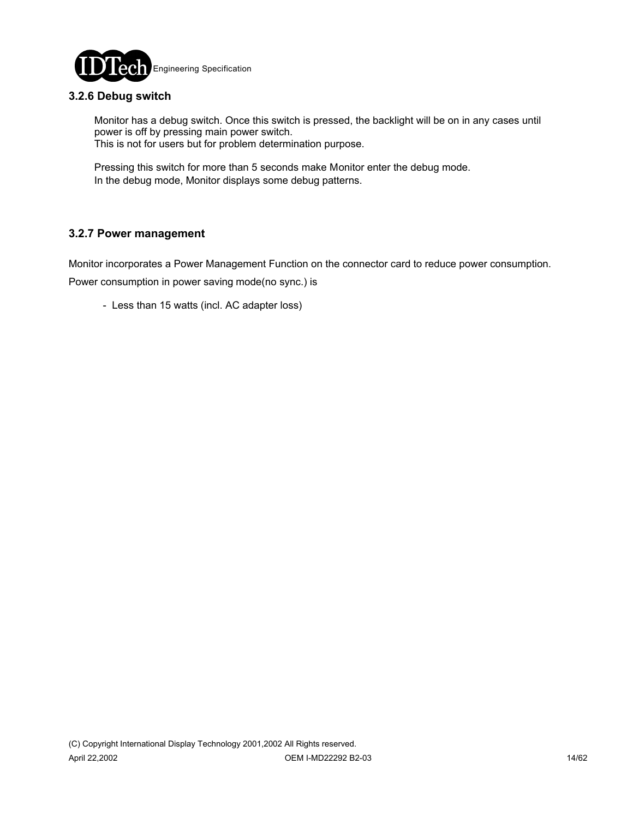

### **3.2.6 Debug switch**

 Monitor has a debug switch. Once this switch is pressed, the backlight will be on in any cases until power is off by pressing main power switch. This is not for users but for problem determination purpose.

 Pressing this switch for more than 5 seconds make Monitor enter the debug mode. In the debug mode, Monitor displays some debug patterns.

#### **3.2.7 Power management**

Monitor incorporates a Power Management Function on the connector card to reduce power consumption. Power consumption in power saving mode(no sync.) is

- Less than 15 watts (incl. AC adapter loss)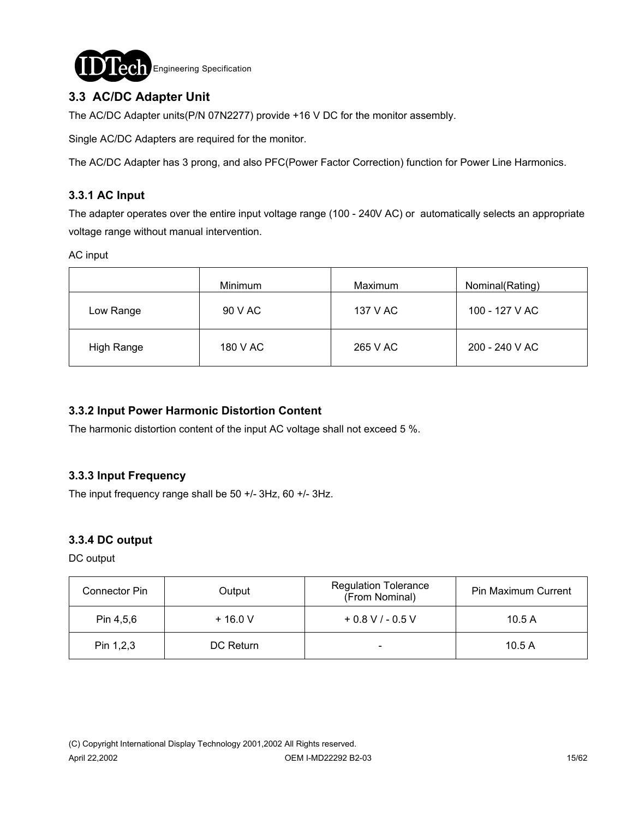

### **3.3 AC/DC Adapter Unit**

The AC/DC Adapter units(P/N 07N2277) provide +16 V DC for the monitor assembly.

Single AC/DC Adapters are required for the monitor.

The AC/DC Adapter has 3 prong, and also PFC(Power Factor Correction) function for Power Line Harmonics.

### **3.3.1 AC Input**

The adapter operates over the entire input voltage range (100 - 240V AC) or automatically selects an appropriate voltage range without manual intervention.

AC input

|            | Minimum  | Maximum  | Nominal(Rating) |
|------------|----------|----------|-----------------|
| Low Range  | 90 V AC  | 137 V AC | 100 - 127 V AC  |
| High Range | 180 V AC | 265 V AC | 200 - 240 V AC  |

#### **3.3.2 Input Power Harmonic Distortion Content**

The harmonic distortion content of the input AC voltage shall not exceed 5 %.

#### **3.3.3 Input Frequency**

The input frequency range shall be 50 +/- 3Hz, 60 +/- 3Hz.

### **3.3.4 DC output**

DC output

| Connector Pin | Output    | <b>Regulation Tolerance</b><br>(From Nominal) | Pin Maximum Current |
|---------------|-----------|-----------------------------------------------|---------------------|
| Pin 4,5,6     | $+16.0V$  | $+0.8$ V / - 0.5 V                            | 10.5A               |
| Pin $1,2,3$   | DC Return | -                                             | 10.5A               |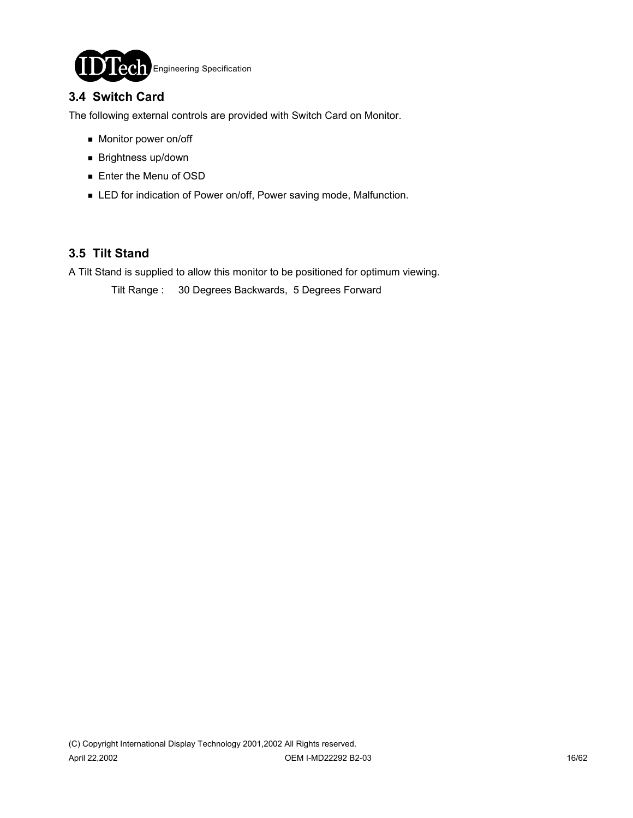

### **3.4 Switch Card**

The following external controls are provided with Switch Card on Monitor.

- **Monitor power on/off**
- **Brightness up/down**
- **Enter the Menu of OSD**
- **EXECT** for indication of Power on/off, Power saving mode, Malfunction.

### **3.5 Tilt Stand**

A Tilt Stand is supplied to allow this monitor to be positioned for optimum viewing.

Tilt Range : 30 Degrees Backwards, 5 Degrees Forward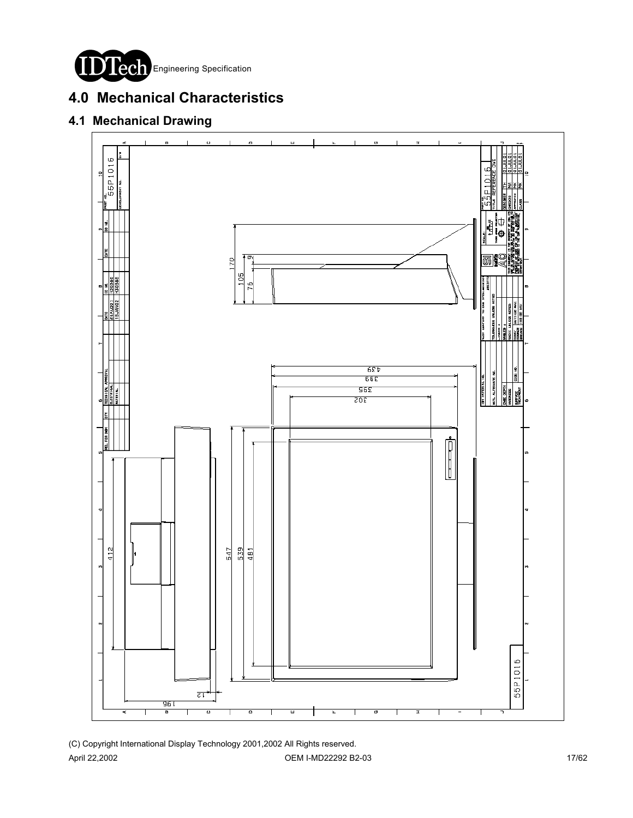

# **4.0 Mechanical Characteristics**

# **4.1 Mechanical Drawing**



(C) Copyright International Display Technology 2001,2002 All Rights reserved. April 22,2002 **OEM I-MD22292 B2-03 OEM I-MD22292 B2-03** 17/62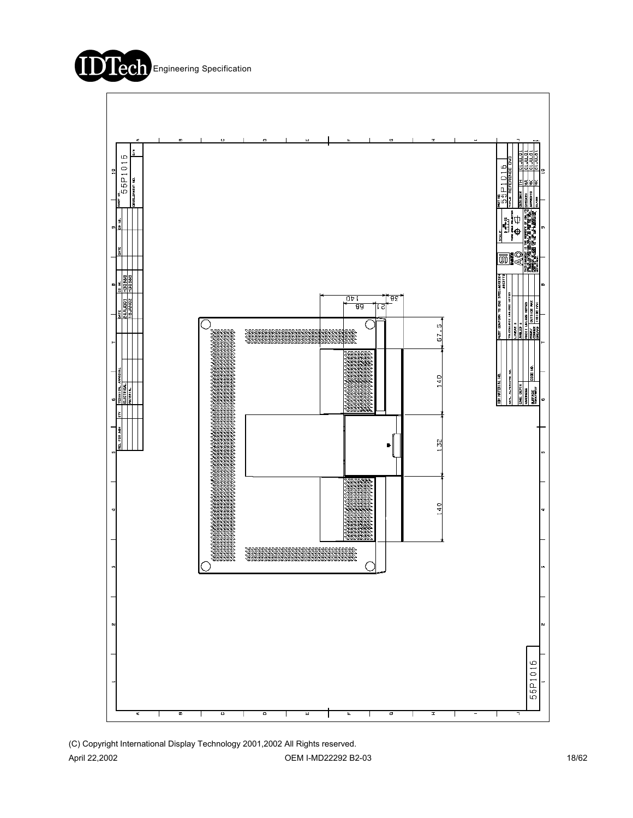



(C) Copyright International Display Technology 2001,2002 All Rights reserved. April 22,2002 **OEM I-MD22292 B2-03 OEM I-MD22292 B2-03** 18/62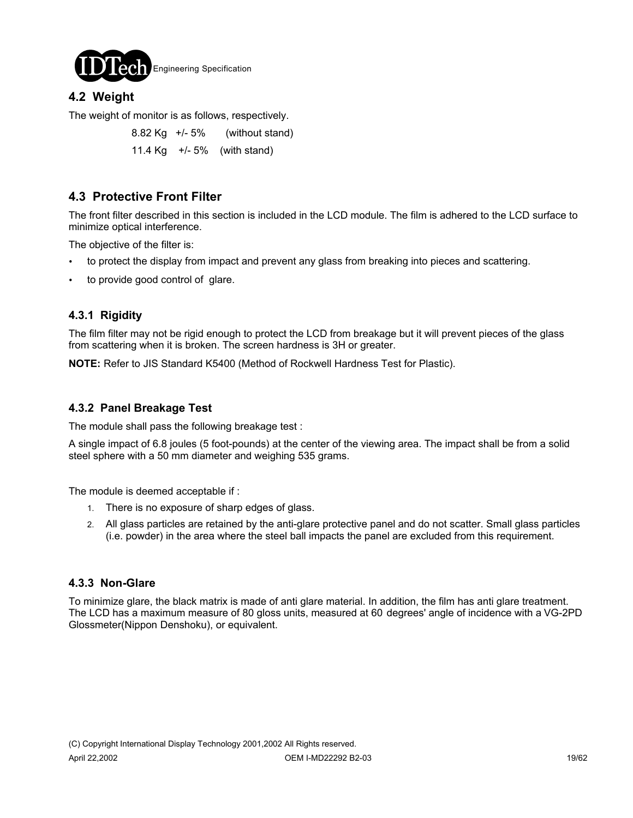

### **4.2 Weight**

The weight of monitor is as follows, respectively.

 8.82 Kg +/- 5% (without stand) 11.4 Kg +/- 5% (with stand)

### **4.3 Protective Front Filter**

The front filter described in this section is included in the LCD module. The film is adhered to the LCD surface to minimize optical interference.

The objective of the filter is:

- to protect the display from impact and prevent any glass from breaking into pieces and scattering.
- to provide good control of glare.

#### **4.3.1 Rigidity**

The film filter may not be rigid enough to protect the LCD from breakage but it will prevent pieces of the glass from scattering when it is broken. The screen hardness is 3H or greater.

**NOTE:** Refer to JIS Standard K5400 (Method of Rockwell Hardness Test for Plastic).

#### **4.3.2 Panel Breakage Test**

The module shall pass the following breakage test :

A single impact of 6.8 joules (5 foot-pounds) at the center of the viewing area. The impact shall be from a solid steel sphere with a 50 mm diameter and weighing 535 grams.

The module is deemed acceptable if :

- 1. There is no exposure of sharp edges of glass.
- 2. All glass particles are retained by the anti-glare protective panel and do not scatter. Small glass particles (i.e. powder) in the area where the steel ball impacts the panel are excluded from this requirement.

#### **4.3.3 Non-Glare**

To minimize glare, the black matrix is made of anti glare material. In addition, the film has anti glare treatment. The LCD has a maximum measure of 80 gloss units, measured at 60 degrees' angle of incidence with a VG-2PD Glossmeter(Nippon Denshoku), or equivalent.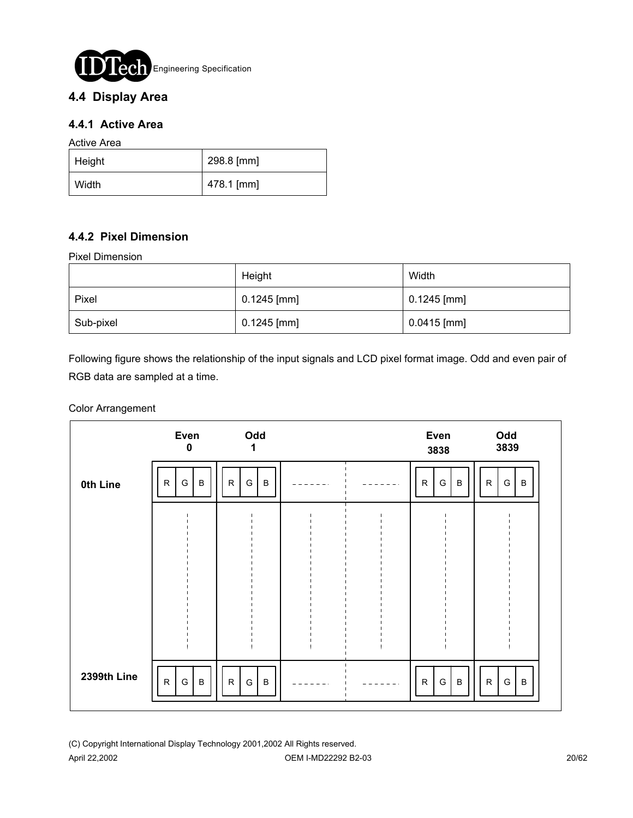

### **4.4 Display Area**

### **4.4.1 Active Area**

Active Area

| $\vert$ Height | 298.8 [mm] |
|----------------|------------|
| Width          | 478.1 [mm] |

### **4.4.2 Pixel Dimension**

Pixel Dimension

|           | Height        | Width         |
|-----------|---------------|---------------|
| Pixel     | $0.1245$ [mm] | $0.1245$ [mm] |
| Sub-pixel | $0.1245$ [mm] | $0.0415$ [mm] |

Following figure shows the relationship of the input signals and LCD pixel format image. Odd and even pair of RGB data are sampled at a time.

#### Color Arrangement

|             | Even<br>$\mathbf 0$               | Odd<br>1                                      |        | Even<br>3838                                  | Odd<br>3839                                   |
|-------------|-----------------------------------|-----------------------------------------------|--------|-----------------------------------------------|-----------------------------------------------|
| 0th Line    | $\, {\bf B}$<br>$\mathsf{R}$<br>G | $\mathsf R$<br>G<br>B                         | $\sim$ | G<br>$\mathsf{R}$<br>B                        | G<br>R<br>B                                   |
|             |                                   |                                               |        |                                               |                                               |
|             |                                   |                                               |        |                                               |                                               |
|             |                                   |                                               |        |                                               |                                               |
|             |                                   |                                               |        |                                               |                                               |
| 2399th Line | ${\sf R}$<br>G<br>$\sf B$         | $\mathsf{R}$<br>${\mathsf G}$<br>$\, {\bf B}$ |        | ${\mathsf G}$<br>$\mathsf{R}$<br>$\, {\bf B}$ | $\mathsf{R}$<br>${\mathsf G}$<br>$\, {\bf B}$ |

(C) Copyright International Display Technology 2001,2002 All Rights reserved. April 22,2002 20/62 20:00 20:00 20:00 20:00 20:00 DEM I-MD22292 B2-03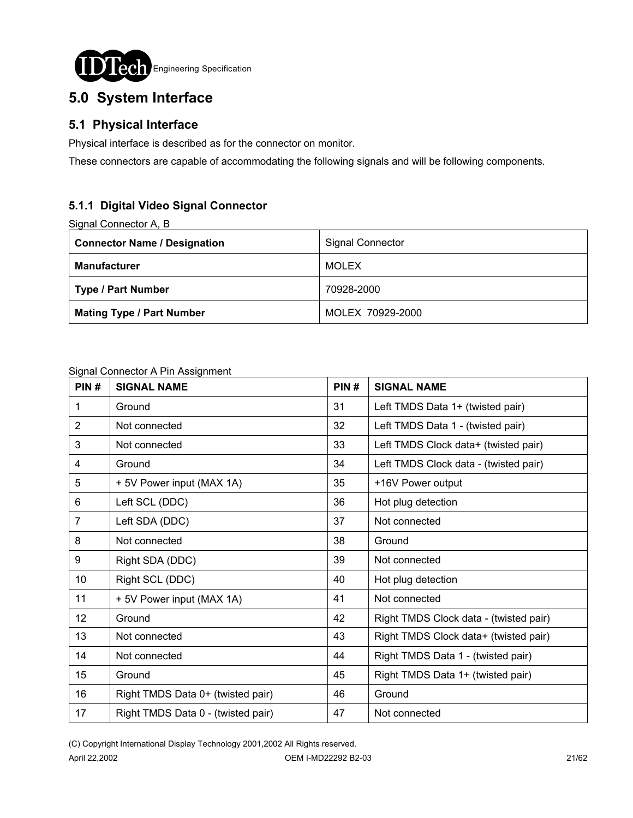

# **5.0 System Interface**

### **5.1 Physical Interface**

Physical interface is described as for the connector on monitor.

These connectors are capable of accommodating the following signals and will be following components.

### **5.1.1 Digital Video Signal Connector**

Signal Connector A, B

| <b>Connector Name / Designation</b> | <b>Signal Connector</b> |
|-------------------------------------|-------------------------|
| <b>Manufacturer</b>                 | MOLEX                   |
| <b>Type / Part Number</b>           | 70928-2000              |
| <b>Mating Type / Part Number</b>    | MOLEX 70929-2000        |

#### Signal Connector A Pin Assignment

| PIN#           | <b>SIGNAL NAME</b>                 | PIN# | <b>SIGNAL NAME</b>                     |
|----------------|------------------------------------|------|----------------------------------------|
| 1              | Ground                             | 31   | Left TMDS Data 1+ (twisted pair)       |
| 2              | Not connected                      | 32   | Left TMDS Data 1 - (twisted pair)      |
| 3              | Not connected                      | 33   | Left TMDS Clock data+ (twisted pair)   |
| 4              | Ground                             | 34   | Left TMDS Clock data - (twisted pair)  |
| 5              | + 5V Power input (MAX 1A)          | 35   | +16V Power output                      |
| 6              | Left SCL (DDC)                     | 36   | Hot plug detection                     |
| $\overline{7}$ | Left SDA (DDC)                     | 37   | Not connected                          |
| 8              | Not connected                      | 38   | Ground                                 |
| 9              | Right SDA (DDC)                    | 39   | Not connected                          |
| 10             | Right SCL (DDC)                    | 40   | Hot plug detection                     |
| 11             | + 5V Power input (MAX 1A)          | 41   | Not connected                          |
| 12             | Ground                             | 42   | Right TMDS Clock data - (twisted pair) |
| 13             | Not connected                      | 43   | Right TMDS Clock data+ (twisted pair)  |
| 14             | Not connected                      | 44   | Right TMDS Data 1 - (twisted pair)     |
| 15             | Ground                             | 45   | Right TMDS Data 1+ (twisted pair)      |
| 16             | Right TMDS Data 0+ (twisted pair)  | 46   | Ground                                 |
| 17             | Right TMDS Data 0 - (twisted pair) | 47   | Not connected                          |

(C) Copyright International Display Technology 2001,2002 All Rights reserved.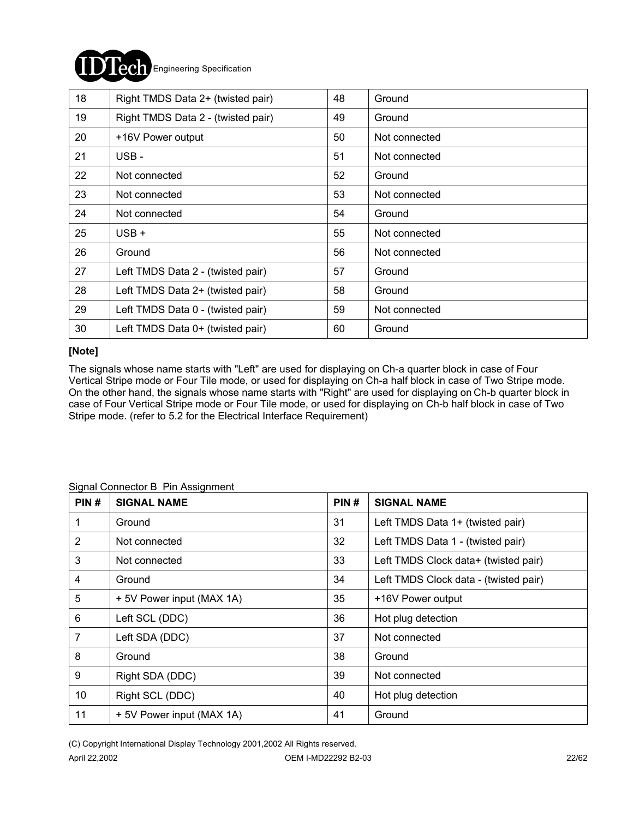# Engineering Specification

| 18 | Right TMDS Data 2+ (twisted pair)  | 48 | Ground        |
|----|------------------------------------|----|---------------|
| 19 | Right TMDS Data 2 - (twisted pair) | 49 | Ground        |
| 20 | +16V Power output                  | 50 | Not connected |
| 21 | USB-                               | 51 | Not connected |
| 22 | Not connected                      | 52 | Ground        |
| 23 | Not connected                      | 53 | Not connected |
| 24 | Not connected                      | 54 | Ground        |
| 25 | $USB +$                            | 55 | Not connected |
| 26 | Ground                             | 56 | Not connected |
| 27 | Left TMDS Data 2 - (twisted pair)  | 57 | Ground        |
| 28 | Left TMDS Data 2+ (twisted pair)   | 58 | Ground        |
| 29 | Left TMDS Data 0 - (twisted pair)  | 59 | Not connected |
| 30 | Left TMDS Data 0+ (twisted pair)   | 60 | Ground        |

#### **[Note]**

The signals whose name starts with "Left" are used for displaying on Ch-a quarter block in case of Four Vertical Stripe mode or Four Tile mode, or used for displaying on Ch-a half block in case of Two Stripe mode. On the other hand, the signals whose name starts with "Right" are used for displaying on Ch-b quarter block in case of Four Vertical Stripe mode or Four Tile mode, or used for displaying on Ch-b half block in case of Two Stripe mode. (refer to 5.2 for the Electrical Interface Requirement)

| PIN#           | <b>SIGNAL NAME</b>        | PIN# | <b>SIGNAL NAME</b>                    |
|----------------|---------------------------|------|---------------------------------------|
| 1              | Ground                    | 31   | Left TMDS Data 1+ (twisted pair)      |
| $\overline{2}$ | Not connected             | 32   | Left TMDS Data 1 - (twisted pair)     |
| 3              | Not connected             | 33   | Left TMDS Clock data+ (twisted pair)  |
| 4              | Ground                    | 34   | Left TMDS Clock data - (twisted pair) |
| 5              | + 5V Power input (MAX 1A) | 35   | +16V Power output                     |
| 6              | Left SCL (DDC)            | 36   | Hot plug detection                    |
| 7              | Left SDA (DDC)            | 37   | Not connected                         |
| 8              | Ground                    | 38   | Ground                                |
| 9              | Right SDA (DDC)           | 39   | Not connected                         |
| 10             | Right SCL (DDC)           | 40   | Hot plug detection                    |
| 11             | + 5V Power input (MAX 1A) | 41   | Ground                                |

#### Signal Connector B Pin Assignment

(C) Copyright International Display Technology 2001,2002 All Rights reserved.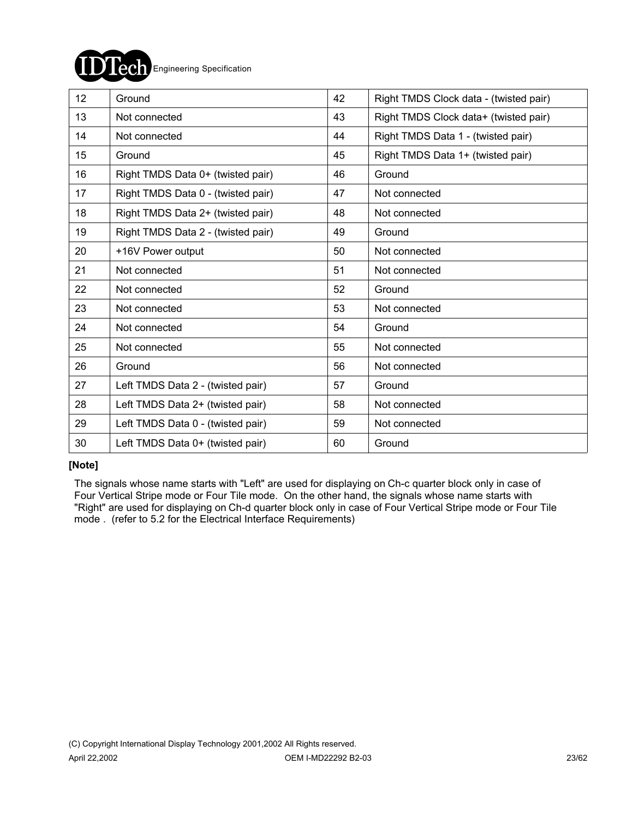

| 12 <sup>2</sup> | Ground                             | 42 | Right TMDS Clock data - (twisted pair) |
|-----------------|------------------------------------|----|----------------------------------------|
| 13              | Not connected                      | 43 | Right TMDS Clock data+ (twisted pair)  |
| 14              | Not connected                      | 44 | Right TMDS Data 1 - (twisted pair)     |
| 15              | Ground                             | 45 | Right TMDS Data 1+ (twisted pair)      |
| 16              | Right TMDS Data 0+ (twisted pair)  | 46 | Ground                                 |
| 17              | Right TMDS Data 0 - (twisted pair) | 47 | Not connected                          |
| 18              | Right TMDS Data 2+ (twisted pair)  | 48 | Not connected                          |
| 19              | Right TMDS Data 2 - (twisted pair) | 49 | Ground                                 |
| 20              | +16V Power output                  | 50 | Not connected                          |
| 21              | Not connected                      | 51 | Not connected                          |
| 22              | Not connected                      | 52 | Ground                                 |
| 23              | Not connected                      | 53 | Not connected                          |
| 24              | Not connected                      | 54 | Ground                                 |
| 25              | Not connected                      | 55 | Not connected                          |
| 26              | Ground                             | 56 | Not connected                          |
| 27              | Left TMDS Data 2 - (twisted pair)  | 57 | Ground                                 |
| 28              | Left TMDS Data 2+ (twisted pair)   | 58 | Not connected                          |
| 29              | Left TMDS Data 0 - (twisted pair)  | 59 | Not connected                          |
| 30              | Left TMDS Data 0+ (twisted pair)   | 60 | Ground                                 |

#### **[Note]**

 The signals whose name starts with "Left" are used for displaying on Ch-c quarter block only in case of Four Vertical Stripe mode or Four Tile mode. On the other hand, the signals whose name starts with "Right" are used for displaying on Ch-d quarter block only in case of Four Vertical Stripe mode or Four Tile mode . (refer to 5.2 for the Electrical Interface Requirements)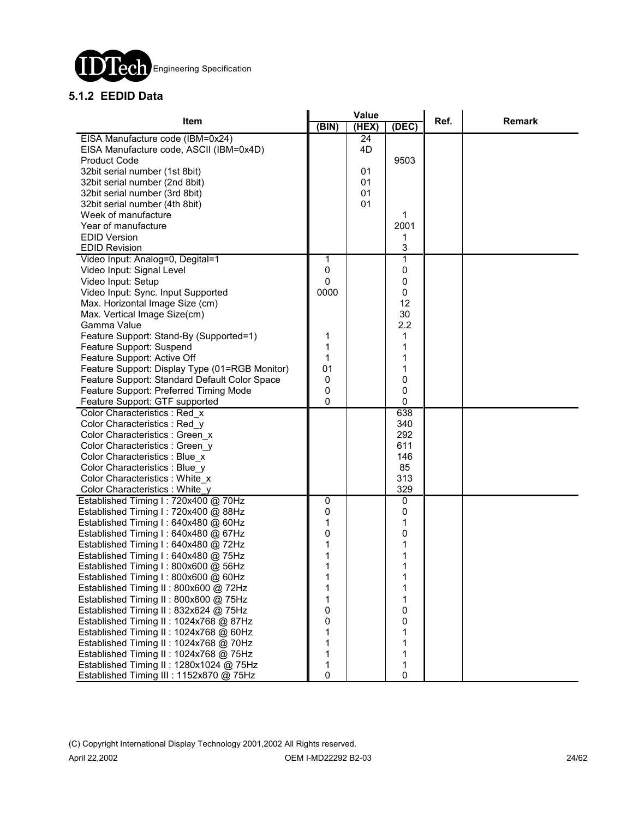

### **5.1.2 EEDID Data**

|                                                | Value          |       |             | Ref. |               |
|------------------------------------------------|----------------|-------|-------------|------|---------------|
| Item                                           | (BIN)          | (HEX) | (DEC)       |      | <b>Remark</b> |
| EISA Manufacture code (IBM=0x24)               |                | 24    |             |      |               |
| EISA Manufacture code, ASCII (IBM=0x4D)        |                | 4D    |             |      |               |
| <b>Product Code</b>                            |                |       | 9503        |      |               |
| 32bit serial number (1st 8bit)                 |                | 01    |             |      |               |
| 32bit serial number (2nd 8bit)                 |                | 01    |             |      |               |
| 32bit serial number (3rd 8bit)                 |                | 01    |             |      |               |
| 32bit serial number (4th 8bit)                 |                | 01    |             |      |               |
| Week of manufacture                            |                |       | 1           |      |               |
| Year of manufacture                            |                |       | 2001        |      |               |
| <b>EDID Version</b>                            |                |       | 1           |      |               |
| <b>EDID Revision</b>                           |                |       | 3           |      |               |
| Video Input: Analog=0, Degital=1               | 1              |       | 1           |      |               |
| Video Input: Signal Level                      | $\pmb{0}$      |       | $\mathbf 0$ |      |               |
| Video Input: Setup                             | $\mathbf 0$    |       | 0           |      |               |
| Video Input: Sync. Input Supported             | 0000           |       | $\mathbf 0$ |      |               |
| Max. Horizontal Image Size (cm)                |                |       | 12          |      |               |
| Max. Vertical Image Size(cm)                   |                |       | 30          |      |               |
| Gamma Value                                    |                |       | 2.2         |      |               |
| Feature Support: Stand-By (Supported=1)        | 1              |       | 1           |      |               |
| Feature Support: Suspend                       | 1              |       | 1           |      |               |
| Feature Support: Active Off                    | 1              |       | 1           |      |               |
| Feature Support: Display Type (01=RGB Monitor) | 01             |       | 1           |      |               |
| Feature Support: Standard Default Color Space  | $\mathbf 0$    |       | 0           |      |               |
| Feature Support: Preferred Timing Mode         | $\mathbf 0$    |       | 0           |      |               |
| Feature Support: GTF supported                 | $\mathbf{0}$   |       | 0           |      |               |
| Color Characteristics : Red x                  |                |       | 638         |      |               |
| Color Characteristics : Red y                  |                |       | 340         |      |               |
| Color Characteristics : Green x                |                |       | 292         |      |               |
| Color Characteristics : Green y                |                |       | 611         |      |               |
| Color Characteristics : Blue x                 |                |       | 146         |      |               |
| Color Characteristics : Blue y                 |                |       | 85          |      |               |
| Color Characteristics : White x                |                |       | 313         |      |               |
| Color Characteristics: White_y                 |                |       | 329         |      |               |
| Established Timing I: 720x400 @ 70Hz           | $\overline{0}$ |       | 0           |      |               |
| Established Timing I: 720x400 @ 88Hz           | $\pmb{0}$      |       | 0           |      |               |
| Established Timing I: 640x480 @ 60Hz           | 1              |       | 1           |      |               |
| Established Timing I: 640x480 @ 67Hz           | 0              |       | 0           |      |               |
| Established Timing I: 640x480 @ 72Hz           | 1              |       | 1           |      |               |
| Established Timing I: 640x480 @ 75Hz           | 1              |       | 1           |      |               |
| Established Timing I: 800x600 @ 56Hz           | 1              |       | 1           |      |               |
| Established Timing I: 800x600 @ 60Hz           |                |       |             |      |               |
| Established Timing II: 800x600 @ 72Hz          | 1              |       | 1           |      |               |
| Established Timing II: 800x600 @ 75Hz          | 1              |       | 1           |      |               |
| Established Timing II: 832x624 @ 75Hz          | 0              |       | 0           |      |               |
| Established Timing II: 1024x768 @ 87Hz         | 0              |       | 0           |      |               |
| Established Timing II: 1024x768 @ 60Hz         | 1              |       | 1           |      |               |
| Established Timing II: 1024x768 @ 70Hz         | 1              |       | 1           |      |               |
| Established Timing II: 1024x768 @ 75Hz         | 1              |       | 1           |      |               |
| Established Timing II: 1280x1024 @ 75Hz        | 1              |       | 1           |      |               |
| Established Timing III : 1152x870 @ 75Hz       | 0              |       | 0           |      |               |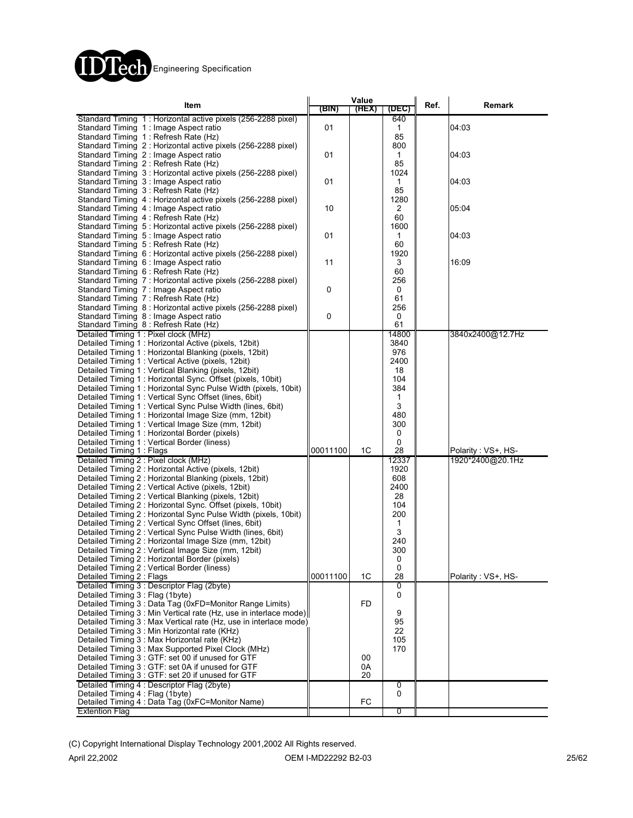

| Item                                                                                                               | (BIN)    | Value<br>(HEX) | (DEC)       | Ref. | Remark             |
|--------------------------------------------------------------------------------------------------------------------|----------|----------------|-------------|------|--------------------|
| Standard Timing 1: Horizontal active pixels (256-2288 pixel)                                                       |          |                | 640         |      |                    |
| Standard Timing 1: Image Aspect ratio                                                                              | 01       |                | 1           |      | 04:03              |
| Standard Timing 1: Refresh Rate (Hz)<br>Standard Timing 2: Horizontal active pixels (256-2288 pixel)               |          |                | 85<br>800   |      |                    |
| Standard Timing 2: Image Aspect ratio                                                                              | 01       |                | 1           |      | 04:03              |
| Standard Timing 2: Refresh Rate (Hz)                                                                               |          |                | 85          |      |                    |
| Standard Timing 3: Horizontal active pixels (256-2288 pixel)                                                       |          |                | 1024        |      |                    |
| Standard Timing 3: Image Aspect ratio                                                                              | 01       |                | 1           |      | 04:03              |
| Standard Timing 3: Refresh Rate (Hz)                                                                               |          |                | 85          |      |                    |
| Standard Timing 4: Horizontal active pixels (256-2288 pixel)<br>Standard Timing 4 : Image Aspect ratio             | 10       |                | 1280<br>2   |      | 05:04              |
| Standard Timing 4: Refresh Rate (Hz)                                                                               |          |                | 60          |      |                    |
| Standard Timing 5: Horizontal active pixels (256-2288 pixel)                                                       |          |                | 1600        |      |                    |
| Standard Timing 5 : Image Aspect ratio                                                                             | 01       |                | 1           |      | 04:03              |
| Standard Timing 5: Refresh Rate (Hz)                                                                               |          |                | 60          |      |                    |
| Standard Timing 6 : Horizontal active pixels (256-2288 pixel)                                                      |          |                | 1920        |      |                    |
| Standard Timing 6 : Image Aspect ratio<br>Standard Timing 6 : Refresh Rate (Hz)                                    | 11       |                | 3<br>60     |      | 16:09              |
| Standard Timing 7 : Horizontal active pixels (256-2288 pixel)                                                      |          |                | 256         |      |                    |
| Standard Timing 7: Image Aspect ratio                                                                              | 0        |                | 0           |      |                    |
| Standard Timing 7: Refresh Rate (Hz)                                                                               |          |                | 61          |      |                    |
| Standard Timing 8 : Horizontal active pixels (256-2288 pixel)                                                      |          |                | 256         |      |                    |
| Standard Timing 8 : Image Aspect ratio                                                                             | 0        |                | 0           |      |                    |
| Standard Timing 8 : Refresh Rate (Hz)                                                                              |          |                | 61          |      |                    |
| Detailed Timing 1: Pixel clock (MHz)                                                                               |          |                | 14800       |      | 3840x2400@12.7Hz   |
| Detailed Timing 1: Horizontal Active (pixels, 12bit)<br>Detailed Timing 1: Horizontal Blanking (pixels, 12bit)     |          |                | 3840<br>976 |      |                    |
| Detailed Timing 1: Vertical Active (pixels, 12bit)                                                                 |          |                | 2400        |      |                    |
| Detailed Timing 1: Vertical Blanking (pixels, 12bit)                                                               |          |                | 18          |      |                    |
| Detailed Timing 1: Horizontal Sync. Offset (pixels, 10bit)                                                         |          |                | 104         |      |                    |
| Detailed Timing 1: Horizontal Sync Pulse Width (pixels, 10bit)                                                     |          |                | 384         |      |                    |
| Detailed Timing 1: Vertical Sync Offset (lines, 6bit)                                                              |          |                | 1           |      |                    |
| Detailed Timing 1: Vertical Sync Pulse Width (lines, 6bit)                                                         |          |                | 3           |      |                    |
| Detailed Timing 1: Horizontal Image Size (mm, 12bit)                                                               |          |                | 480         |      |                    |
| Detailed Timing 1: Vertical Image Size (mm, 12bit)                                                                 |          |                | 300         |      |                    |
| Detailed Timing 1: Horizontal Border (pixels)<br>Detailed Timing 1 : Vertical Border (liness)                      |          |                | 0<br>0      |      |                    |
| Detailed Timing 1: Flags                                                                                           | 00011100 | 1C             | 28          |      | Polarity: VS+, HS- |
| Detailed Timing 2 : Pixel clock (MHz)                                                                              |          |                | 12337       |      | 1920*2400@20.1Hz   |
| Detailed Timing 2: Horizontal Active (pixels, 12bit)                                                               |          |                | 1920        |      |                    |
| Detailed Timing 2: Horizontal Blanking (pixels, 12bit)                                                             |          |                | 608         |      |                    |
| Detailed Timing 2 : Vertical Active (pixels, 12bit)                                                                |          |                | 2400        |      |                    |
| Detailed Timing 2: Vertical Blanking (pixels, 12bit)<br>Detailed Timing 2: Horizontal Sync. Offset (pixels, 10bit) |          |                | 28<br>104   |      |                    |
| Detailed Timing 2: Horizontal Sync Pulse Width (pixels, 10bit)                                                     |          |                | 200         |      |                    |
| Detailed Timing 2: Vertical Sync Offset (lines, 6bit)                                                              |          |                | 1           |      |                    |
| Detailed Timing 2: Vertical Sync Pulse Width (lines, 6bit)                                                         |          |                | 3           |      |                    |
| Detailed Timing 2 : Horizontal Image Size (mm, 12bit)                                                              |          |                | 240         |      |                    |
| Detailed Timing 2 : Vertical Image Size (mm, 12bit)                                                                |          |                | 300         |      |                    |
| Detailed Timing 2 : Horizontal Border (pixels)                                                                     |          |                | 0           |      |                    |
| Detailed Timing 2 : Vertical Border (liness)<br>Detailed Timing 2 : Flags                                          | 00011100 | 1C             | 0<br>28     |      | Polarity: VS+, HS- |
| Detailed Timing 3 : Descriptor Flag (2byte)                                                                        |          |                | 0           |      |                    |
| Detailed Timing 3 : Flag (1byte)                                                                                   |          |                | 0           |      |                    |
| Detailed Timing 3 : Data Tag (0xFD=Monitor Range Limits)                                                           |          | FD             |             |      |                    |
| Detailed Timing 3 : Min Vertical rate (Hz, use in interlace mode)                                                  |          |                | 9           |      |                    |
| Detailed Timing 3 : Max Vertical rate (Hz, use in interlace mode)                                                  |          |                | 95          |      |                    |
| Detailed Timing 3 : Min Horizontal rate (KHz)                                                                      |          |                | 22          |      |                    |
| Detailed Timing 3 : Max Horizontal rate (KHz)                                                                      |          |                | 105         |      |                    |
| Detailed Timing 3: Max Supported Pixel Clock (MHz)<br>Detailed Timing 3 : GTF: set 00 if unused for GTF            |          | 00             | 170         |      |                    |
| Detailed Timing 3 : GTF: set 0A if unused for GTF                                                                  |          | 0A             |             |      |                    |
| Detailed Timing 3 : GTF: set 20 if unused for GTF                                                                  |          | 20             |             |      |                    |
| Detailed Timing 4 : Descriptor Flag (2byte)                                                                        |          |                | 0           |      |                    |
| Detailed Timing 4 : Flag (1byte)                                                                                   |          |                | 0           |      |                    |
| Detailed Timing 4 : Data Tag (0xFC=Monitor Name)                                                                   |          | FC             |             |      |                    |
| <b>Extention Flag</b>                                                                                              |          |                | 0           |      |                    |

(C) Copyright International Display Technology 2001,2002 All Rights reserved.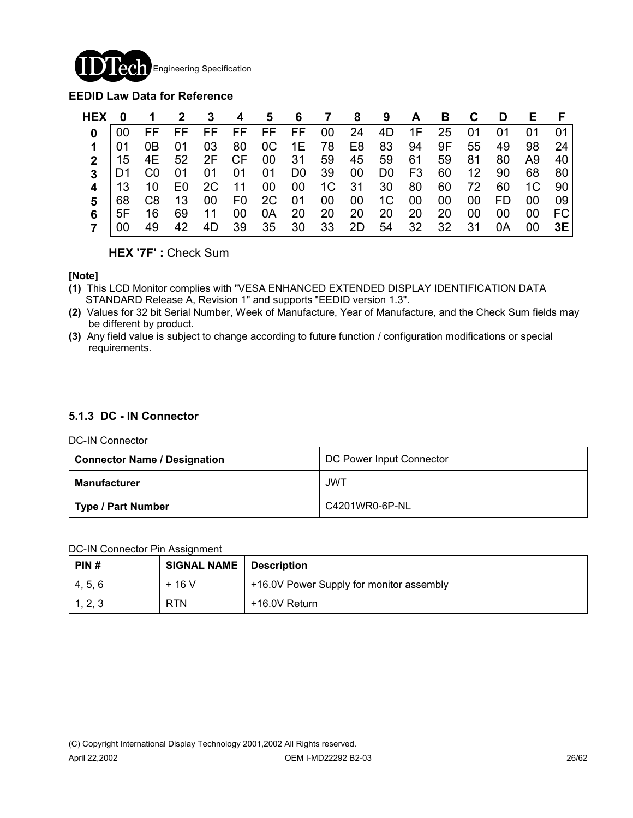

#### **EEDID Law Data for Reference**

| <b>HEX</b> | 0   | $\mathbf 1$    | 2 3  |             |       |       | 4 5 6 7 8 9 |       |       |             |            | A B C D   |                 |           | E F |     |
|------------|-----|----------------|------|-------------|-------|-------|-------------|-------|-------|-------------|------------|-----------|-----------------|-----------|-----|-----|
| U          | 00  | FF FF          |      | FF FF       |       |       | FF FF       |       | 00 24 | 4D          | $\cdot$ 1F | 25 01     |                 | 01        | 01  | 01  |
|            |     | 0B             | -01  | 03          | 80    | OC    | 1E 78 E8    |       |       | 83          |            | 94 9F     | 55              | 49        | 98  | 24  |
|            | -15 |                |      | 4E 52 2F CF |       |       | 00 31       |       | 59 45 | 59 61       |            | 59        | 81              | 80        | A9. | 40  |
|            | D1. | C <sub>0</sub> | - 01 | 01          | 01    | 01    | D0 39 00    |       |       | D0          | F3         | 60        | 12 <sup>1</sup> | 90        | 68  | -80 |
|            | -13 | 10             | E0.  | 2C          | $-11$ | 00    | 00          |       | 1C 31 | 30 80       |            | 60        | 72              | 60        | 1C  | 90  |
|            | 68  | C8             | 13   | 00          | F0 F  | 2C    | 01          | 00    | - 00  | 1C          | - 00       | 00        | 00              | <b>FD</b> | 00  | 09  |
|            | 5F  | 16             | 69   | -11         | 00    | 0A 20 |             | 20 20 |       | 20          | 20         | <b>20</b> | 00              | 00        | 00  | FC. |
|            |     | 49             | 42   | 4D.         | - 39  |       | 35 30 33 2D |       |       | 54 32 32 31 |            |           |                 | 0A        | 00  | 3E  |

**HEX '7F' :** Check Sum

#### **[Note]**

- **(1)** This LCD Monitor complies with "VESA ENHANCED EXTENDED DISPLAY IDENTIFICATION DATA STANDARD Release A, Revision 1" and supports "EEDID version 1.3".
- **(2)** Values for 32 bit Serial Number, Week of Manufacture, Year of Manufacture, and the Check Sum fields may be different by product.
- **(3)** Any field value is subject to change according to future function / configuration modifications or special requirements.

#### **5.1.3 DC - IN Connector**

#### DC-IN Connector

| <b>Connector Name / Designation</b> | DC Power Input Connector |  |  |  |  |
|-------------------------------------|--------------------------|--|--|--|--|
| Manufacturer                        | <b>JWT</b>               |  |  |  |  |
| Type / Part Number                  | C4201WR0-6P-NL           |  |  |  |  |

#### DC-IN Connector Pin Assignment

| PIN#    | <b>SIGNAL NAME</b> | ∣ Description                            |
|---------|--------------------|------------------------------------------|
| 4, 5, 6 | $+16V$             | +16.0V Power Supply for monitor assembly |
| 1, 2, 3 | <b>RTN</b>         | +16.0V Return                            |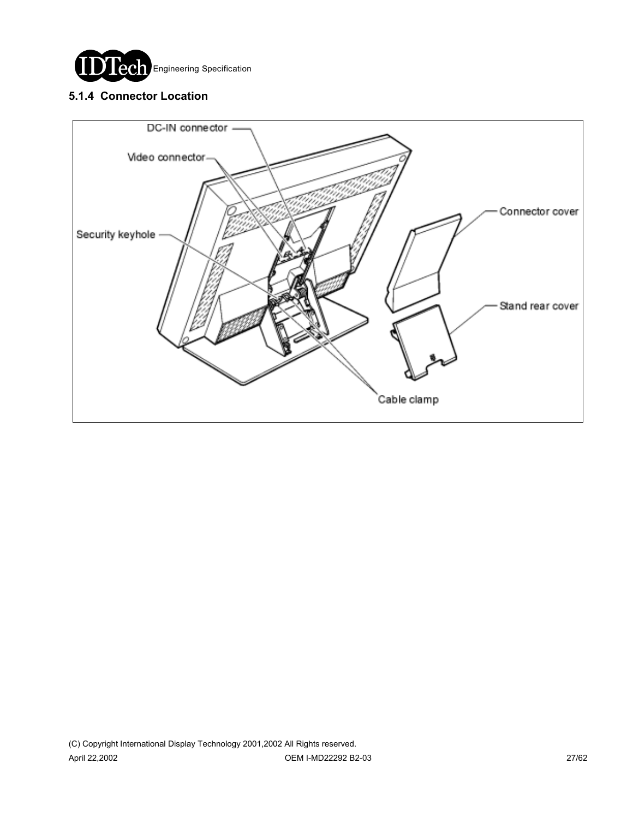

### **5.1.4 Connector Location**

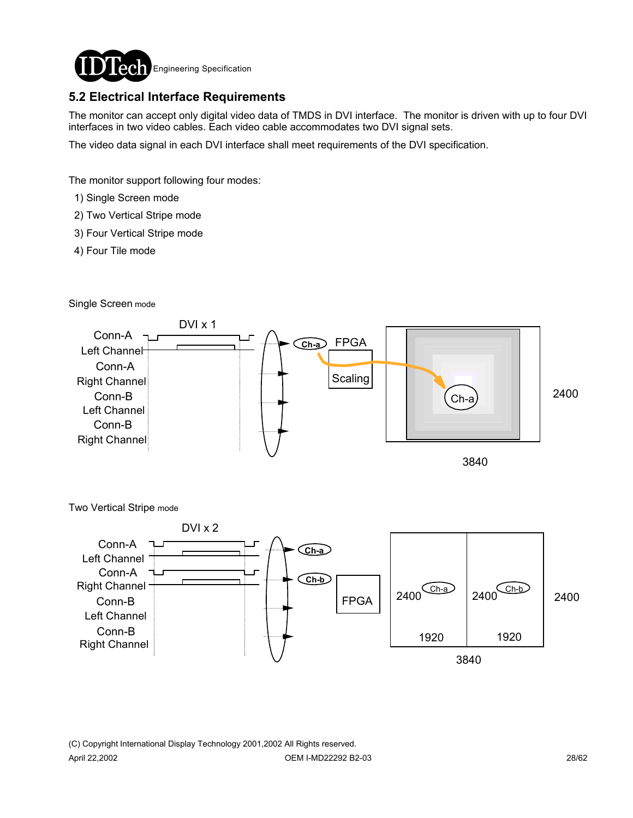

### **5.2 Electrical Interface Requirements**

The monitor can accept only digital video data of TMDS in DVI interface. The monitor is driven with up to four DVI interfaces in two video cables. Each video cable accommodates two DVI signal sets.

The video data signal in each DVI interface shall meet requirements of the DVI specification.

The monitor support following four modes:

- 1) Single Screen mode
- 2) Two Vertical Stripe mode
- 3) Four Vertical Stripe mode
- 4) Four Tile mode

Single Screen mode





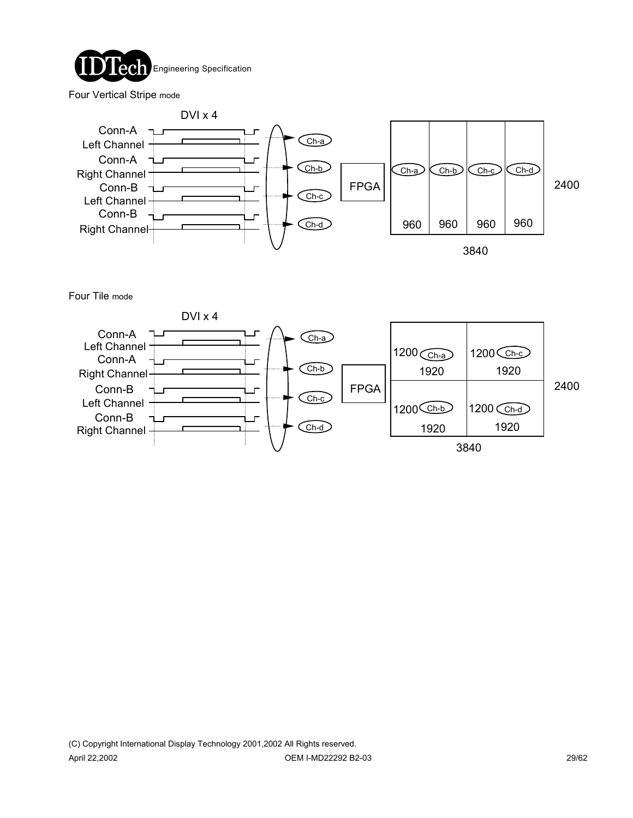

Four Vertical Stripe mode



Four Tile mode

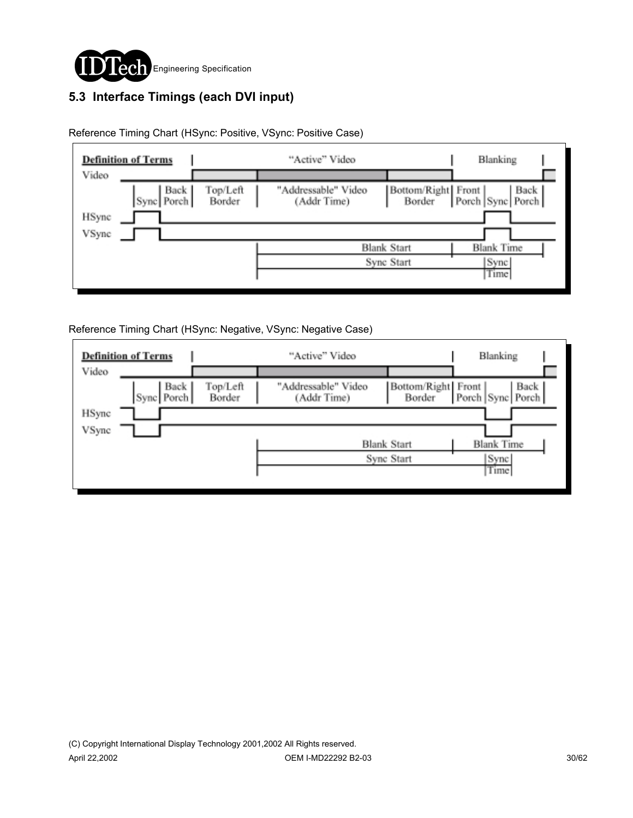

# **5.3 Interface Timings (each DVI input)**

|                | <b>Definition of Terms</b> |                    | "Active" Video                     |                                  | Blanking                                       |  |
|----------------|----------------------------|--------------------|------------------------------------|----------------------------------|------------------------------------------------|--|
| Video          | Back<br>Sync Porch         | Top/Left<br>Border | "Addressable" Video<br>(Addr Time) | Bottom/Right Front<br>Border     | Back  <br>Porch Sync Porch                     |  |
| HSync<br>VSync |                            |                    |                                    |                                  |                                                |  |
|                |                            |                    |                                    | <b>Blank Start</b><br>Sync Start | <b>Blank Time</b><br>Sync <sup>1</sup><br>Time |  |
|                |                            |                    |                                    |                                  |                                                |  |

Reference Timing Chart (HSync: Positive, VSync: Positive Case)

Reference Timing Chart (HSync: Negative, VSync: Negative Case)

|       | <b>Definition of Terms</b> |                    | "Active" Video                     |                              | Blanking                 |
|-------|----------------------------|--------------------|------------------------------------|------------------------------|--------------------------|
| Video |                            |                    |                                    |                              |                          |
|       | Back<br>Sync Porch         | Top/Left<br>Border | "Addressable" Video<br>(Addr Time) | Bottom/Right Front<br>Border | Back<br>Porch Sync Porch |
| HSync |                            |                    |                                    |                              |                          |
| VSync |                            |                    |                                    |                              |                          |
|       |                            |                    |                                    | <b>Blank Start</b>           | <b>Blank Time</b>        |
|       |                            |                    |                                    | Sync Start                   | Sync <sup>[</sup>        |
|       |                            |                    |                                    |                              | Time                     |
|       |                            |                    |                                    |                              |                          |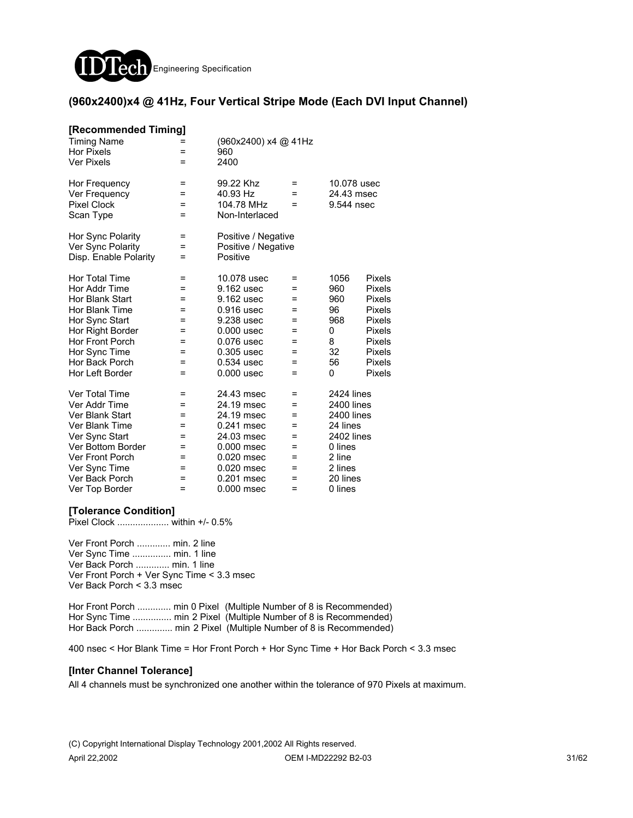

#### **(960x2400)x4 @ 41Hz, Four Vertical Stripe Mode (Each DVI Input Channel)**

| [Recommended Timing]   |     |                      |     |             |               |
|------------------------|-----|----------------------|-----|-------------|---------------|
| <b>Timing Name</b>     |     | (960x2400) x4 @ 41Hz |     |             |               |
| <b>Hor Pixels</b>      | =   | 960                  |     |             |               |
| <b>Ver Pixels</b>      | =   | 2400                 |     |             |               |
| Hor Frequency          | =   | 99.22 Khz            | =   | 10.078 usec |               |
| Ver Frequency          | =   | 40.93 Hz             | $=$ | 24.43 msec  |               |
| <b>Pixel Clock</b>     | =   | 104.78 MHz           | =   | 9.544 nsec  |               |
| Scan Type              | =   | Non-Interlaced       |     |             |               |
| Hor Sync Polarity      | =   | Positive / Negative  |     |             |               |
| Ver Sync Polarity      | =   | Positive / Negative  |     |             |               |
| Disp. Enable Polarity  | Ξ   | Positive             |     |             |               |
| <b>Hor Total Time</b>  | Ξ   | 10.078 usec          | =   | 1056        | <b>Pixels</b> |
| Hor Addr Time          | =   | 9.162 usec           | =   | 960         | <b>Pixels</b> |
| Hor Blank Start        | =   | 9.162 usec           | =   | 960         | Pixels        |
| Hor Blank Time         | =   | 0.916 usec           | =   | 96          | <b>Pixels</b> |
| Hor Sync Start         | =   | 9.238 usec           | =   | 968         | <b>Pixels</b> |
| Hor Right Border       | =   | $0.000$ usec         | =   | 0           | <b>Pixels</b> |
| <b>Hor Front Porch</b> | $=$ | 0.076 usec           | $=$ | 8           | <b>Pixels</b> |
| Hor Sync Time          | =   | $0.305$ usec         | =   | 32          | <b>Pixels</b> |
| Hor Back Porch         | =   | $0.534$ usec         | =   | 56          | Pixels        |
| Hor Left Border        | $=$ | $0.000$ usec         | =   | 0           | Pixels        |
| <b>Ver Total Time</b>  | =   | 24.43 msec           | =   | 2424 lines  |               |
| Ver Addr Time          | =   | 24.19 msec           | =   | 2400 lines  |               |
| Ver Blank Start        | =   | 24.19 msec           | =   | 2400 lines  |               |
| Ver Blank Time         | =   | 0.241 msec           | =   | 24 lines    |               |
| Ver Sync Start         | =   | 24.03 msec           | =   | 2402 lines  |               |
| Ver Bottom Border      | =   | 0.000 msec           | =   | 0 lines     |               |
| <b>Ver Front Porch</b> | =   | 0.020 msec           | =   | 2 line      |               |
| Ver Sync Time          | =   | 0.020 msec           | =   | 2 lines     |               |
| Ver Back Porch         | =   | 0.201 msec           | $=$ | 20 lines    |               |
| Ver Top Border         | Ξ   | 0.000 msec           | Ξ   | 0 lines     |               |

#### **[Tolerance Condition]**

Pixel Clock .................... within +/- 0.5%

Ver Front Porch ............. min. 2 line Ver Sync Time ............... min. 1 line Ver Back Porch ............. min. 1 line Ver Front Porch + Ver Sync Time < 3.3 msec Ver Back Porch < 3.3 msec

Hor Front Porch ............. min 0 Pixel (Multiple Number of 8 is Recommended) Hor Sync Time ................ min 2 Pixel (Multiple Number of 8 is Recommended) Hor Back Porch .............. min 2 Pixel (Multiple Number of 8 is Recommended)

400 nsec < Hor Blank Time = Hor Front Porch + Hor Sync Time + Hor Back Porch < 3.3 msec

#### **[Inter Channel Tolerance]**

All 4 channels must be synchronized one another within the tolerance of 970 Pixels at maximum.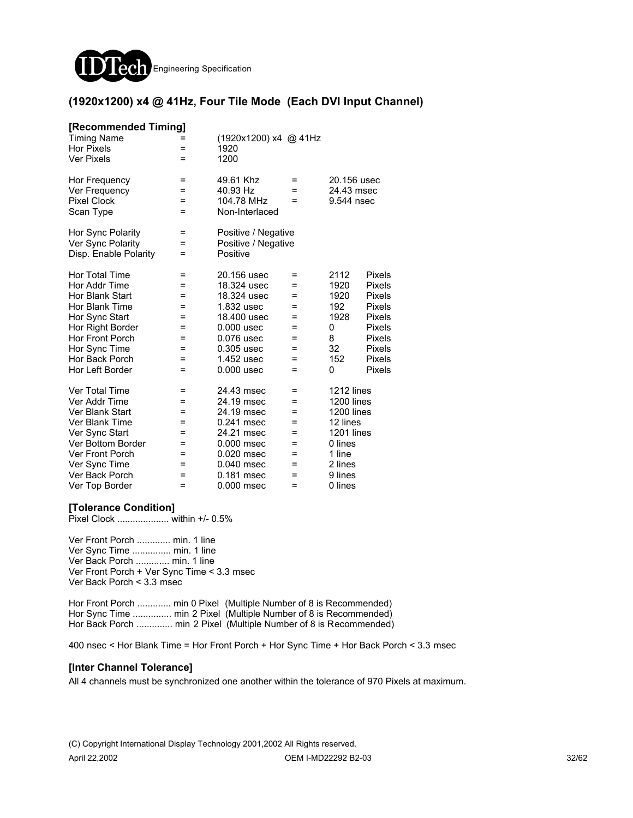

#### **(1920x1200) x4 @ 41Hz, Four Tile Mode (Each DVI Input Channel)**

| [Recommended Timing]<br><b>Timing Name</b><br><b>Hor Pixels</b><br><b>Ver Pixels</b> | =<br>$=$ | (1920x1200) x4 @ 41Hz<br>1920<br>1200 |        |                          |               |
|--------------------------------------------------------------------------------------|----------|---------------------------------------|--------|--------------------------|---------------|
| Hor Frequency                                                                        | =<br>=   | 49.61 Khz<br>40.93 Hz                 | =<br>= | 20.156 usec              |               |
| Ver Frequency<br><b>Pixel Clock</b>                                                  | $=$      | 104.78 MHz                            | =      | 24.43 msec<br>9.544 nsec |               |
| Scan Type                                                                            | $=$      | Non-Interlaced                        |        |                          |               |
| Hor Sync Polarity                                                                    | =        | Positive / Negative                   |        |                          |               |
| Ver Sync Polarity                                                                    | =        | Positive / Negative                   |        |                          |               |
| Disp. Enable Polarity                                                                | =        | Positive                              |        |                          |               |
| Hor Total Time                                                                       | =        | 20.156 usec                           | =      | 2112                     | <b>Pixels</b> |
| Hor Addr Time                                                                        | =        | 18.324 usec                           | =      | 1920                     | Pixels        |
| Hor Blank Start                                                                      | =        | 18,324 usec                           | =      | 1920                     | Pixels        |
| Hor Blank Time                                                                       | =        | 1.832 usec                            | $=$    | 192                      | <b>Pixels</b> |
| Hor Sync Start                                                                       | $=$      | 18,400 usec                           | $=$    | 1928                     | <b>Pixels</b> |
| Hor Right Border                                                                     | =        | $0.000$ usec                          | =      | 0                        | <b>Pixels</b> |
| Hor Front Porch                                                                      | =        | 0.076 usec                            | =      | 8                        | Pixels        |
| Hor Sync Time                                                                        | =        | $0.305$ usec                          | =      | 32                       | Pixels        |
| Hor Back Porch                                                                       | =        | 1.452 usec                            | =      | 152                      | Pixels        |
| Hor Left Border                                                                      | $=$      | 0.000 usec                            | $=$    | 0                        | Pixels        |
| Ver Total Time                                                                       | =        | 24.43 msec                            | =      | 1212 lines               |               |
| Ver Addr Time                                                                        | Ξ        | 24.19 msec                            | $=$    | 1200 lines               |               |
| Ver Blank Start                                                                      | $=$      | 24.19 msec                            | $=$    | <b>1200 lines</b>        |               |
| Ver Blank Time                                                                       | =        | 0.241 msec                            | =      | 12 lines                 |               |
| Ver Sync Start                                                                       | =        | 24.21 msec                            | =      | <b>1201 lines</b>        |               |
| Ver Bottom Border                                                                    | =        | $0.000$ msec                          | =      | 0 lines                  |               |
| Ver Front Porch                                                                      | =        | 0.020 msec                            | =      | 1 line                   |               |
| Ver Sync Time                                                                        | =        | 0.040 msec                            | =      | 2 lines                  |               |
| Ver Back Porch                                                                       | =        | 0.181 msec                            | =      | 9 lines                  |               |
| Ver Top Border                                                                       | Ξ        | 0.000 msec                            | Ξ      | 0 lines                  |               |

#### **[Tolerance Condition]**

Pixel Clock .................... within +/- 0.5%

Ver Front Porch ............. min. 1 line Ver Sync Time ............... min. 1 line Ver Back Porch ............. min. 1 line Ver Front Porch + Ver Sync Time < 3.3 msec Ver Back Porch < 3.3 msec

Hor Front Porch ............. min 0 Pixel (Multiple Number of 8 is Recommended) Hor Sync Time ............... min 2 Pixel (Multiple Number of 8 is Recommended) Hor Back Porch ............... min 2 Pixel (Multiple Number of 8 is Recommended)

400 nsec < Hor Blank Time = Hor Front Porch + Hor Sync Time + Hor Back Porch < 3.3 msec

#### **[Inter Channel Tolerance]**

All 4 channels must be synchronized one another within the tolerance of 970 Pixels at maximum.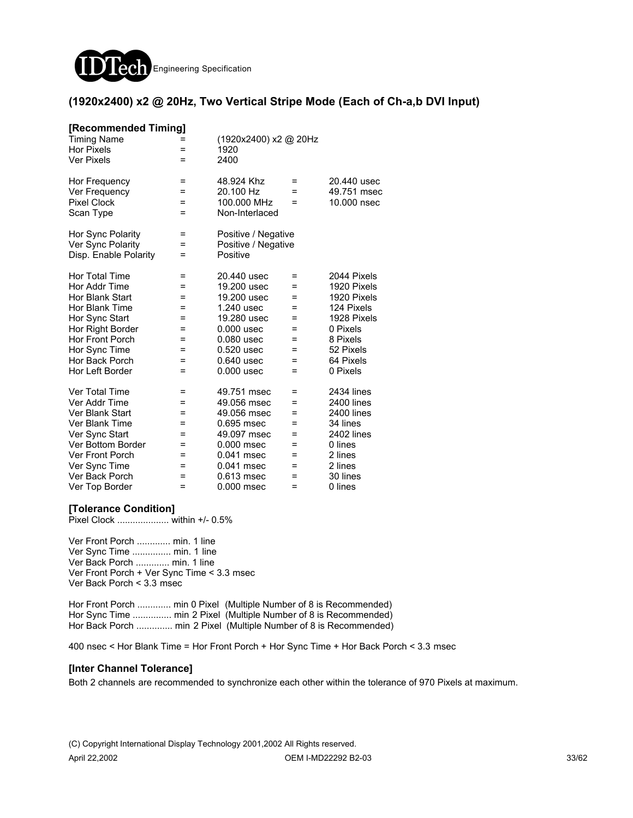

#### **(1920x2400) x2 @ 20Hz, Two Vertical Stripe Mode (Each of Ch-a,b DVI Input)**

| [Recommended Timing]   |     |                       |     |                   |
|------------------------|-----|-----------------------|-----|-------------------|
| <b>Timing Name</b>     |     | (1920x2400) x2 @ 20Hz |     |                   |
| <b>Hor Pixels</b>      | =   | 1920                  |     |                   |
| <b>Ver Pixels</b>      | $=$ | 2400                  |     |                   |
| Hor Frequency          | =   | 48.924 Khz            | =   | 20.440 usec       |
| Ver Frequency          | Ξ   | 20.100 Hz             | $=$ | 49.751 msec       |
| <b>Pixel Clock</b>     | Ξ   | 100,000 MHz           | =   | 10,000 nsec       |
| Scan Type              | $=$ | Non-Interlaced        |     |                   |
| Hor Sync Polarity      | Ξ   | Positive / Negative   |     |                   |
| Ver Sync Polarity      | =   | Positive / Negative   |     |                   |
| Disp. Enable Polarity  | $=$ | Positive              |     |                   |
| Hor Total Time         | =   | 20,440 usec           | =   | 2044 Pixels       |
| Hor Addr Time          | =   | 19,200 usec           | =   | 1920 Pixels       |
| Hor Blank Start        | =   | 19.200 usec           | =   | 1920 Pixels       |
| Hor Blank Time         | =   | 1.240 usec            | =   | 124 Pixels        |
| Hor Sync Start         | =   | 19,280 usec           | =   | 1928 Pixels       |
| Hor Right Border       | $=$ | $0.000$ usec          | =   | 0 Pixels          |
| Hor Front Porch        | =   | $0.080$ usec          | =   | 8 Pixels          |
| Hor Sync Time          | Ξ   | 0.520 usec            | $=$ | 52 Pixels         |
| Hor Back Porch         | =   | $0.640$ usec          | =   | 64 Pixels         |
| Hor Left Border        | $=$ | $0.000$ usec          | =   | 0 Pixels          |
| <b>Ver Total Time</b>  | =   | 49.751 msec           | =   | <b>2434 lines</b> |
| Ver Addr Time          | =   | 49.056 msec           | =   | <b>2400 lines</b> |
| Ver Blank Start        | $=$ | 49.056 msec           | =   | 2400 lines        |
| Ver Blank Time         | $=$ | 0.695 msec            | Ξ   | 34 lines          |
| Ver Sync Start         | Ξ   | 49.097 msec           | =   | 2402 lines        |
| Ver Bottom Border      | =   | 0.000 msec            | =   | 0 lines           |
| <b>Ver Front Porch</b> | =   | 0.041 msec            | $=$ | 2 lines           |
| Ver Sync Time          | =   | 0.041 msec            | =   | 2 lines           |
| Ver Back Porch         | Ξ   | 0.613 msec            | =   | 30 lines          |
| Ver Top Border         | =   | $0.000$ msec          | $=$ | 0 lines           |

#### **[Tolerance Condition]**

Pixel Clock .................... within +/- 0.5%

Ver Front Porch ............. min. 1 line Ver Sync Time ............... min. 1 line Ver Back Porch ............. min. 1 line Ver Front Porch + Ver Sync Time < 3.3 msec Ver Back Porch < 3.3 msec

Hor Front Porch .............. min 0 Pixel (Multiple Number of 8 is Recommended) Hor Sync Time ................ min 2 Pixel (Multiple Number of 8 is Recommended) Hor Back Porch ............... min 2 Pixel (Multiple Number of 8 is Recommended)

400 nsec < Hor Blank Time = Hor Front Porch + Hor Sync Time + Hor Back Porch < 3.3 msec

#### **[Inter Channel Tolerance]**

Both 2 channels are recommended to synchronize each other within the tolerance of 970 Pixels at maximum.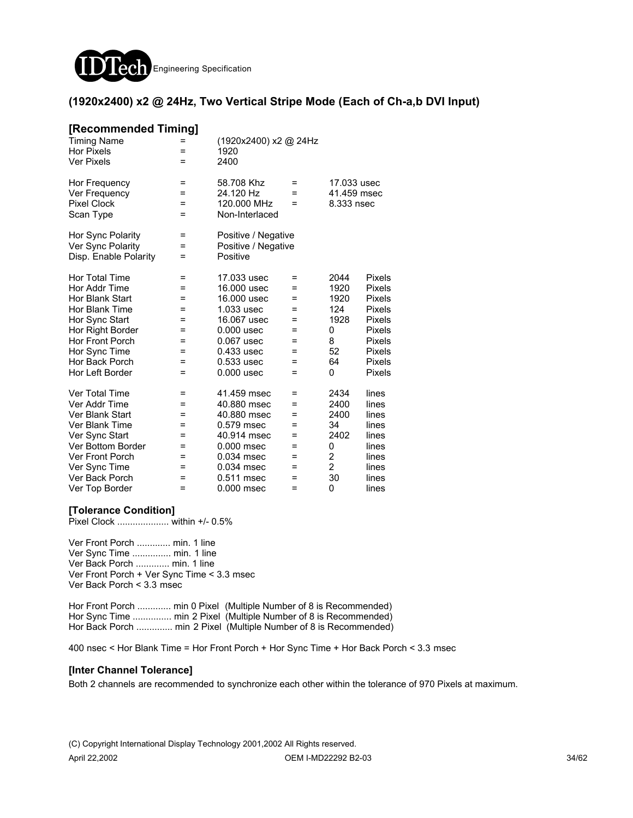

#### **(1920x2400) x2 @ 24Hz, Two Vertical Stripe Mode (Each of Ch-a,b DVI Input)**

| [Recommended Timing]   |     |                       |     |                |               |
|------------------------|-----|-----------------------|-----|----------------|---------------|
| <b>Timing Name</b>     |     | (1920x2400) x2 @ 24Hz |     |                |               |
| <b>Hor Pixels</b>      | =   | 1920                  |     |                |               |
| <b>Ver Pixels</b>      | $=$ | 2400                  |     |                |               |
| Hor Frequency          | =   | 58.708 Khz            | $=$ | 17.033 usec    |               |
| Ver Frequency          | =   | 24.120 Hz             | =   | 41.459 msec    |               |
| <b>Pixel Clock</b>     | $=$ | 120,000 MHz           | $=$ | 8.333 nsec     |               |
| Scan Type              | =   | Non-Interlaced        |     |                |               |
| Hor Sync Polarity      | =   | Positive / Negative   |     |                |               |
| Ver Sync Polarity      | =   | Positive / Negative   |     |                |               |
| Disp. Enable Polarity  | $=$ | Positive              |     |                |               |
| <b>Hor Total Time</b>  | =   | 17.033 usec           | =   | 2044           | Pixels        |
| Hor Addr Time          | =   | 16,000 usec           | =   | 1920           | <b>Pixels</b> |
| Hor Blank Start        | =   | 16,000 usec           | =   | 1920           | Pixels        |
| Hor Blank Time         | =   | 1.033 usec            | =   | 124            | Pixels        |
| Hor Sync Start         | =   | 16.067 usec           | =   | 1928           | Pixels        |
| Hor Right Border       | =   | $0.000$ usec          | =   | 0              | <b>Pixels</b> |
| <b>Hor Front Porch</b> | $=$ | $0.067$ usec          | =   | 8              | <b>Pixels</b> |
| Hor Sync Time          | =   | $0.433$ usec          | =   | 52             | <b>Pixels</b> |
| Hor Back Porch         | =   | $0.533$ usec          | =   | 64             | Pixels        |
| Hor Left Border        | $=$ | $0.000$ usec          | $=$ | 0              | Pixels        |
| Ver Total Time         | Ξ   | 41.459 msec           | Ξ   | 2434           | lines         |
| Ver Addr Time          | =   | 40.880 msec           | =   | 2400           | lines         |
| Ver Blank Start        | =   | 40.880 msec           | =   | 2400           | lines         |
| <b>Ver Blank Time</b>  | =   | 0.579 msec            | =   | 34             | lines         |
| Ver Sync Start         | =   | 40.914 msec           | =   | 2402           | lines         |
| Ver Bottom Border      | =   | 0.000 msec            | =   | 0              | lines         |
| <b>Ver Front Porch</b> | =   | 0.034 msec            | =   | $\overline{c}$ | lines         |
| Ver Sync Time          | Ξ   | 0.034 msec            | =   | $\overline{2}$ | lines         |
| Ver Back Porch         | Ξ   | 0.511 msec            | $=$ | 30             | lines         |
| Ver Top Border         | =   | 0.000 msec            | =   | 0              | lines         |

#### **[Tolerance Condition]**

Pixel Clock .................... within +/- 0.5%

Ver Front Porch ............. min. 1 line Ver Sync Time ............... min. 1 line Ver Back Porch ............. min. 1 line Ver Front Porch + Ver Sync Time < 3.3 msec Ver Back Porch < 3.3 msec

Hor Front Porch ............. min 0 Pixel (Multiple Number of 8 is Recommended) Hor Sync Time ............... min 2 Pixel (Multiple Number of 8 is Recommended) Hor Back Porch .............. min 2 Pixel (Multiple Number of 8 is Recommended)

400 nsec < Hor Blank Time = Hor Front Porch + Hor Sync Time + Hor Back Porch < 3.3 msec

#### **[Inter Channel Tolerance]**

Both 2 channels are recommended to synchronize each other within the tolerance of 970 Pixels at maximum.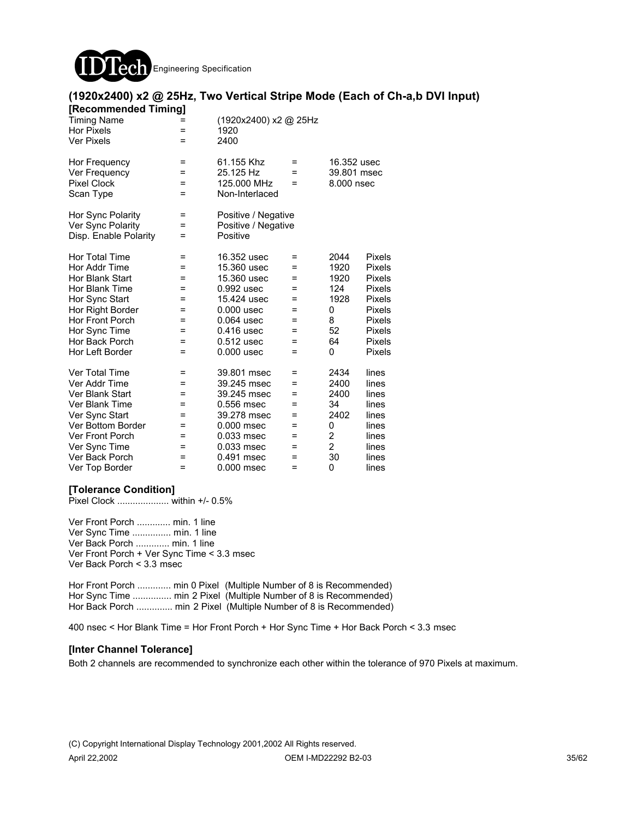

### **(1920x2400) x2 @ 25Hz, Two Vertical Stripe Mode (Each of Ch-a,b DVI Input)**

| [Recommended Timing]  |          |                       |     |                |               |
|-----------------------|----------|-----------------------|-----|----------------|---------------|
| <b>Timing Name</b>    |          | (1920x2400) x2 @ 25Hz |     |                |               |
| <b>Hor Pixels</b>     | $=$      | 1920                  |     |                |               |
| <b>Ver Pixels</b>     | $=$      | 2400                  |     |                |               |
| Hor Frequency         | Ξ        | 61.155 Khz            | $=$ | 16.352 usec    |               |
| Ver Frequency         | =        | 25.125 Hz             | =   | 39.801 msec    |               |
| <b>Pixel Clock</b>    | =        | 125,000 MHz           | =   | 8,000 nsec     |               |
| Scan Type             | $=$      | Non-Interlaced        |     |                |               |
| Hor Sync Polarity     | Ξ        | Positive / Negative   |     |                |               |
| Ver Sync Polarity     | =        | Positive / Negative   |     |                |               |
| Disp. Enable Polarity | =        | Positive              |     |                |               |
| <b>Hor Total Time</b> | $=$      | 16.352 usec           | $=$ | 2044           | <b>Pixels</b> |
| Hor Addr Time         | =        | 15.360 usec           | =   | 1920           | <b>Pixels</b> |
| Hor Blank Start       | =        | 15.360 usec           | =   | 1920           | <b>Pixels</b> |
| Hor Blank Time        | =        | 0.992 usec            | =   | 124            | <b>Pixels</b> |
| Hor Sync Start        | Ξ        | 15.424 usec           | =   | 1928           | <b>Pixels</b> |
| Hor Right Border      | =        | $0.000$ usec          | =   | 0              | <b>Pixels</b> |
| Hor Front Porch       | $=$      | $0.064$ usec          | =   | 8              | <b>Pixels</b> |
| Hor Sync Time         | $=$      | 0.416 usec            | =   | 52             | <b>Pixels</b> |
| Hor Back Porch        | =        | $0.512$ usec          | =   | 64             | Pixels        |
| Hor Left Border       | $=$      | $0.000$ usec          | =   | 0              | <b>Pixels</b> |
| <b>Ver Total Time</b> | Ξ        | 39.801 msec           | =   | 2434           | lines         |
| Ver Addr Time         | $\equiv$ | 39.245 msec           | =   | 2400           | lines         |
| Ver Blank Start       | =        | 39.245 msec           | =   | 2400           | lines         |
| Ver Blank Time        | $=$      | 0.556 msec            | =   | 34             | lines         |
| Ver Sync Start        | $=$      | 39.278 msec           | =   | 2402           | lines         |
| Ver Bottom Border     | =        | 0.000 msec            | =   | 0              | lines         |
| Ver Front Porch       | =        | 0.033 msec            | =   | 2              | lines         |
| Ver Sync Time         | =        | 0.033 msec            | =   | $\overline{2}$ | lines         |
| Ver Back Porch        | =        | 0.491 msec            | =   | 30             | lines         |
| Ver Top Border        | $=$      | $0.000$ msec          | Ξ   | 0              | lines         |

#### **[Tolerance Condition]**

Pixel Clock .................... within +/- 0.5%

Ver Front Porch ............. min. 1 line Ver Sync Time ............... min. 1 line Ver Back Porch ............. min. 1 line Ver Front Porch + Ver Sync Time < 3.3 msec Ver Back Porch < 3.3 msec

Hor Front Porch ............. min 0 Pixel (Multiple Number of 8 is Recommended) Hor Sync Time ............... min 2 Pixel (Multiple Number of 8 is Recommended) Hor Back Porch ............... min 2 Pixel (Multiple Number of 8 is Recommended)

400 nsec < Hor Blank Time = Hor Front Porch + Hor Sync Time + Hor Back Porch < 3.3 msec

#### **[Inter Channel Tolerance]**

Both 2 channels are recommended to synchronize each other within the tolerance of 970 Pixels at maximum.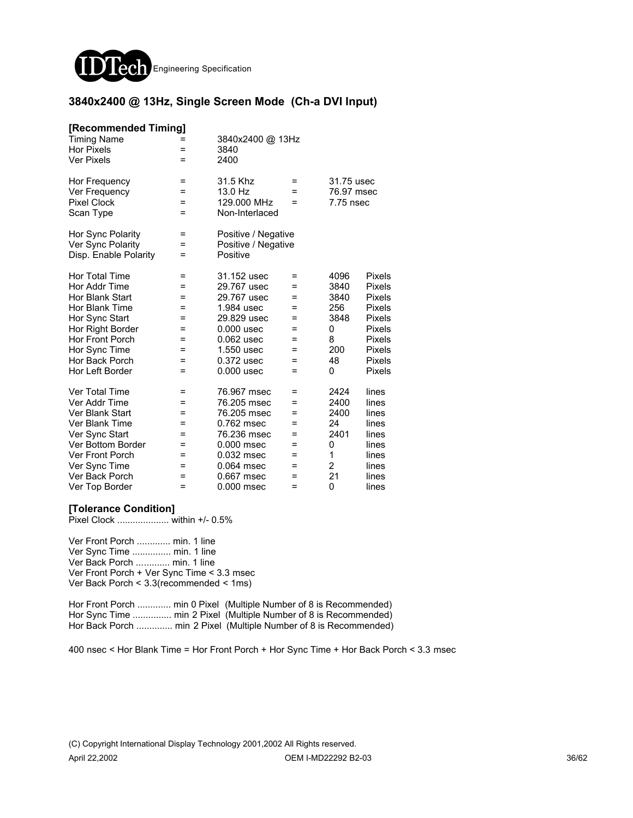

#### **3840x2400 @ 13Hz, Single Screen Mode (Ch-a DVI Input)**

#### **[Recommended Timing]**

| <b>Timing Name</b><br><b>Hor Pixels</b><br><b>Ver Pixels</b>      | $=$<br>=<br>=               | 3840x2400 @ 13Hz<br>3840<br>2400                       |                                                      |      |               |
|-------------------------------------------------------------------|-----------------------------|--------------------------------------------------------|------------------------------------------------------|------|---------------|
| Hor Frequency<br>Ver Frequency<br><b>Pixel Clock</b><br>Scan Type | =<br>$=$<br>$=$<br>$\equiv$ | 31.5 Khz<br>13.0 Hz<br>129.000 MHz<br>Non-Interlaced   | 31.75 usec<br>=<br>76.97 msec<br>=<br>7.75 nsec<br>= |      |               |
| Hor Sync Polarity<br>Ver Sync Polarity<br>Disp. Enable Polarity   | =<br>=<br>=                 | Positive / Negative<br>Positive / Negative<br>Positive |                                                      |      |               |
| Hor Total Time                                                    | $=$                         | 31.152 usec                                            | $=$                                                  | 4096 | Pixels        |
| Hor Addr Time                                                     | =                           | 29.767 usec                                            | $=$                                                  | 3840 | <b>Pixels</b> |
| Hor Blank Start                                                   | $=$                         | 29.767 usec                                            | =                                                    | 3840 | <b>Pixels</b> |
| Hor Blank Time                                                    | =                           | 1.984 usec                                             | =                                                    | 256  | <b>Pixels</b> |
| Hor Sync Start                                                    | =                           | 29.829 usec                                            | =                                                    | 3848 | Pixels        |
| Hor Right Border                                                  | =                           | $0.000$ usec                                           | =                                                    | 0    | <b>Pixels</b> |
| <b>Hor Front Porch</b>                                            | $\equiv$                    | $0.062$ usec                                           | =                                                    | 8    | <b>Pixels</b> |
| Hor Sync Time                                                     | =                           | 1.550 usec                                             | =                                                    | 200  | <b>Pixels</b> |
| Hor Back Porch                                                    | =                           | 0.372 usec                                             | =                                                    | 48   | <b>Pixels</b> |
| Hor Left Border                                                   | =                           | $0.000$ usec                                           | =                                                    | 0    | <b>Pixels</b> |
| Ver Total Time                                                    | $=$                         | 76.967 msec                                            | =                                                    | 2424 | lines         |
| Ver Addr Time                                                     | =                           | 76.205 msec                                            | =                                                    | 2400 | lines         |
| Ver Blank Start                                                   | =                           | 76.205 msec                                            | =                                                    | 2400 | lines         |
| <b>Ver Blank Time</b>                                             | =                           | 0.762 msec                                             | =                                                    | 24   | lines         |
| Ver Sync Start                                                    | =                           | 76.236 msec                                            | =                                                    | 2401 | lines         |
| Ver Bottom Border                                                 | =                           | 0.000 msec                                             | =                                                    | 0    | lines         |
| <b>Ver Front Porch</b>                                            | =                           | 0.032 msec                                             | =                                                    | 1    | lines         |
| Ver Sync Time                                                     | =                           | 0.064 msec                                             | =                                                    | 2    | lines         |
| Ver Back Porch                                                    | =                           | 0.667 msec                                             | =                                                    | 21   | lines         |
| Ver Top Border                                                    | $=$                         | 0.000 msec                                             | =                                                    | 0    | lines         |

#### **[Tolerance Condition]**

Pixel Clock .................... within +/- 0.5%

Ver Front Porch ............. min. 1 line Ver Sync Time ............... min. 1 line Ver Back Porch ............. min. 1 line Ver Front Porch + Ver Sync Time < 3.3 msec Ver Back Porch < 3.3(recommended < 1ms)

Hor Front Porch .............. min 0 Pixel (Multiple Number of 8 is Recommended) Hor Sync Time ................ min 2 Pixel (Multiple Number of 8 is Recommended) Hor Back Porch .............. min 2 Pixel (Multiple Number of 8 is Recommended)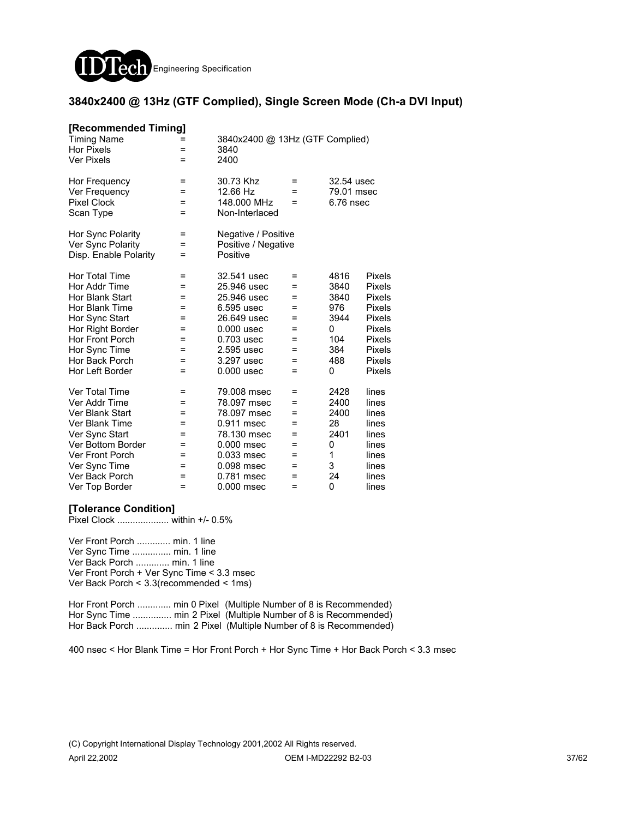

#### **3840x2400 @ 13Hz (GTF Complied), Single Screen Mode (Ch-a DVI Input)**

| [Recommended Timing]   |     |                                 |     |            |               |
|------------------------|-----|---------------------------------|-----|------------|---------------|
| <b>Timing Name</b>     |     | 3840x2400 @ 13Hz (GTF Complied) |     |            |               |
| <b>Hor Pixels</b>      | =   | 3840                            |     |            |               |
| <b>Ver Pixels</b>      | $=$ | 2400                            |     |            |               |
| Hor Frequency          | $=$ | 30.73 Khz                       | $=$ | 32.54 usec |               |
| Ver Frequency          | =   | 12.66 Hz                        | $=$ | 79.01 msec |               |
| <b>Pixel Clock</b>     | =   | 148,000 MHz                     | $=$ | 6.76 nsec  |               |
| Scan Type              | =   | Non-Interlaced                  |     |            |               |
| Hor Sync Polarity      | =   | Negative / Positive             |     |            |               |
| Ver Sync Polarity      | =   | Positive / Negative             |     |            |               |
| Disp. Enable Polarity  | $=$ | Positive                        |     |            |               |
| <b>Hor Total Time</b>  | Ξ   | 32.541 usec                     | Ξ   | 4816       | Pixels        |
| Hor Addr Time          | =   | 25.946 usec                     | =   | 3840       | Pixels        |
| Hor Blank Start        | =   | 25.946 usec                     | =   | 3840       | Pixels        |
| Hor Blank Time         | =   | 6.595 usec                      | =   | 976        | Pixels        |
| Hor Sync Start         | =   | 26.649 usec                     | =   | 3944       | <b>Pixels</b> |
| Hor Right Border       | =   | $0.000$ usec                    | =   | 0          | <b>Pixels</b> |
| <b>Hor Front Porch</b> | $=$ | 0.703 usec                      | $=$ | 104        | <b>Pixels</b> |
| Hor Sync Time          | $=$ | 2.595 usec                      | $=$ | 384        | Pixels        |
| Hor Back Porch         | =   | 3.297 usec                      | $=$ | 488        | <b>Pixels</b> |
| Hor Left Border        | =   | $0.000$ usec                    | $=$ | 0          | Pixels        |
| Ver Total Time         | =   | 79.008 msec                     | =   | 2428       | lines         |
| Ver Addr Time          | =   | 78.097 msec                     | $=$ | 2400       | lines         |
| Ver Blank Start        | =   | 78.097 msec                     | =   | 2400       | lines         |
| Ver Blank Time         | $=$ | 0.911 msec                      | $=$ | 28         | lines         |
| Ver Sync Start         | =   | 78.130 msec                     | $=$ | 2401       | lines         |
| Ver Bottom Border      | =   | 0.000 msec                      | =   | 0          | lines         |
| <b>Ver Front Porch</b> | =   | 0.033 msec                      | =   | 1          | lines         |
| Ver Sync Time          | =   | 0.098 msec                      | =   | 3          | lines         |
| Ver Back Porch         | =   | 0.781 msec                      | =   | 24         | lines         |
| Ver Top Border         | $=$ | 0.000 msec                      | $=$ | 0          | lines         |

#### **[Tolerance Condition]**

Pixel Clock .................... within +/- 0.5%

Ver Front Porch ............. min. 1 line Ver Sync Time ............... min. 1 line Ver Back Porch ............. min. 1 line Ver Front Porch + Ver Sync Time < 3.3 msec Ver Back Porch < 3.3(recommended < 1ms)

Hor Front Porch ............. min 0 Pixel (Multiple Number of 8 is Recommended) Hor Sync Time ................ min 2 Pixel (Multiple Number of 8 is Recommended) Hor Back Porch .............. min 2 Pixel (Multiple Number of 8 is Recommended)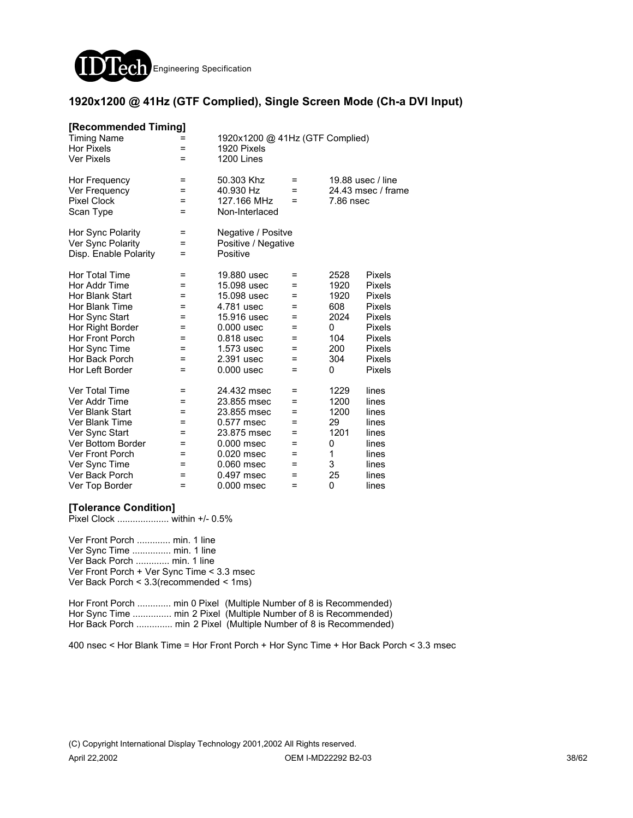

#### **1920x1200 @ 41Hz (GTF Complied), Single Screen Mode (Ch-a DVI Input)**

| [Recommended Timing]<br><b>Timing Name</b><br><b>Hor Pixels</b><br><b>Ver Pixels</b> | =<br>$=$<br>$=$ | 1920x1200 @ 41Hz (GTF Complied)<br>1920 Pixels<br>1200 Lines |            |           |                    |
|--------------------------------------------------------------------------------------|-----------------|--------------------------------------------------------------|------------|-----------|--------------------|
| Hor Frequency                                                                        | $=$             | 50.303 Khz                                                   | $=$        |           | 19.88 usec / line  |
| Ver Frequency<br><b>Pixel Clock</b>                                                  | Ξ<br>$=$        | 40.930 Hz<br>127.166 MHz                                     | $=$<br>$=$ | 7.86 nsec | 24.43 msec / frame |
| Scan Type                                                                            | $=$             | Non-Interlaced                                               |            |           |                    |
| Hor Sync Polarity                                                                    | Ξ               | Negative / Positve                                           |            |           |                    |
| Ver Sync Polarity                                                                    | =               | Positive / Negative                                          |            |           |                    |
| Disp. Enable Polarity                                                                | $=$             | Positive                                                     |            |           |                    |
| Hor Total Time                                                                       | Ξ               | 19.880 usec                                                  | $=$        | 2528      | Pixels             |
| Hor Addr Time                                                                        | $=$             | 15.098 usec                                                  | =          | 1920      | Pixels             |
| Hor Blank Start                                                                      | =               | 15.098 usec                                                  | =          | 1920      | Pixels             |
| Hor Blank Time                                                                       | =               | 4.781 usec                                                   | =          | 608       | Pixels             |
| Hor Sync Start                                                                       | $=$             | 15.916 usec                                                  | =          | 2024      | <b>Pixels</b>      |
| Hor Right Border                                                                     | $=$             | $0.000$ usec                                                 | =          | 0         | <b>Pixels</b>      |
| Hor Front Porch                                                                      | $=$             | 0.818 usec                                                   | $=$        | 104       | <b>Pixels</b>      |
| Hor Sync Time                                                                        | $=$             | 1.573 usec                                                   | $=$        | 200       | Pixels             |
| Hor Back Porch                                                                       | $=$             | 2.391 usec                                                   | =          | 304       | <b>Pixels</b>      |
| Hor Left Border                                                                      | =               | $0.000$ usec                                                 | =          | 0         | <b>Pixels</b>      |
| Ver Total Time                                                                       | $\equiv$        | 24.432 msec                                                  | =          | 1229      | lines              |
| Ver Addr Time                                                                        | =               | 23.855 msec                                                  | =          | 1200      | lines              |
| Ver Blank Start                                                                      | $=$             | 23.855 msec                                                  | =          | 1200      | lines              |
| Ver Blank Time                                                                       | $=$             | 0.577 msec                                                   | $=$        | 29        | lines              |
| Ver Sync Start                                                                       | $=$             | 23.875 msec                                                  | =          | 1201      | lines              |
| Ver Bottom Border                                                                    | $=$             | 0.000 msec                                                   | =          | 0         | lines              |
| <b>Ver Front Porch</b>                                                               | =               | 0.020 msec                                                   | =          | 1         | lines              |
| Ver Sync Time                                                                        | =               | 0.060 msec                                                   | =          | 3         | lines              |
| Ver Back Porch                                                                       | =               | 0.497 msec                                                   | =          | 25        | lines              |
| Ver Top Border                                                                       | $=$             | 0.000 msec                                                   | $=$        | 0         | lines              |

#### **[Tolerance Condition]**

Pixel Clock .................... within +/- 0.5%

Ver Front Porch ............. min. 1 line Ver Sync Time ............... min. 1 line Ver Back Porch ............. min. 1 line Ver Front Porch + Ver Sync Time < 3.3 msec Ver Back Porch < 3.3(recommended < 1ms)

Hor Front Porch ............. min 0 Pixel (Multiple Number of 8 is Recommended) Hor Sync Time ................ min 2 Pixel (Multiple Number of 8 is Recommended) Hor Back Porch .............. min 2 Pixel (Multiple Number of 8 is Recommended)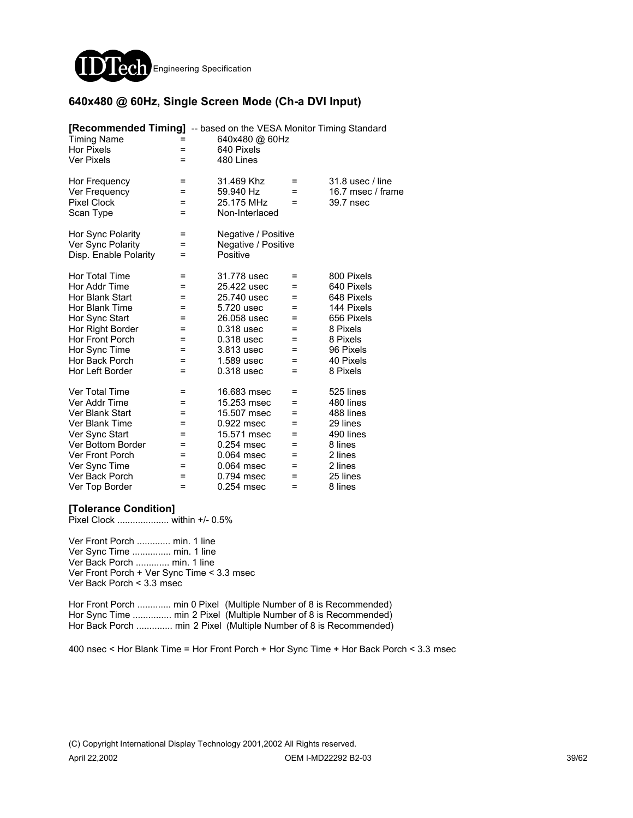

### **640x480 @ 60Hz, Single Screen Mode (Ch-a DVI Input)**

| [Recommended Timing] -- based on the VESA Monitor Timing Standard<br><b>Timing Name</b><br><b>Hor Pixels</b><br><b>Ver Pixels</b>                                                                 | =<br>=<br>$=$                                        | 640x480 @ 60Hz<br>640 Pixels<br>480 Lines                                                                                                        |                                                            |                                                                                                                                  |
|---------------------------------------------------------------------------------------------------------------------------------------------------------------------------------------------------|------------------------------------------------------|--------------------------------------------------------------------------------------------------------------------------------------------------|------------------------------------------------------------|----------------------------------------------------------------------------------------------------------------------------------|
| Hor Frequency<br>Ver Frequency<br><b>Pixel Clock</b><br>Scan Type                                                                                                                                 | =<br>=<br>=<br>=                                     | 31.469 Khz<br>59.940 Hz<br>25.175 MHz<br>Non-Interlaced                                                                                          | =<br>$=$<br>=                                              | 31.8 usec / line<br>16.7 msec / frame<br>39.7 nsec                                                                               |
| Hor Sync Polarity<br>Ver Sync Polarity<br>Disp. Enable Polarity                                                                                                                                   | =<br>=<br>=                                          | Negative / Positive<br>Negative / Positive<br>Positive                                                                                           |                                                            |                                                                                                                                  |
| <b>Hor Total Time</b><br>Hor Addr Time<br>Hor Blank Start<br>Hor Blank Time<br>Hor Sync Start<br>Hor Right Border<br><b>Hor Front Porch</b><br>Hor Sync Time<br>Hor Back Porch<br>Hor Left Border | $=$<br>=<br>=<br>Ξ<br>=<br>=<br>$=$<br>Ξ<br>=<br>$=$ | 31.778 usec<br>25.422 usec<br>25.740 usec<br>5.720 usec<br>26.058 usec<br>$0.318$ usec<br>0.318 usec<br>3.813 usec<br>1.589 usec<br>0.318 usec   | =<br>=<br>$=$<br>$=$<br>=<br>$=$<br>$=$<br>Ξ<br>$=$<br>$=$ | 800 Pixels<br>640 Pixels<br>648 Pixels<br>144 Pixels<br>656 Pixels<br>8 Pixels<br>8 Pixels<br>96 Pixels<br>40 Pixels<br>8 Pixels |
| Ver Total Time<br>Ver Addr Time<br>Ver Blank Start<br><b>Ver Blank Time</b><br>Ver Sync Start<br>Ver Bottom Border<br><b>Ver Front Porch</b><br>Ver Sync Time<br>Ver Back Porch<br>Ver Top Border | =<br>=<br>=<br>=<br>=<br>=<br>=<br>=<br>=<br>$=$     | 16.683 msec<br>15.253 msec<br>15.507 msec<br>0.922 msec<br>15.571 msec<br>$0.254$ msec<br>0.064 msec<br>0.064 msec<br>0.794 msec<br>$0.254$ msec | =<br>$=$<br>$=$<br>=<br>=<br>=<br>$=$<br>=<br>=<br>=       | 525 lines<br>480 lines<br>488 lines<br>29 lines<br>490 lines<br>8 lines<br>2 lines<br>2 lines<br>25 lines<br>8 lines             |

#### **[Tolerance Condition]**

Pixel Clock .................... within +/- 0.5%

Ver Front Porch ............. min. 1 line Ver Sync Time ............... min. 1 line Ver Back Porch ............. min. 1 line Ver Front Porch + Ver Sync Time < 3.3 msec Ver Back Porch < 3.3 msec

Hor Front Porch ............. min 0 Pixel (Multiple Number of 8 is Recommended) Hor Sync Time ................ min 2 Pixel (Multiple Number of 8 is Recommended) Hor Back Porch .............. min 2 Pixel (Multiple Number of 8 is Recommended)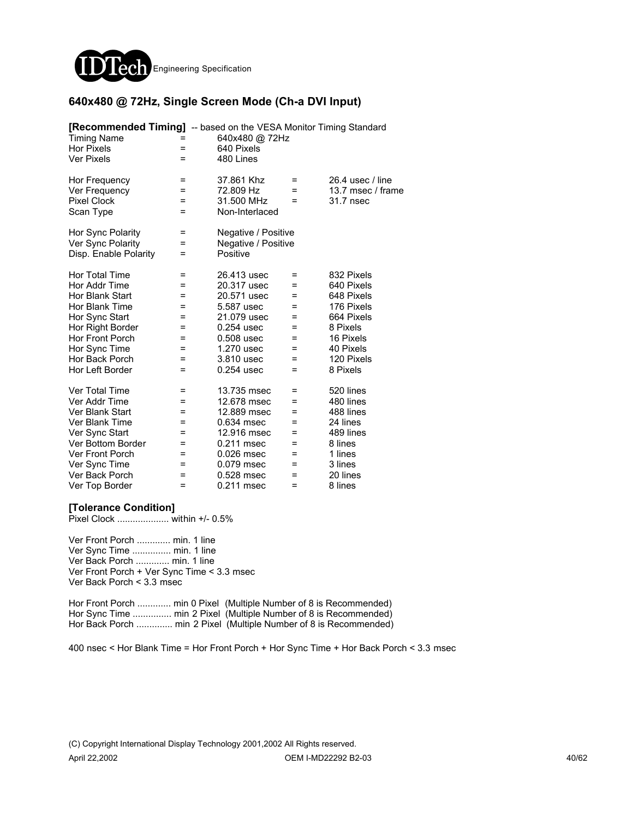

### **640x480 @ 72Hz, Single Screen Mode (Ch-a DVI Input)**

| [Recommended Timing] -- based on the VESA Monitor Timing Standard<br><b>Timing Name</b><br><b>Hor Pixels</b><br><b>Ver Pixels</b>                                                   | =<br>Ξ                                                  | 640x480 @ 72Hz<br>640 Pixels<br>480 Lines                                                                                                      |                                                                       |                                                                                                                                    |
|-------------------------------------------------------------------------------------------------------------------------------------------------------------------------------------|---------------------------------------------------------|------------------------------------------------------------------------------------------------------------------------------------------------|-----------------------------------------------------------------------|------------------------------------------------------------------------------------------------------------------------------------|
| Hor Frequency<br>Ver Frequency<br><b>Pixel Clock</b><br>Scan Type                                                                                                                   | =<br>=<br>Ξ<br>=                                        | 37.861 Khz<br>72.809 Hz<br>31.500 MHz<br>Non-Interlaced                                                                                        | $\equiv$<br>$=$<br>$=$                                                | 26.4 usec / line<br>13.7 msec / frame<br>31.7 nsec                                                                                 |
| Hor Sync Polarity<br>Ver Sync Polarity<br>Disp. Enable Polarity                                                                                                                     | =<br>=<br>Ξ                                             | Negative / Positive<br>Negative / Positive<br>Positive                                                                                         |                                                                       |                                                                                                                                    |
| Hor Total Time<br>Hor Addr Time<br>Hor Blank Start<br>Hor Blank Time<br>Hor Sync Start<br>Hor Right Border<br>Hor Front Porch<br>Hor Sync Time<br>Hor Back Porch<br>Hor Left Border | $=$<br>=<br>=<br>=<br>=<br>$=$<br>=<br>=<br>=<br>$=$    | 26.413 usec<br>20.317 usec<br>20.571 usec<br>5.587 usec<br>21.079 usec<br>0.254 usec<br>0.508 usec<br>1.270 usec<br>3.810 usec<br>0.254 usec   | $=$<br>$=$<br>$=$<br>$=$<br>$=$<br>$=$<br>$=$<br>=<br>$\equiv$<br>$=$ | 832 Pixels<br>640 Pixels<br>648 Pixels<br>176 Pixels<br>664 Pixels<br>8 Pixels<br>16 Pixels<br>40 Pixels<br>120 Pixels<br>8 Pixels |
| Ver Total Time<br>Ver Addr Time<br>Ver Blank Start<br>Ver Blank Time<br>Ver Sync Start<br>Ver Bottom Border<br>Ver Front Porch<br>Ver Sync Time<br>Ver Back Porch<br>Ver Top Border | $\equiv$<br>=<br>=<br>$=$<br>=<br>=<br>=<br>=<br>=<br>= | 13.735 msec<br>12.678 msec<br>12.889 msec<br>0.634 msec<br>12.916 msec<br>0.211 msec<br>$0.026$ msec<br>0.079 msec<br>0.528 msec<br>0.211 msec | Ξ<br>$=$<br>$=$<br>$=$<br>=<br>$=$<br>=<br>$=$<br>$=$<br>$=$          | 520 lines<br>480 lines<br>488 lines<br>24 lines<br>489 lines<br>8 lines<br>1 lines<br>3 lines<br>20 lines<br>8 lines               |

#### **[Tolerance Condition]**

Pixel Clock .................... within +/- 0.5%

Ver Front Porch ............. min. 1 line Ver Sync Time ............... min. 1 line Ver Back Porch ............. min. 1 line Ver Front Porch + Ver Sync Time < 3.3 msec Ver Back Porch < 3.3 msec

Hor Front Porch ............. min 0 Pixel (Multiple Number of 8 is Recommended) Hor Sync Time ............... min 2 Pixel (Multiple Number of 8 is Recommended) Hor Back Porch .............. min 2 Pixel (Multiple Number of 8 is Recommended)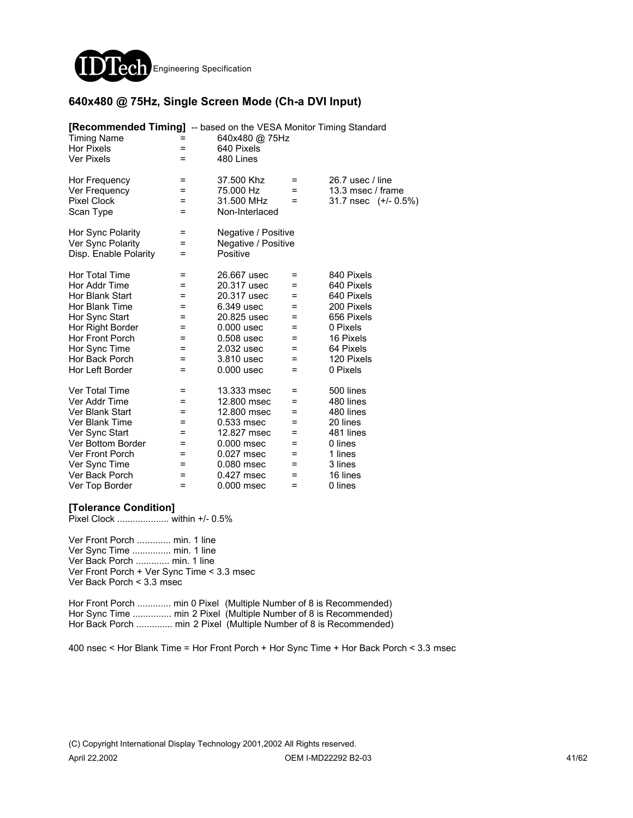

### **640x480 @ 75Hz, Single Screen Mode (Ch-a DVI Input)**

| [Recommended Timing] -- based on the VESA Monitor Timing Standard<br><b>Timing Name</b><br><b>Hor Pixels</b><br><b>Ver Pixels</b> | =<br>$=$<br>$=$ | 640x480 @ 75Hz<br>640 Pixels<br>480 Lines |     |                      |
|-----------------------------------------------------------------------------------------------------------------------------------|-----------------|-------------------------------------------|-----|----------------------|
| Hor Frequency                                                                                                                     | Ξ               | 37.500 Khz                                | =   | 26.7 usec / line     |
| Ver Frequency                                                                                                                     | Ξ               | 75.000 Hz                                 | $=$ | 13.3 msec / frame    |
| <b>Pixel Clock</b>                                                                                                                | Ξ               | 31.500 MHz                                | $=$ | 31.7 nsec (+/- 0.5%) |
| Scan Type                                                                                                                         | $=$             | Non-Interlaced                            |     |                      |
| Hor Sync Polarity                                                                                                                 | $=$             | Negative / Positive                       |     |                      |
| Ver Sync Polarity                                                                                                                 | Ξ               | Negative / Positive                       |     |                      |
| Disp. Enable Polarity                                                                                                             | =               | Positive                                  |     |                      |
| Hor Total Time                                                                                                                    | $=$             | 26.667 usec                               | $=$ | 840 Pixels           |
| Hor Addr Time                                                                                                                     | =               | 20.317 usec                               | $=$ | 640 Pixels           |
| Hor Blank Start                                                                                                                   | $=$             | 20.317 usec                               | Ξ   | 640 Pixels           |
| Hor Blank Time                                                                                                                    | =               | 6.349 usec                                | =   | 200 Pixels           |
| Hor Sync Start                                                                                                                    | $=$             | 20.825 usec                               | $=$ | 656 Pixels           |
| Hor Right Border                                                                                                                  | $=$             | $0.000$ usec                              | $=$ | 0 Pixels             |
| <b>Hor Front Porch</b>                                                                                                            | =               | 0.508 usec                                | Ξ   | 16 Pixels            |
| Hor Sync Time                                                                                                                     | =               | 2.032 usec                                | $=$ | 64 Pixels            |
| Hor Back Porch                                                                                                                    | Ξ               | 3.810 usec                                | Ξ   | 120 Pixels           |
| Hor Left Border                                                                                                                   | $\equiv$        | $0.000$ usec                              | Ξ   | 0 Pixels             |
| Ver Total Time                                                                                                                    | $=$             | 13.333 msec                               | =   | 500 lines            |
| Ver Addr Time                                                                                                                     | $=$             | 12,800 msec                               | $=$ | 480 lines            |
| Ver Blank Start                                                                                                                   | $=$             | 12,800 msec                               | =   | 480 lines            |
| Ver Blank Time                                                                                                                    | Ξ               | 0.533 msec                                | Ξ   | 20 lines             |
| Ver Sync Start                                                                                                                    | =               | 12.827 msec                               | =   | 481 lines            |
| Ver Bottom Border                                                                                                                 | =               | 0.000 msec                                | =   | 0 lines              |
| Ver Front Porch                                                                                                                   | =               | 0.027 msec                                | =   | 1 lines              |
| Ver Sync Time                                                                                                                     | =               | 0.080 msec                                | =   | 3 lines              |
| Ver Back Porch                                                                                                                    | =               | 0.427 msec                                | Ξ   | 16 lines             |
| Ver Top Border                                                                                                                    | $=$             | 0.000 msec                                | $=$ | 0 lines              |

#### **[Tolerance Condition]**

Pixel Clock .................... within +/- 0.5%

Ver Front Porch ............. min. 1 line Ver Sync Time ............... min. 1 line Ver Back Porch ............. min. 1 line Ver Front Porch + Ver Sync Time < 3.3 msec Ver Back Porch < 3.3 msec

Hor Front Porch ............. min 0 Pixel (Multiple Number of 8 is Recommended) Hor Sync Time ............... min 2 Pixel (Multiple Number of 8 is Recommended) Hor Back Porch ............... min 2 Pixel (Multiple Number of 8 is Recommended)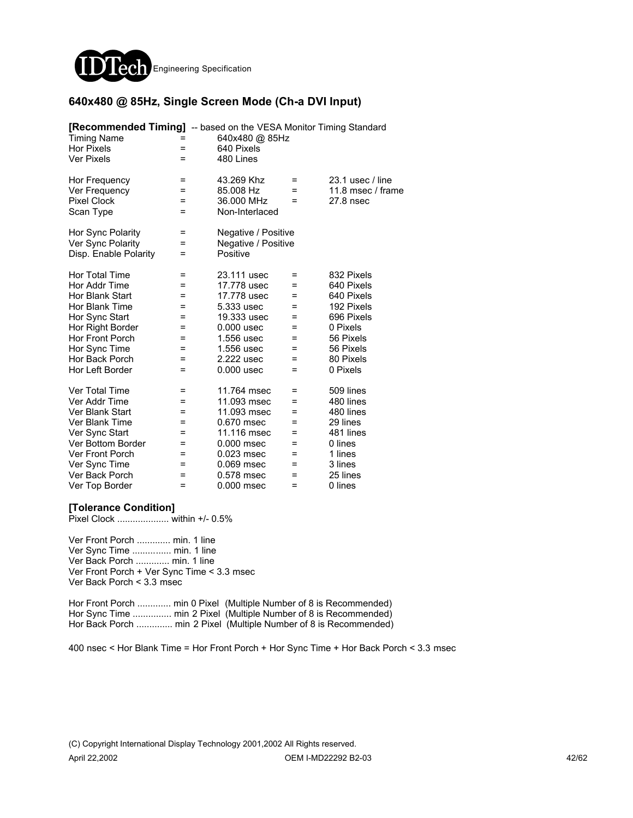

### **640x480 @ 85Hz, Single Screen Mode (Ch-a DVI Input)**

| [Recommended Timing] -- based on the VESA Monitor Timing Standard<br><b>Timing Name</b><br><b>Hor Pixels</b><br><b>Ver Pixels</b> | =<br>Ξ | 640x480 @ 85Hz<br>640 Pixels<br>480 Lines |          |                                         |
|-----------------------------------------------------------------------------------------------------------------------------------|--------|-------------------------------------------|----------|-----------------------------------------|
| Hor Frequency<br>Ver Frequency                                                                                                    | =<br>= | 43.269 Khz<br>85.008 Hz                   | =<br>$=$ | $23.1$ usec / line<br>11.8 msec / frame |
| <b>Pixel Clock</b><br>Scan Type                                                                                                   | Ξ<br>= | 36.000 MHz<br>Non-Interlaced              | $=$      | 27.8 nsec                               |
| Hor Sync Polarity                                                                                                                 | =      | Negative / Positive                       |          |                                         |
| Ver Sync Polarity<br>Disp. Enable Polarity                                                                                        | =<br>Ξ | Negative / Positive<br>Positive           |          |                                         |
| Hor Total Time                                                                                                                    | $=$    | 23.111 usec                               | $=$      | 832 Pixels                              |
| Hor Addr Time                                                                                                                     | =      | 17.778 usec                               | $=$      | 640 Pixels                              |
| Hor Blank Start                                                                                                                   | =      | 17.778 usec                               | $=$      | 640 Pixels                              |
| Hor Blank Time                                                                                                                    | =      | 5.333 usec                                | =        | 192 Pixels                              |
| Hor Sync Start                                                                                                                    | =      | 19.333 usec                               | $=$      | 696 Pixels                              |
| Hor Right Border                                                                                                                  | =      | $0.000$ usec                              | $=$      | 0 Pixels                                |
| <b>Hor Front Porch</b>                                                                                                            | =      | 1.556 usec                                | $=$      | 56 Pixels                               |
| Hor Sync Time                                                                                                                     | =      | 1.556 usec                                | =        | 56 Pixels                               |
| Hor Back Porch                                                                                                                    | =      | 2.222 usec                                | =        | 80 Pixels                               |
| Hor Left Border                                                                                                                   | $=$    | $0.000$ usec                              | $=$      | 0 Pixels                                |
| Ver Total Time                                                                                                                    | =      | 11.764 msec                               | Ξ        | 509 lines                               |
| Ver Addr Time                                                                                                                     | =      | 11.093 msec                               | $=$      | 480 lines                               |
| Ver Blank Start                                                                                                                   | =      | 11.093 msec                               | $=$      | 480 lines                               |
| Ver Blank Time                                                                                                                    | =      | 0.670 msec                                | $=$      | 29 lines                                |
| Ver Sync Start                                                                                                                    | =      | 11.116 msec                               | =        | 481 lines                               |
| Ver Bottom Border                                                                                                                 | =      | $0.000$ msec                              | =        | 0 lines                                 |
| Ver Front Porch                                                                                                                   | =      | 0.023 msec                                | =        | 1 lines                                 |
| Ver Sync Time                                                                                                                     | =      | 0.069 msec                                | $=$      | 3 lines                                 |
| Ver Back Porch                                                                                                                    | =      | 0.578 msec                                | $=$      | 25 lines                                |
| Ver Top Border                                                                                                                    | =      | 0.000 msec                                | $=$      | 0 lines                                 |

#### **[Tolerance Condition]**

Pixel Clock .................... within +/- 0.5%

Ver Front Porch ............. min. 1 line Ver Sync Time ............... min. 1 line Ver Back Porch ............. min. 1 line Ver Front Porch + Ver Sync Time < 3.3 msec Ver Back Porch < 3.3 msec

Hor Front Porch ............. min 0 Pixel (Multiple Number of 8 is Recommended) Hor Sync Time ............... min 2 Pixel (Multiple Number of 8 is Recommended) Hor Back Porch ............... min 2 Pixel (Multiple Number of 8 is Recommended)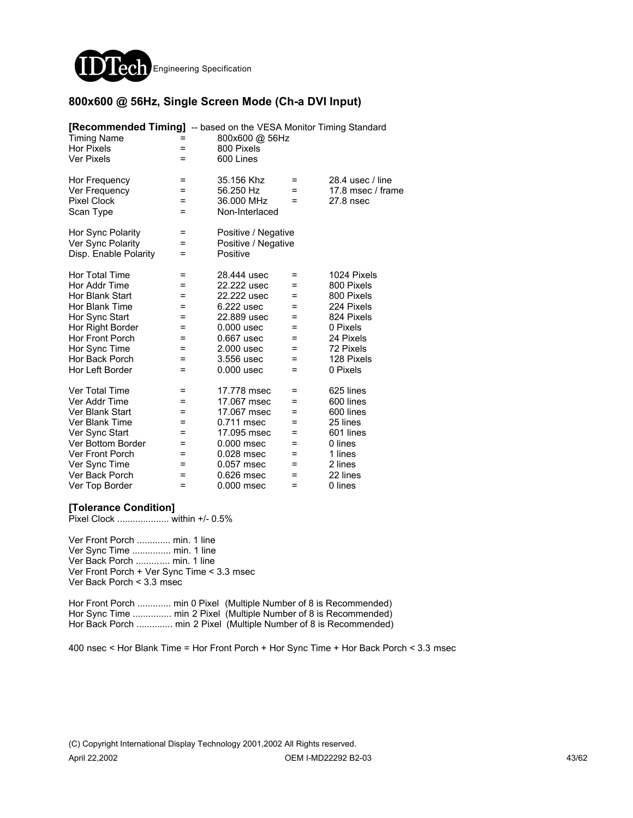

#### **800x600 @ 56Hz, Single Screen Mode (Ch-a DVI Input)**

| <b>[Recommended Timing]</b> -- based on the VESA Monitor Timing Standard<br><b>Timing Name</b><br><b>Hor Pixels</b><br><b>Ver Pixels</b>                                                   | =<br>Ξ                                             | 800x600 @ 56Hz<br>800 Pixels<br>600 Lines                                                                                                        |                                                                  |                                                                                                                                     |
|--------------------------------------------------------------------------------------------------------------------------------------------------------------------------------------------|----------------------------------------------------|--------------------------------------------------------------------------------------------------------------------------------------------------|------------------------------------------------------------------|-------------------------------------------------------------------------------------------------------------------------------------|
| Hor Frequency<br>Ver Frequency<br><b>Pixel Clock</b><br>Scan Type                                                                                                                          | =<br>=<br>Ξ<br>=                                   | 35.156 Khz<br>56.250 Hz<br>36.000 MHz<br>Non-Interlaced                                                                                          | $=$<br>$=$<br>$=$                                                | 28.4 usec / line<br>17.8 msec / frame<br>27.8 nsec                                                                                  |
| Hor Sync Polarity<br>Ver Sync Polarity<br>Disp. Enable Polarity                                                                                                                            | =<br>=<br>Ξ                                        | Positive / Negative<br>Positive / Negative<br>Positive                                                                                           |                                                                  |                                                                                                                                     |
| Hor Total Time<br>Hor Addr Time<br>Hor Blank Start<br>Hor Blank Time<br>Hor Sync Start<br>Hor Right Border<br><b>Hor Front Porch</b><br>Hor Sync Time<br>Hor Back Porch<br>Hor Left Border | $=$<br>=<br>=<br>=<br>=<br>=<br>=<br>=<br>=<br>$=$ | 28.444 usec<br>22.222 usec<br>22.222 usec<br>6.222 usec<br>22.889 usec<br>$0.000$ usec<br>0.667 usec<br>2.000 usec<br>3.556 usec<br>$0.000$ usec | $=$<br>$=$<br>$=$<br>$=$<br>$=$<br>$=$<br>$=$<br>=<br>$=$<br>$=$ | 1024 Pixels<br>800 Pixels<br>800 Pixels<br>224 Pixels<br>824 Pixels<br>0 Pixels<br>24 Pixels<br>72 Pixels<br>128 Pixels<br>0 Pixels |
| Ver Total Time<br>Ver Addr Time<br>Ver Blank Start<br>Ver Blank Time<br>Ver Sync Start<br>Ver Bottom Border<br>Ver Front Porch<br>Ver Sync Time<br>Ver Back Porch<br>Ver Top Border        | =<br>=<br>=<br>=<br>=<br>=<br>=<br>=<br>=<br>=     | 17.778 msec<br>17.067 msec<br>17.067 msec<br>0.711 msec<br>17.095 msec<br>$0.000$ msec<br>$0.028$ msec<br>0.057 msec<br>0.626 msec<br>0.000 msec | Ξ<br>$=$<br>$=$<br>$=$<br>=<br>$=$<br>=<br>$=$<br>$=$<br>$=$     | 625 lines<br>600 lines<br>600 lines<br>25 lines<br>601 lines<br>0 lines<br>1 lines<br>2 lines<br>22 lines<br>0 lines                |

#### **[Tolerance Condition]**

Pixel Clock .................... within +/- 0.5%

Ver Front Porch ............. min. 1 line Ver Sync Time ............... min. 1 line Ver Back Porch ............. min. 1 line Ver Front Porch + Ver Sync Time < 3.3 msec Ver Back Porch < 3.3 msec

Hor Front Porch ............. min 0 Pixel (Multiple Number of 8 is Recommended) Hor Sync Time ............... min 2 Pixel (Multiple Number of 8 is Recommended) Hor Back Porch .............. min 2 Pixel (Multiple Number of 8 is Recommended)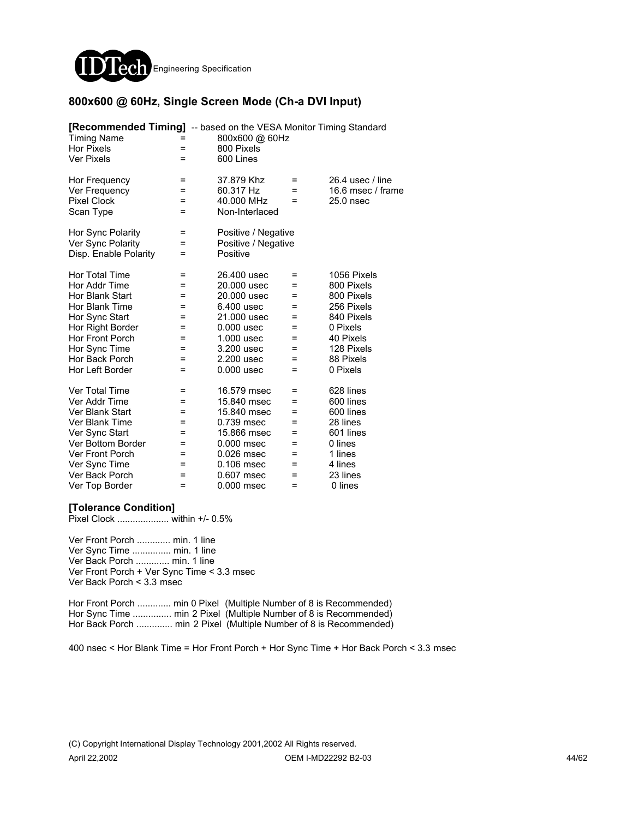

### **800x600 @ 60Hz, Single Screen Mode (Ch-a DVI Input)**

| <b>[Recommended Timing]</b> -- based on the VESA Monitor Timing Standard<br><b>Timing Name</b><br><b>Hor Pixels</b><br><b>Ver Pixels</b> | =<br>=           | 800x600 @ 60Hz<br>800 Pixels<br>600 Lines               |             |                                                      |
|------------------------------------------------------------------------------------------------------------------------------------------|------------------|---------------------------------------------------------|-------------|------------------------------------------------------|
| Hor Frequency<br>Ver Frequency<br><b>Pixel Clock</b><br>Scan Type                                                                        | =<br>=<br>=<br>Ξ | 37.879 Khz<br>60.317 Hz<br>40.000 MHz<br>Non-Interlaced | =<br>=<br>Ξ | 26.4 usec / line<br>16.6 msec / frame<br>$25.0$ nsec |
| Hor Sync Polarity<br>Ver Sync Polarity<br>Disp. Enable Polarity                                                                          | =<br>=<br>=      | Positive / Negative<br>Positive / Negative<br>Positive  |             |                                                      |
| Hor Total Time                                                                                                                           | Ξ                | 26.400 usec                                             | =           | 1056 Pixels                                          |
| Hor Addr Time                                                                                                                            | =                | 20,000 usec                                             | =           | 800 Pixels                                           |
| Hor Blank Start                                                                                                                          | =                | 20,000 usec                                             | =           | 800 Pixels                                           |
| Hor Blank Time                                                                                                                           | =                | 6.400 usec                                              | =           | 256 Pixels                                           |
| Hor Sync Start                                                                                                                           | Ξ                | 21,000 usec                                             | Ξ           | 840 Pixels                                           |
| Hor Right Border                                                                                                                         | =                | $0.000$ usec                                            | Ξ           | 0 Pixels                                             |
| Hor Front Porch                                                                                                                          | =                | 1.000 usec                                              | =           | 40 Pixels                                            |
| Hor Sync Time                                                                                                                            | =                | 3.200 usec                                              | =           | 128 Pixels                                           |
| Hor Back Porch                                                                                                                           | =                | 2.200 usec                                              | =           | 88 Pixels                                            |
| Hor Left Border                                                                                                                          | Ξ                | $0.000$ usec                                            | Ξ           | 0 Pixels                                             |
| <b>Ver Total Time</b>                                                                                                                    | =                | 16.579 msec                                             | =           | 628 lines                                            |
| Ver Addr Time                                                                                                                            | =                | 15.840 msec                                             | =           | 600 lines                                            |
| Ver Blank Start                                                                                                                          | =                | 15.840 msec                                             | =           | 600 lines                                            |
| Ver Blank Time                                                                                                                           | =                | 0.739 msec                                              | =           | 28 lines                                             |
| Ver Sync Start                                                                                                                           | =                | 15.866 msec                                             | =           | 601 lines                                            |
| Ver Bottom Border                                                                                                                        | =                | 0.000 msec                                              | =           | 0 lines                                              |
| Ver Front Porch                                                                                                                          | =                | 0.026 msec                                              | =           | 1 lines                                              |
| Ver Sync Time                                                                                                                            | =                | 0.106 msec                                              | =           | 4 lines                                              |
| Ver Back Porch                                                                                                                           | =                | 0.607 msec                                              | $=$         | 23 lines                                             |
| Ver Top Border                                                                                                                           | $=$              | 0.000 msec                                              | $=$         | 0 lines                                              |

#### **[Tolerance Condition]**

Pixel Clock .................... within +/- 0.5%

Ver Front Porch ............. min. 1 line Ver Sync Time ............... min. 1 line Ver Back Porch ............. min. 1 line Ver Front Porch + Ver Sync Time < 3.3 msec Ver Back Porch < 3.3 msec

Hor Front Porch ............. min 0 Pixel (Multiple Number of 8 is Recommended) Hor Sync Time ............... min 2 Pixel (Multiple Number of 8 is Recommended) Hor Back Porch .............. min 2 Pixel (Multiple Number of 8 is Recommended)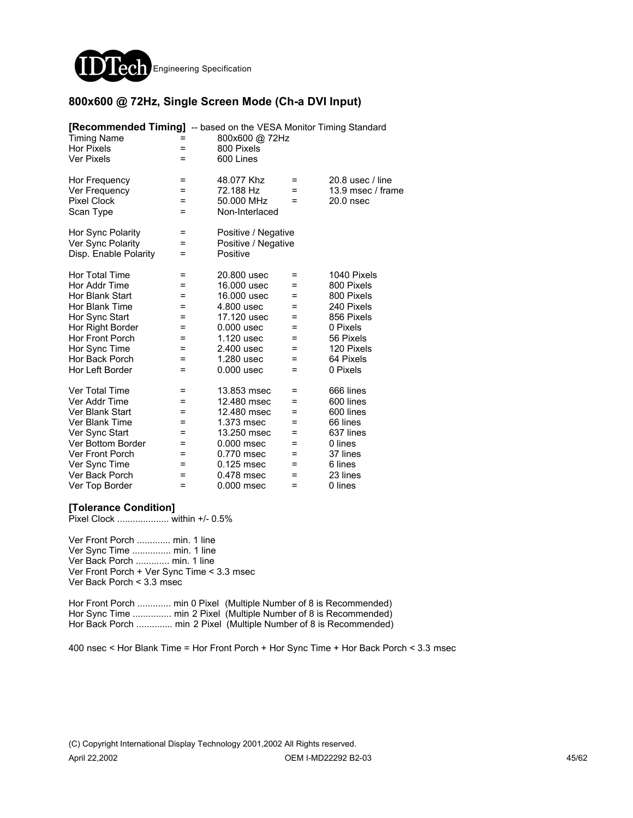

### **800x600 @ 72Hz, Single Screen Mode (Ch-a DVI Input)**

| <b>[Recommended Timing]</b> -- based on the VESA Monitor Timing Standard<br><b>Timing Name</b><br><b>Hor Pixels</b><br><b>Ver Pixels</b>                                                   | =<br>$=$<br>$=$                                      | 800x600 @ 72Hz<br>800 Pixels<br>600 Lines                                                                                                        |                                                           |                                                                                                                                     |
|--------------------------------------------------------------------------------------------------------------------------------------------------------------------------------------------|------------------------------------------------------|--------------------------------------------------------------------------------------------------------------------------------------------------|-----------------------------------------------------------|-------------------------------------------------------------------------------------------------------------------------------------|
| Hor Frequency<br>Ver Frequency<br><b>Pixel Clock</b><br>Scan Type                                                                                                                          | =<br>=<br>=<br>$=$                                   | 48.077 Khz<br>72.188 Hz<br>50.000 MHz<br>Non-Interlaced                                                                                          | $\equiv$<br>$=$<br>$=$                                    | 20.8 usec / line<br>13.9 msec / frame<br>20.0 nsec                                                                                  |
| Hor Sync Polarity<br>Ver Sync Polarity<br>Disp. Enable Polarity                                                                                                                            | =<br>=<br>$=$                                        | Positive / Negative<br>Positive / Negative<br>Positive                                                                                           |                                                           |                                                                                                                                     |
| <b>Hor Total Time</b><br>Hor Addr Time<br>Hor Blank Start<br>Hor Blank Time<br>Hor Sync Start<br>Hor Right Border<br>Hor Front Porch<br>Hor Sync Time<br>Hor Back Porch<br>Hor Left Border | =<br>=<br>=<br>=<br>=<br>=<br>=<br>=<br>=<br>=       | 20,800 usec<br>16,000 usec<br>16.000 usec<br>4.800 usec<br>17.120 usec<br>$0.000$ usec<br>1.120 usec<br>2.400 usec<br>1.280 usec<br>$0.000$ usec | =<br>$\equiv$<br>$=$<br>$=$<br>=<br>=<br>=<br>=<br>=<br>Ξ | 1040 Pixels<br>800 Pixels<br>800 Pixels<br>240 Pixels<br>856 Pixels<br>0 Pixels<br>56 Pixels<br>120 Pixels<br>64 Pixels<br>0 Pixels |
| Ver Total Time<br>Ver Addr Time<br>Ver Blank Start<br>Ver Blank Time<br>Ver Sync Start<br>Ver Bottom Border<br><b>Ver Front Porch</b><br>Ver Sync Time<br>Ver Back Porch<br>Ver Top Border | =<br>$=$<br>=<br>=<br>=<br>$=$<br>=<br>=<br>=<br>$=$ | 13.853 msec<br>12.480 msec<br>12.480 msec<br>1.373 msec<br>13.250 msec<br>0.000 msec<br>0.770 msec<br>0.125 msec<br>0.478 msec<br>0.000 msec     | Ξ<br>=<br>=<br>=<br>=<br>=<br>Ξ<br>=<br>=<br>$=$          | 666 lines<br>600 lines<br>600 lines<br>66 lines<br>637 lines<br>0 lines<br>37 lines<br>6 lines<br>23 lines<br>0 lines               |

#### **[Tolerance Condition]**

Pixel Clock .................... within +/- 0.5%

Ver Front Porch ............. min. 1 line Ver Sync Time ............... min. 1 line Ver Back Porch ............. min. 1 line Ver Front Porch + Ver Sync Time < 3.3 msec Ver Back Porch < 3.3 msec

Hor Front Porch ............. min 0 Pixel (Multiple Number of 8 is Recommended) Hor Sync Time ............... min 2 Pixel (Multiple Number of 8 is Recommended) Hor Back Porch .............. min 2 Pixel (Multiple Number of 8 is Recommended)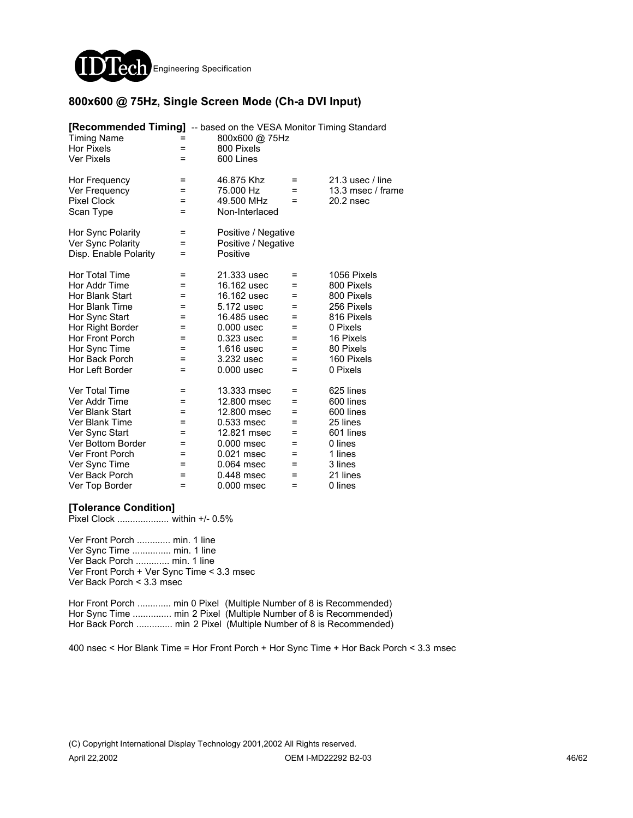

### **800x600 @ 75Hz, Single Screen Mode (Ch-a DVI Input)**

| [Recommended Timing] -- based on the VESA Monitor Timing Standard<br><b>Timing Name</b><br><b>Hor Pixels</b><br><b>Ver Pixels</b> | $=$<br>$=$       | 800x600 @ 75Hz<br>800 Pixels<br>600 Lines                                |     |                   |
|-----------------------------------------------------------------------------------------------------------------------------------|------------------|--------------------------------------------------------------------------|-----|-------------------|
| Hor Frequency                                                                                                                     | =                | 46.875 Khz                                                               | =   | 21.3 usec / line  |
| Ver Frequency                                                                                                                     | =                | 75.000 Hz                                                                | $=$ | 13.3 msec / frame |
| <b>Pixel Clock</b>                                                                                                                | Ξ                | 49.500 MHz                                                               | $=$ | $20.2$ nsec       |
| Scan Type<br>Hor Sync Polarity<br>Ver Sync Polarity<br>Disp. Enable Polarity                                                      | =<br>=<br>Ξ<br>Ξ | Non-Interlaced<br>Positive / Negative<br>Positive / Negative<br>Positive |     |                   |
| Hor Total Time                                                                                                                    | =                | 21.333 usec                                                              | Ξ   | 1056 Pixels       |
| Hor Addr Time                                                                                                                     | =                | 16.162 usec                                                              | $=$ | 800 Pixels        |
| Hor Blank Start                                                                                                                   | =                | 16.162 usec                                                              | Ξ   | 800 Pixels        |
| Hor Blank Time                                                                                                                    | =                | 5.172 usec                                                               | =   | 256 Pixels        |
| Hor Sync Start                                                                                                                    | =                | 16.485 usec                                                              | =   | 816 Pixels        |
| Hor Right Border                                                                                                                  | $=$              | $0.000$ usec                                                             | $=$ | 0 Pixels          |
| Hor Front Porch                                                                                                                   | =                | 0.323 usec                                                               | $=$ | 16 Pixels         |
| Hor Sync Time                                                                                                                     | =                | 1.616 usec                                                               | =   | 80 Pixels         |
| Hor Back Porch                                                                                                                    | =                | 3.232 usec                                                               | Ξ   | 160 Pixels        |
| Hor Left Border                                                                                                                   | $=$              | $0.000$ usec                                                             | $=$ | 0 Pixels          |
| Ver Total Time                                                                                                                    | =                | 13.333 msec                                                              | Ξ   | 625 lines         |
| Ver Addr Time                                                                                                                     | =                | 12,800 msec                                                              | Ξ   | 600 lines         |
| Ver Blank Start                                                                                                                   | =                | 12.800 msec                                                              | $=$ | 600 lines         |
| Ver Blank Time                                                                                                                    | Ξ                | 0.533 msec                                                               | =   | 25 lines          |
| Ver Sync Start                                                                                                                    | =                | 12.821 msec                                                              | =   | 601 lines         |
| Ver Bottom Border                                                                                                                 | =                | $0.000$ msec                                                             | =   | 0 lines           |
| Ver Front Porch                                                                                                                   | =                | 0.021 msec                                                               | =   | 1 lines           |
| Ver Sync Time                                                                                                                     | =                | 0.064 msec                                                               | $=$ | 3 lines           |
| Ver Back Porch                                                                                                                    | =                | 0.448 msec                                                               | $=$ | 21 lines          |
| Ver Top Border                                                                                                                    | =                | 0.000 msec                                                               | =   | 0 lines           |

#### **[Tolerance Condition]**

Pixel Clock .................... within +/- 0.5%

Ver Front Porch ............. min. 1 line Ver Sync Time ............... min. 1 line Ver Back Porch ............. min. 1 line Ver Front Porch + Ver Sync Time < 3.3 msec Ver Back Porch < 3.3 msec

Hor Front Porch ............. min 0 Pixel (Multiple Number of 8 is Recommended) Hor Sync Time ............... min 2 Pixel (Multiple Number of 8 is Recommended) Hor Back Porch .............. min 2 Pixel (Multiple Number of 8 is Recommended)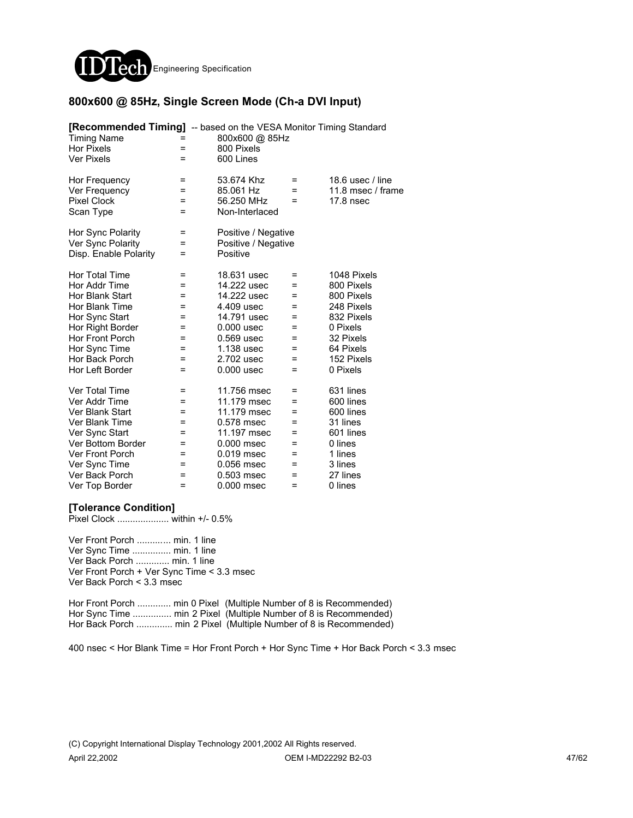

### **800x600 @ 85Hz, Single Screen Mode (Ch-a DVI Input)**

| <b>[Recommended Timing]</b> -- based on the VESA Monitor Timing Standard<br><b>Timing Name</b><br><b>Hor Pixels</b><br><b>Ver Pixels</b>                                                   | =<br>=<br>=                                           | 800x600 @ 85Hz<br>800 Pixels<br>600 Lines                                                                                                        |                                                                 |                                                                                                                                     |
|--------------------------------------------------------------------------------------------------------------------------------------------------------------------------------------------|-------------------------------------------------------|--------------------------------------------------------------------------------------------------------------------------------------------------|-----------------------------------------------------------------|-------------------------------------------------------------------------------------------------------------------------------------|
| Hor Frequency<br>Ver Frequency<br><b>Pixel Clock</b><br>Scan Type                                                                                                                          | =<br>=<br>=<br>=                                      | 53.674 Khz<br>85.061 Hz<br>56.250 MHz<br>Non-Interlaced                                                                                          | $\equiv$<br>$=$<br>$=$                                          | 18.6 usec $/$ line<br>11.8 msec / frame<br>17.8 nsec                                                                                |
| Hor Sync Polarity<br>Ver Sync Polarity<br>Disp. Enable Polarity                                                                                                                            | Ξ<br>Ξ<br>=                                           | Positive / Negative<br>Positive / Negative<br>Positive                                                                                           |                                                                 |                                                                                                                                     |
| Hor Total Time<br>Hor Addr Time<br>Hor Blank Start<br>Hor Blank Time<br>Hor Sync Start<br>Hor Right Border<br><b>Hor Front Porch</b><br>Hor Sync Time<br>Hor Back Porch<br>Hor Left Border | $\equiv$<br>=<br>=<br>=<br>=<br>=<br>=<br>=<br>=<br>= | 18.631 usec<br>14.222 usec<br>14.222 usec<br>4.409 usec<br>14.791 usec<br>$0.000$ usec<br>0.569 usec<br>1.138 usec<br>2.702 usec<br>$0.000$ usec | $\equiv$<br>=<br>$=$<br>=<br>$=$<br>$=$<br>Ξ<br>=<br>$=$<br>$=$ | 1048 Pixels<br>800 Pixels<br>800 Pixels<br>248 Pixels<br>832 Pixels<br>0 Pixels<br>32 Pixels<br>64 Pixels<br>152 Pixels<br>0 Pixels |
| Ver Total Time<br>Ver Addr Time<br>Ver Blank Start<br>Ver Blank Time<br>Ver Sync Start<br>Ver Bottom Border<br>Ver Front Porch<br>Ver Sync Time<br>Ver Back Porch<br>Ver Top Border        | =<br>=<br>=<br>=<br>=<br>=<br>=<br>=<br>=<br>=        | 11.756 msec<br>11.179 msec<br>11.179 msec<br>0.578 msec<br>11.197 msec<br>$0.000$ msec<br>$0.019$ msec<br>0.056 msec<br>0.503 msec<br>0.000 msec | =<br>$=$<br>=<br>$=$<br>$=$<br>$=$<br>=<br>$=$<br>$=$<br>$=$    | 631 lines<br>600 lines<br>600 lines<br>31 lines<br>601 lines<br>0 lines<br>1 lines<br>3 lines<br>27 lines<br>0 lines                |

#### **[Tolerance Condition]**

Pixel Clock .................... within +/- 0.5%

Ver Front Porch ............. min. 1 line Ver Sync Time ............... min. 1 line Ver Back Porch ............. min. 1 line Ver Front Porch + Ver Sync Time < 3.3 msec Ver Back Porch < 3.3 msec

Hor Front Porch ............. min 0 Pixel (Multiple Number of 8 is Recommended) Hor Sync Time ............... min 2 Pixel (Multiple Number of 8 is Recommended) Hor Back Porch .............. min 2 Pixel (Multiple Number of 8 is Recommended)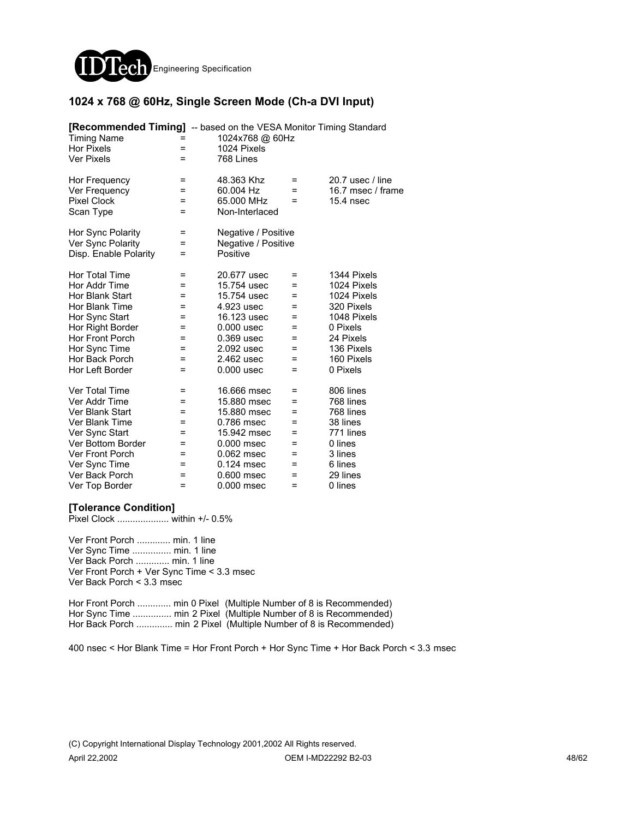

#### **1024 x 768 @ 60Hz, Single Screen Mode (Ch-a DVI Input)**

| <b>[Recommended Timing]</b> -- based on the VESA Monitor Timing Standard<br><b>Timing Name</b><br><b>Hor Pixels</b><br><b>Ver Pixels</b> | =<br>$=$         | 1024x768 @ 60Hz<br>1024 Pixels<br>768 Lines             |                 |                                                    |
|------------------------------------------------------------------------------------------------------------------------------------------|------------------|---------------------------------------------------------|-----------------|----------------------------------------------------|
| Hor Frequency<br>Ver Frequency<br><b>Pixel Clock</b><br>Scan Type                                                                        | =<br>=<br>Ξ<br>= | 48.363 Khz<br>60.004 Hz<br>65.000 MHz<br>Non-Interlaced | =<br>$=$<br>$=$ | 20.7 usec / line<br>16.7 msec / frame<br>15.4 nsec |
| Hor Sync Polarity<br>Ver Sync Polarity<br>Disp. Enable Polarity                                                                          | =<br>Ξ<br>=      | Negative / Positive<br>Negative / Positive<br>Positive  |                 |                                                    |
| Hor Total Time                                                                                                                           | $=$              | 20.677 usec                                             | =               | 1344 Pixels                                        |
| Hor Addr Time                                                                                                                            | Ξ                | 15.754 usec                                             | =               | 1024 Pixels                                        |
| Hor Blank Start                                                                                                                          | =                | 15.754 usec                                             | =               | 1024 Pixels                                        |
| Hor Blank Time                                                                                                                           | =                | 4.923 usec                                              | $=$             | 320 Pixels                                         |
| Hor Sync Start                                                                                                                           | =                | 16.123 usec                                             | =               | 1048 Pixels                                        |
| Hor Right Border                                                                                                                         | =                | $0.000$ usec                                            | Ξ               | 0 Pixels                                           |
| <b>Hor Front Porch</b>                                                                                                                   | =                | 0.369 usec                                              | Ξ               | 24 Pixels                                          |
| Hor Sync Time                                                                                                                            | =                | 2.092 usec                                              | =               | 136 Pixels                                         |
| Hor Back Porch                                                                                                                           | =                | 2.462 usec                                              | Ξ               | 160 Pixels                                         |
| Hor Left Border                                                                                                                          | Ξ                | $0.000$ usec                                            | Ξ               | 0 Pixels                                           |
| <b>Ver Total Time</b>                                                                                                                    | $\equiv$         | 16,666 msec                                             | =               | 806 lines                                          |
| Ver Addr Time                                                                                                                            | =                | 15,880 msec                                             | Ξ               | 768 lines                                          |
| Ver Blank Start                                                                                                                          | Ξ                | 15,880 msec                                             | Ξ               | 768 lines                                          |
| Ver Blank Time                                                                                                                           | $=$              | 0.786 msec                                              | =               | 38 lines                                           |
| Ver Sync Start                                                                                                                           | =                | 15.942 msec                                             | =               | 771 lines                                          |
| Ver Bottom Border                                                                                                                        | =                | 0.000 msec                                              | =               | 0 lines                                            |
| Ver Front Porch                                                                                                                          | =                | 0.062 msec                                              | Ξ               | 3 lines                                            |
| Ver Sync Time                                                                                                                            | $=$              | 0.124 msec                                              | =               | 6 lines                                            |
| Ver Back Porch                                                                                                                           | =                | 0.600 msec                                              | Ξ               | 29 lines                                           |
| Ver Top Border                                                                                                                           | =                | 0.000 msec                                              | =               | 0 lines                                            |

#### **[Tolerance Condition]**

Pixel Clock .................... within +/- 0.5%

Ver Front Porch ............. min. 1 line Ver Sync Time ............... min. 1 line Ver Back Porch ............. min. 1 line Ver Front Porch + Ver Sync Time < 3.3 msec Ver Back Porch < 3.3 msec

Hor Front Porch ............. min 0 Pixel (Multiple Number of 8 is Recommended) Hor Sync Time ............... min 2 Pixel (Multiple Number of 8 is Recommended) Hor Back Porch .............. min 2 Pixel (Multiple Number of 8 is Recommended)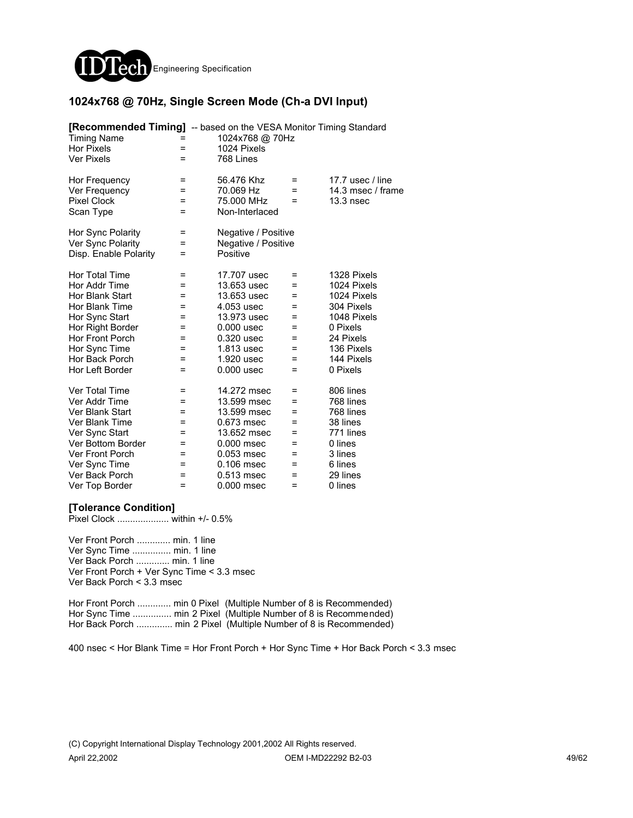

#### **1024x768 @ 70Hz, Single Screen Mode (Ch-a DVI Input)**

| <b>[Recommended Timing]</b> -- based on the VESA Monitor Timing Standard<br><b>Timing Name</b><br><b>Hor Pixels</b><br><b>Ver Pixels</b>                                                   | =<br>$=$                                                         | 1024x768 @ 70Hz<br>1024 Pixels<br>768 Lines                                                                                                      |                                                            |                                                                                                                                         |
|--------------------------------------------------------------------------------------------------------------------------------------------------------------------------------------------|------------------------------------------------------------------|--------------------------------------------------------------------------------------------------------------------------------------------------|------------------------------------------------------------|-----------------------------------------------------------------------------------------------------------------------------------------|
| Hor Frequency<br>Ver Frequency<br><b>Pixel Clock</b><br>Scan Type                                                                                                                          | =<br>=<br>Ξ<br>=                                                 | 56.476 Khz<br>70.069 Hz<br>75.000 MHz<br>Non-Interlaced                                                                                          | =<br>$=$<br>$=$                                            | 17.7 usec / line<br>14.3 msec / frame<br>13.3nsec                                                                                       |
| Hor Sync Polarity<br>Ver Sync Polarity<br>Disp. Enable Polarity                                                                                                                            | =<br>$=$<br>Ξ                                                    | Negative / Positive<br>Negative / Positive<br>Positive                                                                                           |                                                            |                                                                                                                                         |
| Hor Total Time<br>Hor Addr Time<br>Hor Blank Start<br>Hor Blank Time<br>Hor Sync Start<br>Hor Right Border<br><b>Hor Front Porch</b><br>Hor Sync Time<br>Hor Back Porch<br>Hor Left Border | $=$<br>=<br>Ξ<br>Ξ<br>$=$<br>$=$<br>$=$<br>=<br>Ξ<br>$=$         | 17.707 usec<br>13.653 usec<br>13.653 usec<br>4.053 usec<br>13.973 usec<br>$0.000$ usec<br>0.320 usec<br>1.813 usec<br>1.920 usec<br>$0.000$ usec | $=$<br>$=$<br>Ξ<br>=<br>=<br>$=$<br>$=$<br>=<br>$=$<br>$=$ | 1328 Pixels<br>1024 Pixels<br>1024 Pixels<br>304 Pixels<br>1048 Pixels<br>0 Pixels<br>24 Pixels<br>136 Pixels<br>144 Pixels<br>0 Pixels |
| Ver Total Time<br>Ver Addr Time<br>Ver Blank Start<br>Ver Blank Time<br>Ver Sync Start<br>Ver Bottom Border<br>Ver Front Porch<br>Ver Sync Time<br>Ver Back Porch<br>Ver Top Border        | $\equiv$<br>$\equiv$<br>$=$<br>$=$<br>=<br>Ξ<br>=<br>=<br>=<br>= | 14.272 msec<br>13.599 msec<br>13.599 msec<br>0.673 msec<br>13.652 msec<br>$0.000$ msec<br>$0.053$ msec<br>0.106 msec<br>0.513 msec<br>0.000 msec | Ξ<br>$=$<br>Ξ<br>$=$<br>=<br>=<br>=<br>$=$<br>$=$<br>=     | 806 lines<br>768 lines<br>768 lines<br>38 lines<br>771 lines<br>0 lines<br>3 lines<br>6 lines<br>29 lines<br>0 lines                    |

#### **[Tolerance Condition]**

Pixel Clock .................... within +/- 0.5%

Ver Front Porch ............. min. 1 line Ver Sync Time ............... min. 1 line Ver Back Porch ............. min. 1 line Ver Front Porch + Ver Sync Time < 3.3 msec Ver Back Porch < 3.3 msec

Hor Front Porch ............. min 0 Pixel (Multiple Number of 8 is Recommended) Hor Sync Time ................ min 2 Pixel (Multiple Number of 8 is Recommended) Hor Back Porch .............. min 2 Pixel (Multiple Number of 8 is Recommended)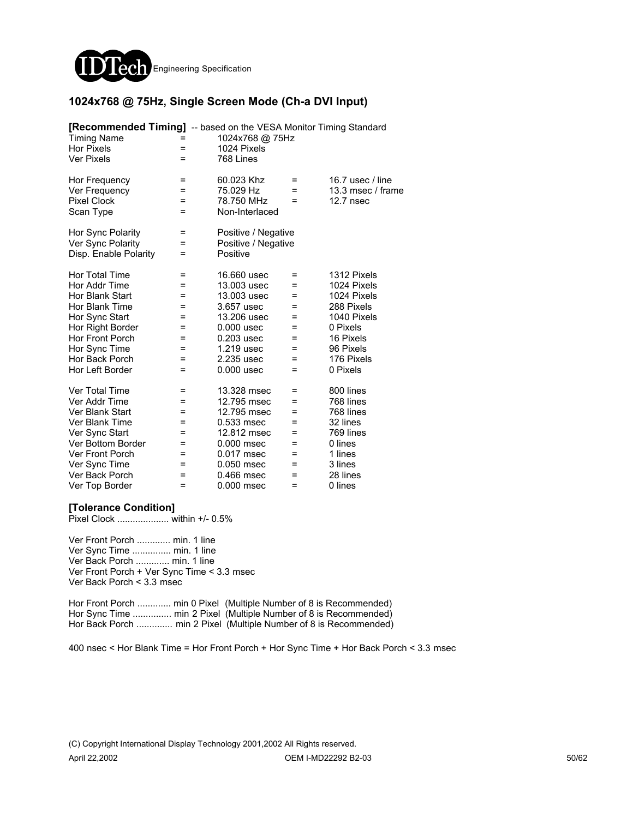

#### **1024x768 @ 75Hz, Single Screen Mode (Ch-a DVI Input)**

| <b>[Recommended Timing]</b> -- based on the VESA Monitor Timing Standard<br><b>Timing Name</b><br><b>Hor Pixels</b><br><b>Ver Pixels</b>                                                   | =<br>$=$<br>=                                  | 1024x768 @ 75Hz<br>1024 Pixels<br>768 Lines                                                                                                        |                                                                        |                                                                                                                                        |
|--------------------------------------------------------------------------------------------------------------------------------------------------------------------------------------------|------------------------------------------------|----------------------------------------------------------------------------------------------------------------------------------------------------|------------------------------------------------------------------------|----------------------------------------------------------------------------------------------------------------------------------------|
| Hor Frequency<br>Ver Frequency<br><b>Pixel Clock</b><br>Scan Type                                                                                                                          | Ξ<br>=<br>Ξ<br>=                               | 60.023 Khz<br>75.029 Hz<br>78.750 MHz<br>Non-Interlaced                                                                                            | Ξ<br>$=$<br>$=$                                                        | 16.7 usec / line<br>13.3 msec / frame<br>12.7 nsec                                                                                     |
| Hor Sync Polarity<br>Ver Sync Polarity<br>Disp. Enable Polarity                                                                                                                            | =<br>=<br>=                                    | Positive / Negative<br>Positive / Negative<br>Positive                                                                                             |                                                                        |                                                                                                                                        |
| Hor Total Time<br>Hor Addr Time<br>Hor Blank Start<br>Hor Blank Time<br>Hor Sync Start<br>Hor Right Border<br><b>Hor Front Porch</b><br>Hor Sync Time<br>Hor Back Porch<br>Hor Left Border | =<br>=<br>=<br>=<br>Ξ<br>=<br>=<br>=<br>Ξ<br>= | 16.660 usec<br>13.003 usec<br>13.003 usec<br>3.657 usec<br>13,206 usec<br>$0.000$ usec<br>$0.203$ usec<br>1.219 usec<br>2.235 usec<br>$0.000$ usec | $\equiv$<br>$=$<br>$=$<br>$=$<br>$=$<br>$=$<br>=<br>=<br>$\equiv$<br>Ξ | 1312 Pixels<br>1024 Pixels<br>1024 Pixels<br>288 Pixels<br>1040 Pixels<br>0 Pixels<br>16 Pixels<br>96 Pixels<br>176 Pixels<br>0 Pixels |
| Ver Total Time<br>Ver Addr Time<br>Ver Blank Start<br>Ver Blank Time<br>Ver Sync Start<br>Ver Bottom Border<br>Ver Front Porch<br>Ver Sync Time<br>Ver Back Porch<br>Ver Top Border        | =<br>Ξ<br>=<br>=<br>=<br>=<br>=<br>=<br>=<br>= | 13.328 msec<br>12.795 msec<br>12.795 msec<br>0.533 msec<br>12.812 msec<br>0.000 msec<br>0.017 msec<br>0.050 msec<br>0.466 msec<br>0.000 msec       | =<br>$=$<br>$=$<br>$=$<br>$=$<br>Ξ<br>=<br>$=$<br>$=$<br>$=$           | 800 lines<br>768 lines<br>768 lines<br>32 lines<br>769 lines<br>0 lines<br>1 lines<br>3 lines<br>28 lines<br>0 lines                   |

#### **[Tolerance Condition]**

Pixel Clock .................... within +/- 0.5%

Ver Front Porch ............. min. 1 line Ver Sync Time ............... min. 1 line Ver Back Porch ............. min. 1 line Ver Front Porch + Ver Sync Time < 3.3 msec Ver Back Porch < 3.3 msec

Hor Front Porch ............. min 0 Pixel (Multiple Number of 8 is Recommended) Hor Sync Time ............... min 2 Pixel (Multiple Number of 8 is Recommended) Hor Back Porch ............... min 2 Pixel (Multiple Number of 8 is Recommended)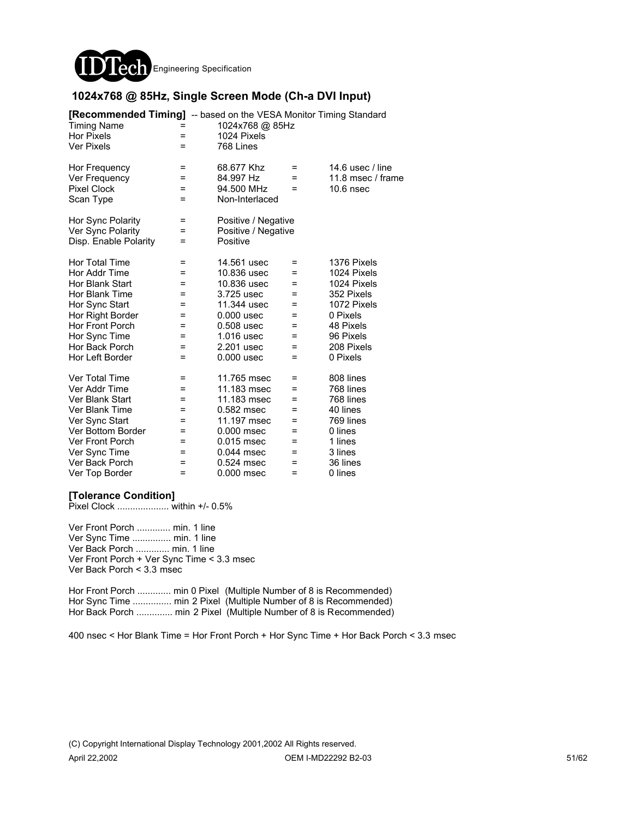

#### **1024x768 @ 85Hz, Single Screen Mode (Ch-a DVI Input)**

| [Recommended Timing] -- based on the VESA Monitor Timing Standard<br><b>Timing Name</b><br><b>Hor Pixels</b><br><b>Ver Pixels</b>                                                                 | =<br>=                                               | 1024x768 @ 85Hz<br>1024 Pixels<br>768 Lines                                                                                                        |                                                              |                                                                                                                                        |
|---------------------------------------------------------------------------------------------------------------------------------------------------------------------------------------------------|------------------------------------------------------|----------------------------------------------------------------------------------------------------------------------------------------------------|--------------------------------------------------------------|----------------------------------------------------------------------------------------------------------------------------------------|
| Hor Frequency<br>Ver Frequency<br><b>Pixel Clock</b><br>Scan Type                                                                                                                                 | $\equiv$<br>$=$<br>=<br>$=$                          | 68.677 Khz<br>84.997 Hz<br>94.500 MHz<br>Non-Interlaced                                                                                            | $=$<br>$=$<br>$=$                                            | 14.6 usec $/$ line<br>11.8 msec / frame<br>$10.6$ nsec                                                                                 |
| Hor Sync Polarity<br>Ver Sync Polarity<br>Disp. Enable Polarity                                                                                                                                   | $\equiv$<br>$=$<br>=                                 | Positive / Negative<br>Positive / Negative<br>Positive                                                                                             |                                                              |                                                                                                                                        |
| Hor Total Time<br>Hor Addr Time<br>Hor Blank Start<br>Hor Blank Time<br>Hor Sync Start<br>Hor Right Border<br>Hor Front Porch<br>Hor Sync Time<br>Hor Back Porch<br>Hor Left Border               | =<br>=<br>=<br>=<br>$=$<br>=<br>=<br>$=$<br>=<br>$=$ | 14.561 usec<br>10.836 usec<br>10.836 usec<br>3.725 usec<br>11.344 usec<br>$0.000$ usec<br>$0.508$ usec<br>1.016 usec<br>2.201 usec<br>$0.000$ usec | $=$<br>$=$<br>$=$<br>=<br>$=$<br>=<br>=<br>$=$<br>$=$<br>$=$ | 1376 Pixels<br>1024 Pixels<br>1024 Pixels<br>352 Pixels<br>1072 Pixels<br>0 Pixels<br>48 Pixels<br>96 Pixels<br>208 Pixels<br>0 Pixels |
| <b>Ver Total Time</b><br>Ver Addr Time<br>Ver Blank Start<br>Ver Blank Time<br>Ver Sync Start<br>Ver Bottom Border<br><b>Ver Front Porch</b><br>Ver Sync Time<br>Ver Back Porch<br>Ver Top Border | $=$<br>=<br>=<br>$=$<br>=<br>=<br>$=$<br>=<br>=<br>= | 11.765 msec<br>11.183 msec<br>11.183 msec<br>0.582 msec<br>11.197 msec<br>0.000 msec<br>0.015 msec<br>$0.044$ msec<br>0.524 msec<br>0.000 msec     | =<br>$=$<br>=<br>=<br>$=$<br>=<br>$=$<br>Ξ<br>=<br>$=$       | 808 lines<br>768 lines<br>768 lines<br>40 lines<br>769 lines<br>0 lines<br>1 lines<br>3 lines<br>36 lines<br>0 lines                   |

#### **[Tolerance Condition]**

Pixel Clock .................... within +/- 0.5%

Ver Front Porch ............. min. 1 line Ver Sync Time ............... min. 1 line Ver Back Porch ............. min. 1 line Ver Front Porch + Ver Sync Time < 3.3 msec Ver Back Porch < 3.3 msec

Hor Front Porch ............. min 0 Pixel (Multiple Number of 8 is Recommended) Hor Sync Time ............... min 2 Pixel (Multiple Number of 8 is Recommended) Hor Back Porch ............... min 2 Pixel (Multiple Number of 8 is Recommended)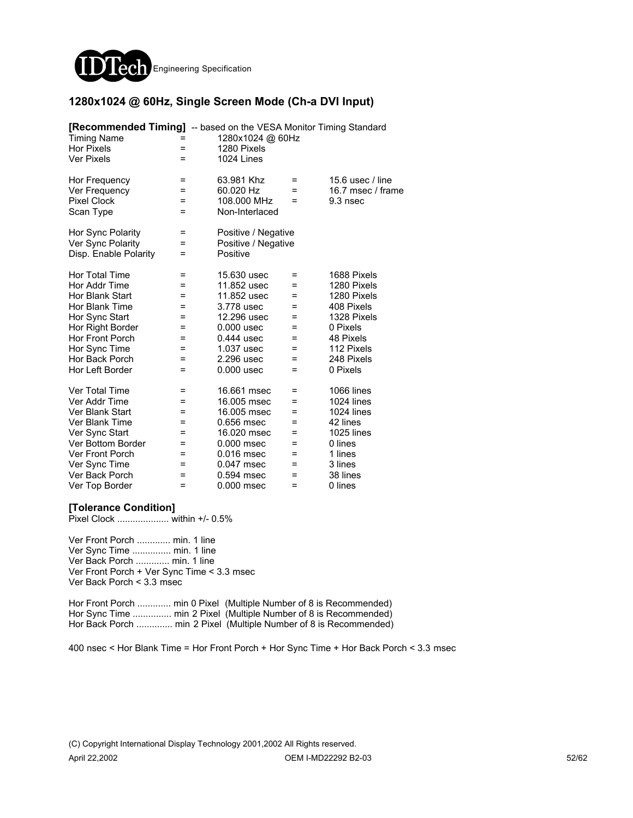

#### **1280x1024 @ 60Hz, Single Screen Mode (Ch-a DVI Input)**

| [Recommended Timing] -- based on the VESA Monitor Timing Standard<br><b>Timing Name</b><br><b>Hor Pixels</b><br><b>Ver Pixels</b> | =<br>$=$<br>$=$ | 1280x1024 @ 60Hz<br>1280 Pixels<br>1024 Lines |     |                   |
|-----------------------------------------------------------------------------------------------------------------------------------|-----------------|-----------------------------------------------|-----|-------------------|
| Hor Frequency                                                                                                                     | =               | 63.981 Khz                                    | $=$ | 15.6 usec / line  |
| Ver Frequency                                                                                                                     | =               | 60.020 Hz                                     | $=$ | 16.7 msec / frame |
| <b>Pixel Clock</b>                                                                                                                | $=$             | 108.000 MHz                                   | $=$ | 9.3 nsec          |
| Scan Type                                                                                                                         | $=$             | Non-Interlaced                                |     |                   |
| Hor Sync Polarity                                                                                                                 | =               | Positive / Negative                           |     |                   |
| Ver Sync Polarity                                                                                                                 | Ξ               | Positive / Negative                           |     |                   |
| Disp. Enable Polarity                                                                                                             | =               | Positive                                      |     |                   |
| <b>Hor Total Time</b>                                                                                                             | Ξ               | 15.630 usec                                   | Ξ   | 1688 Pixels       |
| Hor Addr Time                                                                                                                     | =               | 11.852 usec                                   | $=$ | 1280 Pixels       |
| Hor Blank Start                                                                                                                   | =               | 11.852 usec                                   | =   | 1280 Pixels       |
| Hor Blank Time                                                                                                                    | =               | 3.778 usec                                    | =   | 408 Pixels        |
| Hor Sync Start                                                                                                                    | Ξ               | 12.296 usec                                   | $=$ | 1328 Pixels       |
| Hor Right Border                                                                                                                  | =               | $0.000$ usec                                  | =   | 0 Pixels          |
| Hor Front Porch                                                                                                                   | =               | $0.444$ usec                                  | =   | 48 Pixels         |
| Hor Sync Time                                                                                                                     | =               | 1.037 usec                                    | =   | 112 Pixels        |
| Hor Back Porch                                                                                                                    | Ξ               | 2.296 usec                                    | Ξ   | 248 Pixels        |
| Hor Left Border                                                                                                                   | $=$             | $0.000$ usec                                  | Ξ   | 0 Pixels          |
| Ver Total Time                                                                                                                    | =               | 16.661 msec                                   | =   | <b>1066 lines</b> |
| Ver Addr Time                                                                                                                     | =               | 16.005 msec                                   | $=$ | 1024 lines        |
| Ver Blank Start                                                                                                                   | =               | 16.005 msec                                   | =   | <b>1024 lines</b> |
| Ver Blank Time                                                                                                                    | =               | 0.656 msec                                    | =   | 42 lines          |
| Ver Sync Start                                                                                                                    | =               | 16.020 msec                                   | =   | <b>1025 lines</b> |
| Ver Bottom Border                                                                                                                 | $=$             | 0.000 msec                                    | Ξ   | 0 lines           |
| Ver Front Porch                                                                                                                   | =               | $0.016$ msec                                  | =   | 1 lines           |
| Ver Sync Time                                                                                                                     | =               | 0.047 msec                                    | =   | 3 lines           |
| Ver Back Porch                                                                                                                    | =               | 0.594 msec                                    | $=$ | 38 lines          |
| Ver Top Border                                                                                                                    | =               | 0.000 msec                                    | =   | 0 lines           |

#### **[Tolerance Condition]**

Pixel Clock .................... within +/- 0.5%

Ver Front Porch ............. min. 1 line Ver Sync Time ............... min. 1 line Ver Back Porch ............. min. 1 line Ver Front Porch + Ver Sync Time < 3.3 msec Ver Back Porch < 3.3 msec

Hor Front Porch ............. min 0 Pixel (Multiple Number of 8 is Recommended) Hor Sync Time ............... min 2 Pixel (Multiple Number of 8 is Recommended) Hor Back Porch .............. min 2 Pixel (Multiple Number of 8 is Recommended)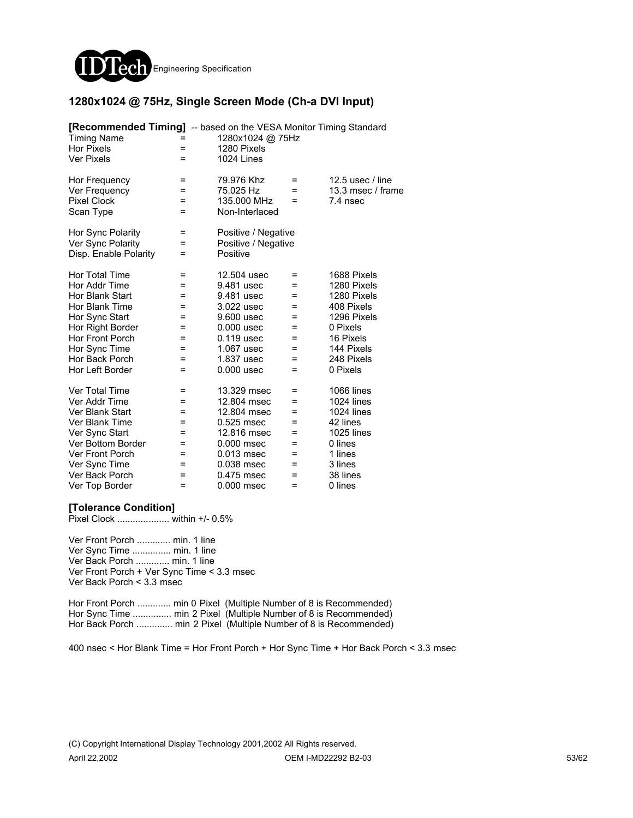

#### **1280x1024 @ 75Hz, Single Screen Mode (Ch-a DVI Input)**

| <b>[Recommended Timing]</b> -- based on the VESA Monitor Timing Standard<br><b>Timing Name</b><br><b>Hor Pixels</b><br><b>Ver Pixels</b> | =<br>$=$ | 1280x1024 @ 75Hz<br>1280 Pixels<br>1024 Lines |     |                   |
|------------------------------------------------------------------------------------------------------------------------------------------|----------|-----------------------------------------------|-----|-------------------|
| Hor Frequency                                                                                                                            | =        | 79.976 Khz                                    | =   | 12.5 usec / line  |
| Ver Frequency                                                                                                                            | =        | 75.025 Hz                                     | $=$ | 13.3 msec / frame |
| <b>Pixel Clock</b>                                                                                                                       | $=$      | 135,000 MHz                                   | $=$ | 7.4 nsec          |
| Scan Type                                                                                                                                | =        | Non-Interlaced                                |     |                   |
| Hor Sync Polarity                                                                                                                        | $=$      | Positive / Negative                           |     |                   |
| Ver Sync Polarity                                                                                                                        | Ξ        | Positive / Negative                           |     |                   |
| Disp. Enable Polarity                                                                                                                    | =        | Positive                                      |     |                   |
| <b>Hor Total Time</b>                                                                                                                    | =        | 12.504 usec                                   | =   | 1688 Pixels       |
| Hor Addr Time                                                                                                                            | =        | 9.481 usec                                    | =   | 1280 Pixels       |
| Hor Blank Start                                                                                                                          | =        | 9.481 usec                                    | =   | 1280 Pixels       |
| Hor Blank Time                                                                                                                           | $=$      | 3.022 usec                                    | =   | 408 Pixels        |
| Hor Sync Start                                                                                                                           | =        | 9.600 usec                                    | =   | 1296 Pixels       |
| Hor Right Border                                                                                                                         | $=$      | $0.000$ usec                                  | $=$ | 0 Pixels          |
| <b>Hor Front Porch</b>                                                                                                                   | =        | 0.119 usec                                    | =   | 16 Pixels         |
| Hor Sync Time                                                                                                                            | =        | 1.067 usec                                    | =   | 144 Pixels        |
| Hor Back Porch                                                                                                                           | =        | 1.837 usec                                    | =   | 248 Pixels        |
| Hor Left Border                                                                                                                          | $=$      | $0.000$ usec                                  | $=$ | 0 Pixels          |
| <b>Ver Total Time</b>                                                                                                                    | =        | 13.329 msec                                   | =   | <b>1066 lines</b> |
| Ver Addr Time                                                                                                                            | =        | 12.804 msec                                   | $=$ | 1024 lines        |
| Ver Blank Start                                                                                                                          | Ξ        | 12.804 msec                                   | $=$ | 1024 lines        |
| Ver Blank Time                                                                                                                           | =        | 0.525 msec                                    | =   | 42 lines          |
| Ver Sync Start                                                                                                                           | =        | 12.816 msec                                   | =   | <b>1025 lines</b> |
| Ver Bottom Border                                                                                                                        | =        | 0.000 msec                                    | =   | 0 lines           |
| Ver Front Porch                                                                                                                          | =        | 0.013 msec                                    | =   | 1 lines           |
| Ver Sync Time                                                                                                                            | =        | 0.038 msec                                    | =   | 3 lines           |
| Ver Back Porch                                                                                                                           | =        | 0.475 msec                                    | $=$ | 38 lines          |
| Ver Top Border                                                                                                                           | =        | 0.000 msec                                    | =   | 0 lines           |

#### **[Tolerance Condition]**

Pixel Clock .................... within +/- 0.5%

Ver Front Porch ............. min. 1 line Ver Sync Time ............... min. 1 line Ver Back Porch ............. min. 1 line Ver Front Porch + Ver Sync Time < 3.3 msec Ver Back Porch < 3.3 msec

Hor Front Porch ............. min 0 Pixel (Multiple Number of 8 is Recommended) Hor Sync Time ............... min 2 Pixel (Multiple Number of 8 is Recommended) Hor Back Porch .............. min 2 Pixel (Multiple Number of 8 is Recommended)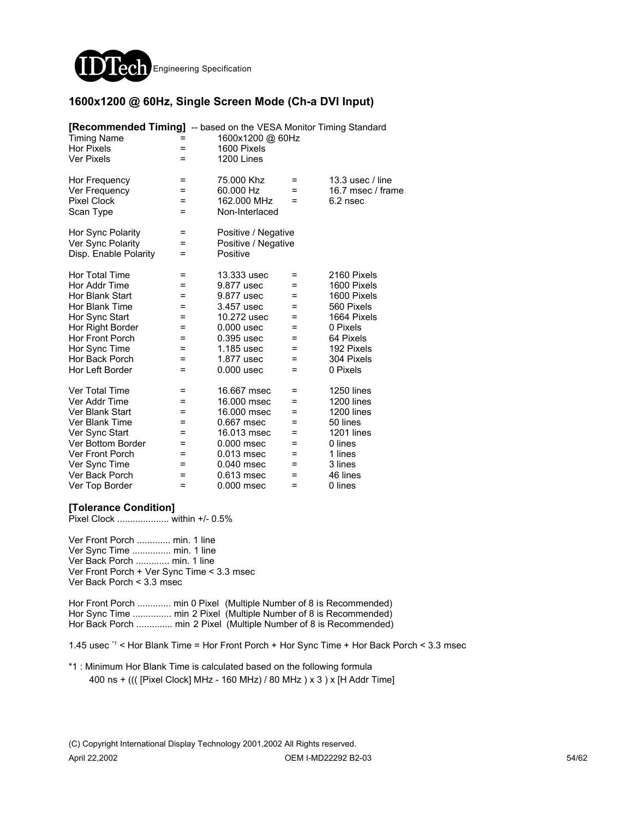

#### **1600x1200 @ 60Hz, Single Screen Mode (Ch-a DVI Input)**

| <b>[Recommended Timing]</b> -- based on the VESA Monitor Timing Standard<br><b>Timing Name</b><br><b>Hor Pixels</b><br><b>Ver Pixels</b> | =<br>Ξ | 1600x1200 @ 60Hz<br>1600 Pixels<br>1200 Lines |     |                   |
|------------------------------------------------------------------------------------------------------------------------------------------|--------|-----------------------------------------------|-----|-------------------|
| Hor Frequency                                                                                                                            | =      | 75,000 Khz                                    | =   | 13.3 usec / line  |
| Ver Frequency                                                                                                                            | =      | 60.000 Hz                                     | =   | 16.7 msec / frame |
| <b>Pixel Clock</b>                                                                                                                       | =      | 162,000 MHz                                   | $=$ | 6.2 nsec          |
| Scan Type                                                                                                                                | =      | Non-Interlaced                                |     |                   |
| Hor Sync Polarity                                                                                                                        | $=$    | Positive / Negative                           |     |                   |
| Ver Sync Polarity                                                                                                                        | Ξ      | Positive / Negative                           |     |                   |
| Disp. Enable Polarity                                                                                                                    | =      | Positive                                      |     |                   |
| <b>Hor Total Time</b>                                                                                                                    | =      | 13.333 usec                                   | =   | 2160 Pixels       |
| Hor Addr Time                                                                                                                            | =      | 9.877 usec                                    | =   | 1600 Pixels       |
| Hor Blank Start                                                                                                                          | =      | 9.877 usec                                    | =   | 1600 Pixels       |
| Hor Blank Time                                                                                                                           | =      | 3.457 usec                                    | =   | 560 Pixels        |
| Hor Sync Start                                                                                                                           | =      | 10.272 usec                                   | =   | 1664 Pixels       |
| Hor Right Border                                                                                                                         | =      | $0.000$ usec                                  | =   | 0 Pixels          |
| <b>Hor Front Porch</b>                                                                                                                   | =      | 0.395 usec                                    | =   | 64 Pixels         |
| Hor Sync Time                                                                                                                            | =      | 1.185 usec                                    | =   | 192 Pixels        |
| Hor Back Porch                                                                                                                           | =      | 1.877 usec                                    | =   | 304 Pixels        |
| Hor Left Border                                                                                                                          | Ξ      | $0.000$ usec                                  | Ξ   | 0 Pixels          |
| <b>Ver Total Time</b>                                                                                                                    | =      | 16.667 msec                                   | =   | <b>1250 lines</b> |
| Ver Addr Time                                                                                                                            | =      | 16,000 msec                                   | $=$ | 1200 lines        |
| Ver Blank Start                                                                                                                          | $=$    | 16,000 msec                                   | $=$ | 1200 lines        |
| Ver Blank Time                                                                                                                           | =      | 0.667 msec                                    | =   | 50 lines          |
| Ver Sync Start                                                                                                                           | =      | 16.013 msec                                   | =   | <b>1201 lines</b> |
| Ver Bottom Border                                                                                                                        | =      | $0.000$ msec                                  | =   | 0 lines           |
| Ver Front Porch                                                                                                                          | =      | 0.013 msec                                    | =   | 1 lines           |
| Ver Sync Time                                                                                                                            | =      | 0.040 msec                                    | =   | 3 lines           |
| Ver Back Porch                                                                                                                           | =      | 0.613 msec                                    | =   | 46 lines          |
| Ver Top Border                                                                                                                           | =      | $0.000$ msec                                  | =   | 0 lines           |

#### **[Tolerance Condition]**

Pixel Clock .................... within +/- 0.5%

Ver Front Porch ............. min. 1 line Ver Sync Time ............... min. 1 line Ver Back Porch ............. min. 1 line Ver Front Porch + Ver Sync Time < 3.3 msec Ver Back Porch < 3.3 msec

Hor Front Porch ............. min 0 Pixel (Multiple Number of 8 is Recommended) Hor Sync Time ................ min 2 Pixel (Multiple Number of 8 is Recommended) Hor Back Porch .............. min 2 Pixel (Multiple Number of 8 is Recommended)

1.45 usec \*1 < Hor Blank Time = Hor Front Porch + Hor Sync Time + Hor Back Porch < 3.3 msec

\*1 : Minimum Hor Blank Time is calculated based on the following formula 400 ns + ((( [Pixel Clock] MHz - 160 MHz) / 80 MHz ) x 3 ) x [H Addr Time]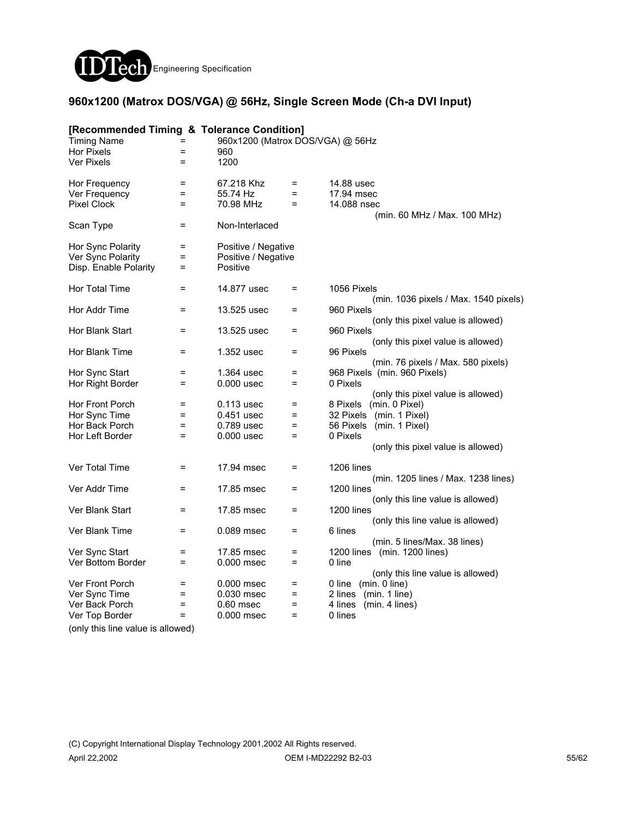

### **960x1200 (Matrox DOS/VGA) @ 56Hz, Single Screen Mode (Ch-a DVI Input)**

| [Recommended Timing & Tolerance Condition] |                   |                                  |          |                                                      |
|--------------------------------------------|-------------------|----------------------------------|----------|------------------------------------------------------|
| <b>Timing Name</b>                         | =                 | 960x1200 (Matrox DOS/VGA) @ 56Hz |          |                                                      |
| <b>Hor Pixels</b>                          | =                 | 960                              |          |                                                      |
| <b>Ver Pixels</b>                          | $=$               | 1200                             |          |                                                      |
| Hor Frequency                              | =                 | 67.218 Khz                       | $=$      | 14.88 usec                                           |
| Ver Frequency                              | $\equiv$          | 55.74 Hz                         | $\equiv$ | 17.94 msec                                           |
| <b>Pixel Clock</b>                         | $=$               | 70.98 MHz                        | $=$      | 14.088 nsec<br>(min. 60 MHz / Max. 100 MHz)          |
| Scan Type                                  | $=$               | Non-Interlaced                   |          |                                                      |
| Hor Sync Polarity                          | =                 | Positive / Negative              |          |                                                      |
| Ver Sync Polarity                          | $=$               | Positive / Negative              |          |                                                      |
| Disp. Enable Polarity                      | $=$               | Positive                         |          |                                                      |
| Hor Total Time                             | =                 | 14.877 usec                      | $=$      | 1056 Pixels<br>(min. 1036 pixels / Max. 1540 pixels) |
| Hor Addr Time                              | Ξ                 | 13.525 usec                      | $=$      | 960 Pixels                                           |
|                                            |                   |                                  |          | (only this pixel value is allowed)                   |
| Hor Blank Start                            | $\equiv$          | 13.525 usec                      | $=$      | 960 Pixels<br>(only this pixel value is allowed)     |
| Hor Blank Time                             | $=$               | 1.352 usec                       | $=$      | 96 Pixels                                            |
|                                            |                   |                                  |          | (min. 76 pixels / Max. 580 pixels)                   |
| Hor Sync Start                             | =                 | 1.364 usec                       | $=$      | 968 Pixels (min. 960 Pixels)                         |
| Hor Right Border                           | $=$               | $0.000$ usec                     | $=$      | 0 Pixels                                             |
|                                            |                   |                                  |          | (only this pixel value is allowed)                   |
| Hor Front Porch                            | $=$               | 0.113 usec                       | $=$      | 8 Pixels (min. 0 Pixel)                              |
| Hor Sync Time                              | $=$               | 0.451 usec                       | $=$      | 32 Pixels (min. 1 Pixel)                             |
| Hor Back Porch                             | $\qquad \qquad =$ | 0.789 usec                       | $\equiv$ | 56 Pixels (min. 1 Pixel)                             |
| Hor Left Border                            | $=$               | $0.000$ usec                     | $=$      | 0 Pixels                                             |
|                                            |                   |                                  |          | (only this pixel value is allowed)                   |
| Ver Total Time                             | $=$               | 17.94 msec                       | $=$      | 1206 lines                                           |
|                                            |                   |                                  |          | (min. 1205 lines / Max. 1238 lines)                  |
| Ver Addr Time                              | =                 | 17.85 msec                       | Ξ        | 1200 lines                                           |
|                                            |                   |                                  |          | (only this line value is allowed)                    |
| Ver Blank Start                            | $=$               | 17.85 msec                       | $=$      | 1200 lines                                           |
|                                            |                   |                                  |          | (only this line value is allowed)                    |
| Ver Blank Time                             | $=$               | 0.089 msec                       | $=$      | 6 lines                                              |
|                                            |                   |                                  |          | (min. 5 lines/Max. 38 lines)                         |
| Ver Sync Start                             | Ξ                 | 17.85 msec                       | $=$      | 1200 lines (min. 1200 lines)                         |
| Ver Bottom Border                          | $=$               | $0.000$ msec                     | $=$      | 0 line                                               |
|                                            |                   |                                  |          | (only this line value is allowed)                    |
| Ver Front Porch                            | =                 | 0.000 msec                       | $=$      | 0 line (min. 0 line)                                 |
| Ver Sync Time                              | =                 | 0.030 msec                       | $=$      | (min. 1 line)<br>2 lines                             |
| Ver Back Porch                             | $\qquad \qquad =$ | $0.60$ msec                      | $=$      | 4 lines<br>(min. 4 lines)                            |
| Ver Top Border                             | $=$               | 0.000 msec                       | Ξ        | 0 lines                                              |
| (only this line value is allowed)          |                   |                                  |          |                                                      |
|                                            |                   |                                  |          |                                                      |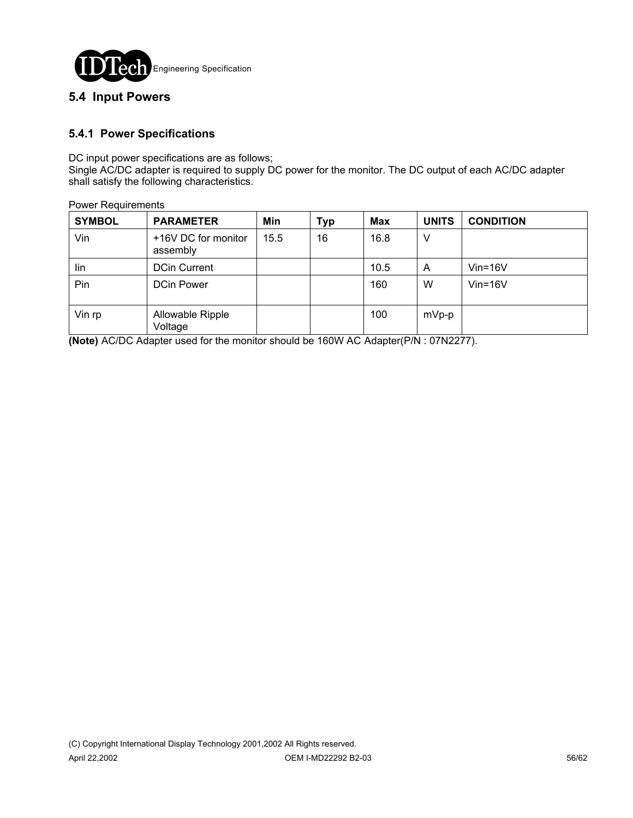

### **5.4 Input Powers**

### **5.4.1 Power Specifications**

DC input power specifications are as follows;

Single AC/DC adapter is required to supply DC power for the monitor. The DC output of each AC/DC adapter shall satisfy the following characteristics.

| <b>Power Requirements</b> |
|---------------------------|
|---------------------------|

| <b>SYMBOL</b> | <b>PARAMETER</b>                | Min  | <b>Typ</b> | <b>Max</b> | <b>UNITS</b> | <b>CONDITION</b> |
|---------------|---------------------------------|------|------------|------------|--------------|------------------|
| Vin           | +16V DC for monitor<br>assembly | 15.5 | 16         | 16.8       | V            |                  |
| lin           | <b>DCin Current</b>             |      |            | 10.5       | A            | $V$ in=16 $V$    |
| Pin           | <b>DCin Power</b>               |      |            | 160        | W            | $V$ in=16 $V$    |
| Vin rp        | Allowable Ripple<br>Voltage     |      |            | 100        | mVp-p        |                  |

**(Note)** AC/DC Adapter used for the monitor should be 160W AC Adapter(P/N : 07N2277).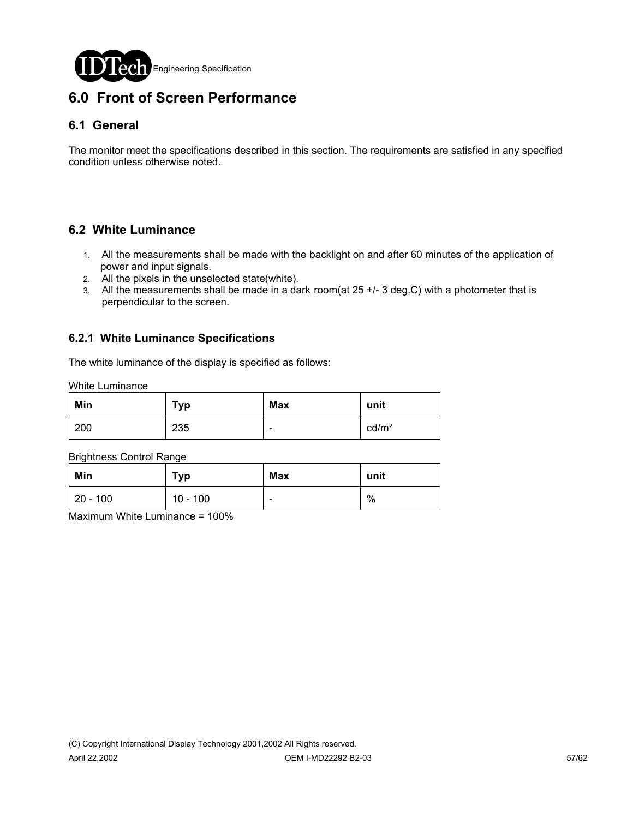

# **6.0 Front of Screen Performance**

### **6.1 General**

The monitor meet the specifications described in this section. The requirements are satisfied in any specified condition unless otherwise noted.

### **6.2 White Luminance**

- 1. All the measurements shall be made with the backlight on and after 60 minutes of the application of power and input signals.
- 2. All the pixels in the unselected state(white).
- 3. All the measurements shall be made in a dark room(at 25 +/- 3 deg.C) with a photometer that is perpendicular to the screen.

#### **6.2.1 White Luminance Specifications**

The white luminance of the display is specified as follows:

White Luminance

| Min | <b>Typ</b> | <b>Max</b> | unit              |
|-----|------------|------------|-------------------|
| 200 | 235        | -          | cd/m <sup>2</sup> |

Brightness Control Range

| Min         | Typ        | Max | unit |
|-------------|------------|-----|------|
| $ 20 - 100$ | $10 - 100$ | -   | %    |

Maximum White Luminance = 100%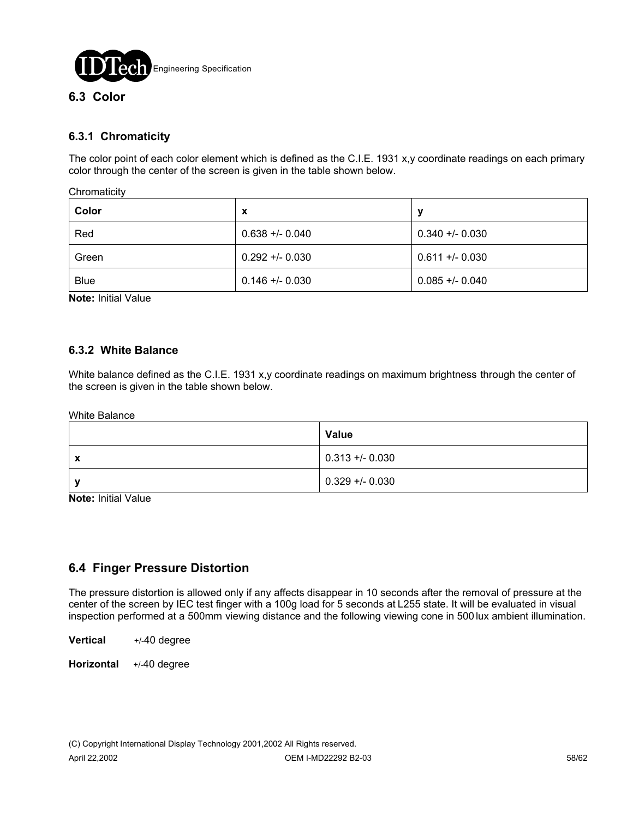

# **6.3.1 Chromaticity**

The color point of each color element which is defined as the C.I.E. 1931 x,y coordinate readings on each primary color through the center of the screen is given in the table shown below.

**Chromaticity** 

| Color       | х               | у               |
|-------------|-----------------|-----------------|
| Red         | $0.638 + 0.040$ | $0.340 + 0.030$ |
| Green       | $0.292 + 0.030$ | $0.611 + 0.030$ |
| <b>Blue</b> | $0.146 + 0.030$ | $0.085 + 0.040$ |

**Note:** Initial Value

#### **6.3.2 White Balance**

White balance defined as the C.I.E. 1931 x,y coordinate readings on maximum brightness through the center of the screen is given in the table shown below.

White Balance

|   | Value           |
|---|-----------------|
| X | $0.313 + 0.030$ |
|   | $0.329 + 0.030$ |

**Note:** Initial Value

### **6.4 Finger Pressure Distortion**

The pressure distortion is allowed only if any affects disappear in 10 seconds after the removal of pressure at the center of the screen by IEC test finger with a 100g load for 5 seconds at L255 state. It will be evaluated in visual inspection performed at a 500mm viewing distance and the following viewing cone in 500 lux ambient illumination.

**Vertical** +/-40 degree

**Horizontal** +/-40 degree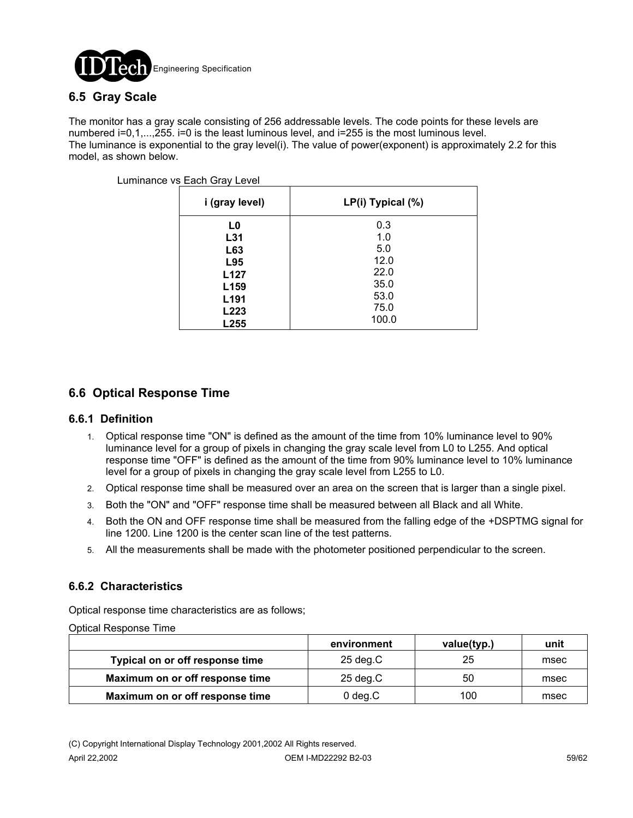

### **6.5 Gray Scale**

The monitor has a gray scale consisting of 256 addressable levels. The code points for these levels are numbered i=0,1,...,255. i=0 is the least luminous level, and i=255 is the most luminous level. The luminance is exponential to the gray level(i). The value of power(exponent) is approximately 2.2 for this model, as shown below.

| i (gray level)   | LP(i) Typical (%) |
|------------------|-------------------|
| L0               | 0.3               |
| L31              | 1.0               |
| L63              | 5.0               |
| L95              | 12.0              |
| L <sub>127</sub> | 22.0              |
| L <sub>159</sub> | 35.0              |
| L <sub>191</sub> | 53.0              |
| L223             | 75.0              |
| L255             | 100.0             |

Luminance vs Each Gray Level

### **6.6 Optical Response Time**

#### **6.6.1 Definition**

- 1. Optical response time "ON" is defined as the amount of the time from 10% luminance level to 90% luminance level for a group of pixels in changing the gray scale level from L0 to L255. And optical response time "OFF" is defined as the amount of the time from 90% luminance level to 10% luminance level for a group of pixels in changing the gray scale level from L255 to L0.
- 2. Optical response time shall be measured over an area on the screen that is larger than a single pixel.
- 3. Both the "ON" and "OFF" response time shall be measured between all Black and all White.
- 4. Both the ON and OFF response time shall be measured from the falling edge of the +DSPTMG signal for line 1200. Line 1200 is the center scan line of the test patterns.
- 5. All the measurements shall be made with the photometer positioned perpendicular to the screen.

#### **6.6.2 Characteristics**

Optical response time characteristics are as follows;

Optical Response Time

|                                 | environment        | value(typ.) | unit |
|---------------------------------|--------------------|-------------|------|
| Typical on or off response time | $25 \text{ deg.C}$ | 25          | msec |
| Maximum on or off response time | $25 \text{ deg.C}$ | 50          | msec |
| Maximum on or off response time | $0$ deg. $C$       | 100         | msec |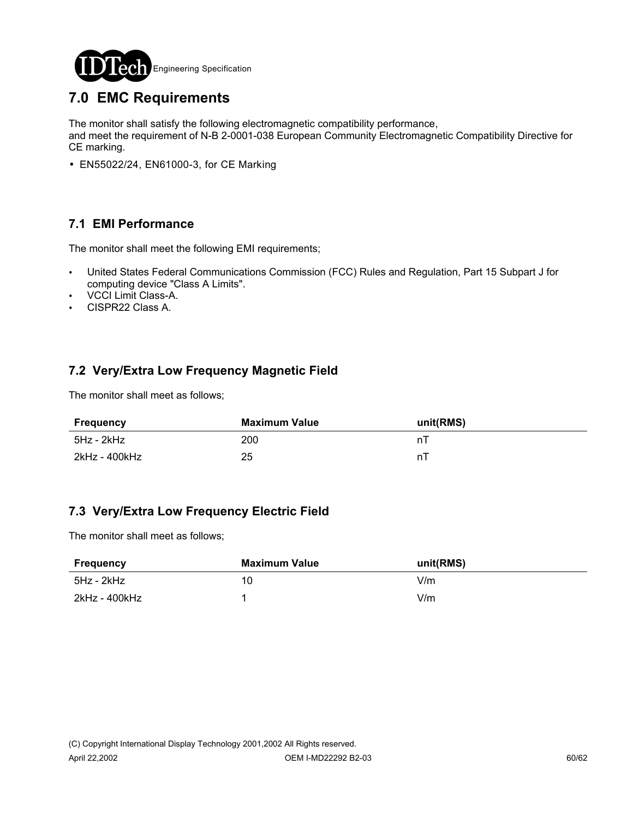

# **7.0 EMC Requirements**

The monitor shall satisfy the following electromagnetic compatibility performance,

and meet the requirement of N-B 2-0001-038 European Community Electromagnetic Compatibility Directive for CE marking.

• EN55022/24, EN61000-3, for CE Marking

### **7.1 EMI Performance**

The monitor shall meet the following EMI requirements;

- ! United States Federal Communications Commission (FCC) Rules and Regulation, Part 15 Subpart J for computing device "Class A Limits".
- VCCI Limit Class-A.
- . CISPR22 Class A.

### **7.2 Very/Extra Low Frequency Magnetic Field**

The monitor shall meet as follows;

| Frequency     | Maximum Value | unit(RMS) |
|---------------|---------------|-----------|
| 5Hz - 2kHz    | 200           |           |
| 2kHz - 400kHz | 25            | n l       |

### **7.3 Very/Extra Low Frequency Electric Field**

The monitor shall meet as follows;

| Frequency     | Maximum Value | unit(RMS) |
|---------------|---------------|-----------|
| 5Hz - 2kHz    | 10            | V/m       |
| 2kHz - 400kHz |               | V/m       |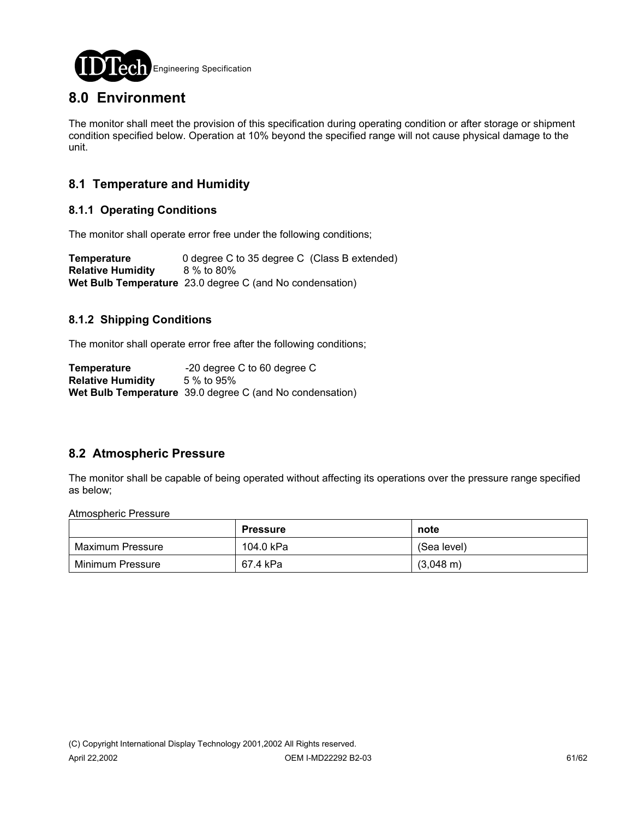

# **8.0 Environment**

The monitor shall meet the provision of this specification during operating condition or after storage or shipment condition specified below. Operation at 10% beyond the specified range will not cause physical damage to the unit.

### **8.1 Temperature and Humidity**

### **8.1.1 Operating Conditions**

The monitor shall operate error free under the following conditions;

**Temperature** 0 degree C to 35 degree C (Class B extended) **Relative Humidity** 8 % to 80% **Wet Bulb Temperature** 23.0 degree C (and No condensation)

### **8.1.2 Shipping Conditions**

The monitor shall operate error free after the following conditions;

**Temperature** -20 degree C to 60 degree C **Relative Humidity** 5 % to 95% **Wet Bulb Temperature** 39.0 degree C (and No condensation)

### **8.2 Atmospheric Pressure**

The monitor shall be capable of being operated without affecting its operations over the pressure range specified as below;

Atmospheric Pressure

|                  | <b>Pressure</b> | note                |
|------------------|-----------------|---------------------|
| Maximum Pressure | 104.0 kPa       | (Sea level)         |
| Minimum Pressure | 67.4 kPa        | $(3,048 \text{ m})$ |